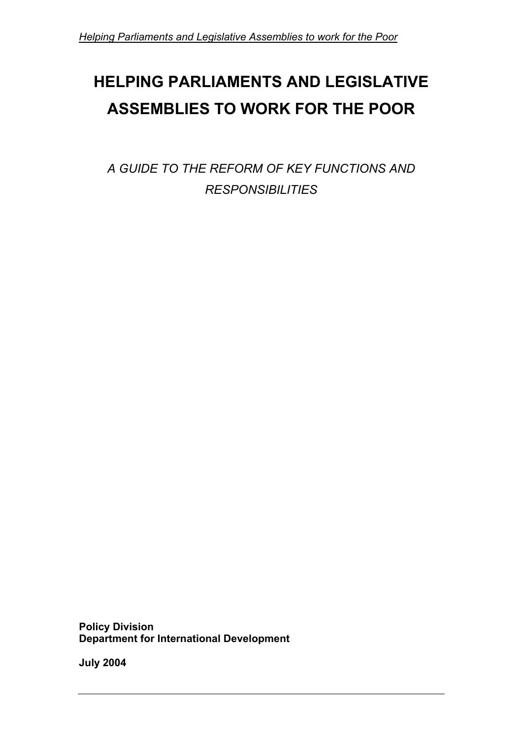# **HELPING PARLIAMENTS AND LEGISLATIVE ASSEMBLIES TO WORK FOR THE POOR**

*A GUIDE TO THE REFORM OF KEY FUNCTIONS AND RESPONSIBILITIES* 

**Policy Division Department for International Development** 

**July 2004**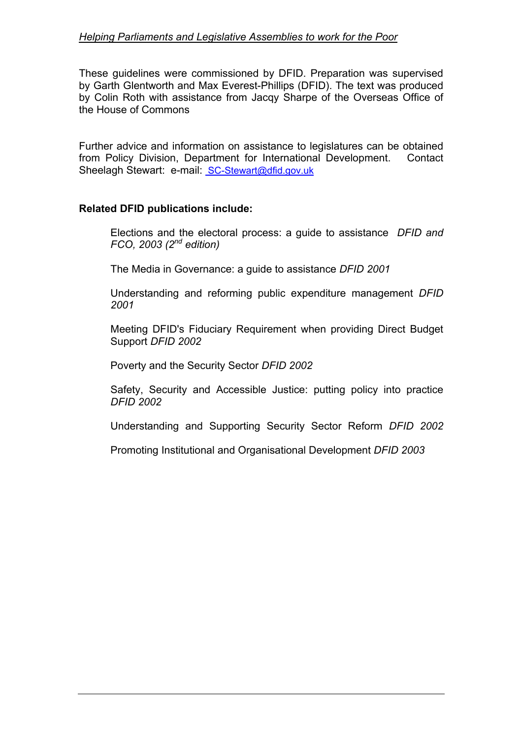These guidelines were commissioned by DFID. Preparation was supervised by Garth Glentworth and Max Everest-Phillips (DFID). The text was produced by Colin Roth with assistance from Jacqy Sharpe of the Overseas Office of the House of Commons

Further advice and information on assistance to legislatures can be obtained from Policy Division, Department for International Development. Contact Sheelagh Stewart: e-mail: SC-Stewart@dfid.gov.uk

#### **Related DFID publications include:**

Elections and the electoral process: a guide to assistance *DFID and FCO, 2003 (2nd edition)* 

The Media in Governance: a guide to assistance *DFID 2001* 

Understanding and reforming public expenditure management *DFID 2001* 

Meeting DFID's Fiduciary Requirement when providing Direct Budget Support *DFID 2002* 

Poverty and the Security Sector *DFID 2002*

Safety, Security and Accessible Justice: putting policy into practice *DFID 2002* 

Understanding and Supporting Security Sector Reform *DFID 2002*

Promoting Institutional and Organisational Development *DFID 2003*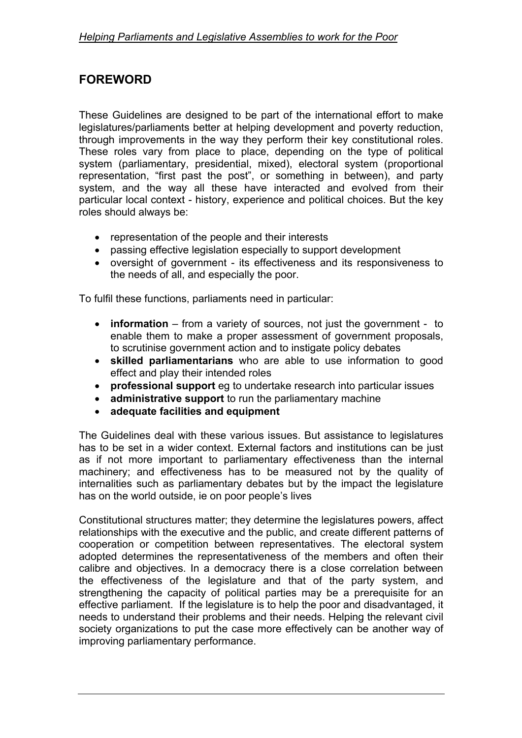# **FOREWORD**

These Guidelines are designed to be part of the international effort to make legislatures/parliaments better at helping development and poverty reduction, through improvements in the way they perform their key constitutional roles. These roles vary from place to place, depending on the type of political system (parliamentary, presidential, mixed), electoral system (proportional representation, "first past the post", or something in between), and party system, and the way all these have interacted and evolved from their particular local context - history, experience and political choices. But the key roles should always be:

- representation of the people and their interests
- passing effective legislation especially to support development
- oversight of government its effectiveness and its responsiveness to the needs of all, and especially the poor.

To fulfil these functions, parliaments need in particular:

- **information** from a variety of sources, not just the government to enable them to make a proper assessment of government proposals, to scrutinise government action and to instigate policy debates
- **skilled parliamentarians** who are able to use information to good effect and play their intended roles
- **professional support** eg to undertake research into particular issues
- **administrative support** to run the parliamentary machine
- **adequate facilities and equipment**

The Guidelines deal with these various issues. But assistance to legislatures has to be set in a wider context. External factors and institutions can be just as if not more important to parliamentary effectiveness than the internal machinery; and effectiveness has to be measured not by the quality of internalities such as parliamentary debates but by the impact the legislature has on the world outside, ie on poor people's lives

Constitutional structures matter; they determine the legislatures powers, affect relationships with the executive and the public, and create different patterns of cooperation or competition between representatives. The electoral system adopted determines the representativeness of the members and often their calibre and objectives. In a democracy there is a close correlation between the effectiveness of the legislature and that of the party system, and strengthening the capacity of political parties may be a prerequisite for an effective parliament. If the legislature is to help the poor and disadvantaged, it needs to understand their problems and their needs. Helping the relevant civil society organizations to put the case more effectively can be another way of improving parliamentary performance.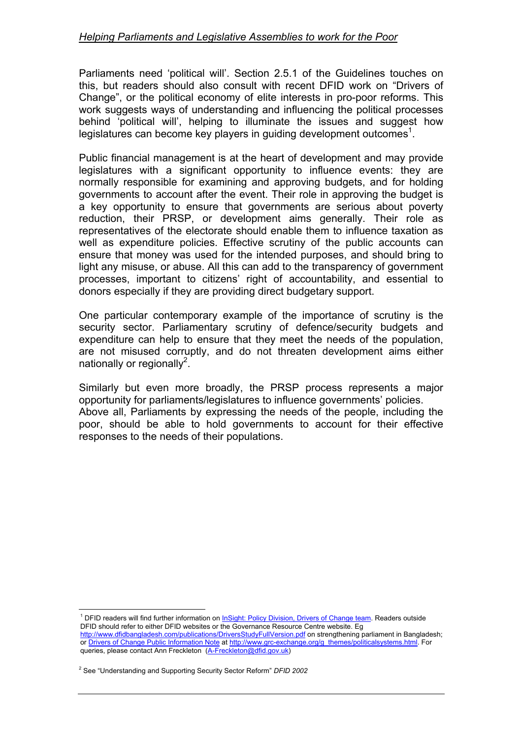Parliaments need 'political will'. Section 2.5.1 of the Guidelines touches on this, but readers should also consult with recent DFID work on "Drivers of Change", or the political economy of elite interests in pro-poor reforms. This work suggests ways of understanding and influencing the political processes behind 'political will', helping to illuminate the issues and suggest how legislatures can become key players in guiding development outcomes<sup>[1](#page-3-0)</sup>.

Public financial management is at the heart of development and may provide legislatures with a significant opportunity to influence events: they are normally responsible for examining and approving budgets, and for holding governments to account after the event. Their role in approving the budget is a key opportunity to ensure that governments are serious about poverty reduction, their PRSP, or development aims generally. Their role as representatives of the electorate should enable them to influence taxation as well as expenditure policies. Effective scrutiny of the public accounts can ensure that money was used for the intended purposes, and should bring to light any misuse, or abuse. All this can add to the transparency of government processes, important to citizens' right of accountability, and essential to donors especially if they are providing direct budgetary support.

One particular contemporary example of the importance of scrutiny is the security sector. Parliamentary scrutiny of defence/security budgets and expenditure can help to ensure that they meet the needs of the population, are not misused corruptly, and do not threaten development aims either nationally or regionally<sup>2</sup>.

Similarly but even more broadly, the PRSP process represents a major opportunity for parliaments/legislatures to influence governments' policies. Above all, Parliaments by expressing the needs of the people, including the poor, should be able to hold governments to account for their effective responses to the needs of their populations.

 $\overline{a}$ 

<span id="page-3-0"></span><sup>&</sup>lt;sup>1</sup> DFID readers will find further information on *InSight: Policy Division, Drivers of Change team*. Readers outside DFID should refer to either DFID websites or the Governance Resource Centre website. Eg http://www.dfidbangladesh.com/publications/DriversStudyFullVersion.pdf on strengthening parliament in Bangladesh; or Drivers of Change Public Information Note at http://www.grc-exchange.org/g\_themes/politicalsystems.html. For queries, please contact Ann Freckleton (A-Freckleton@dfid.gov.uk)

<span id="page-3-1"></span><sup>2</sup> See "Understanding and Supporting Security Sector Reform" *DFID 2002*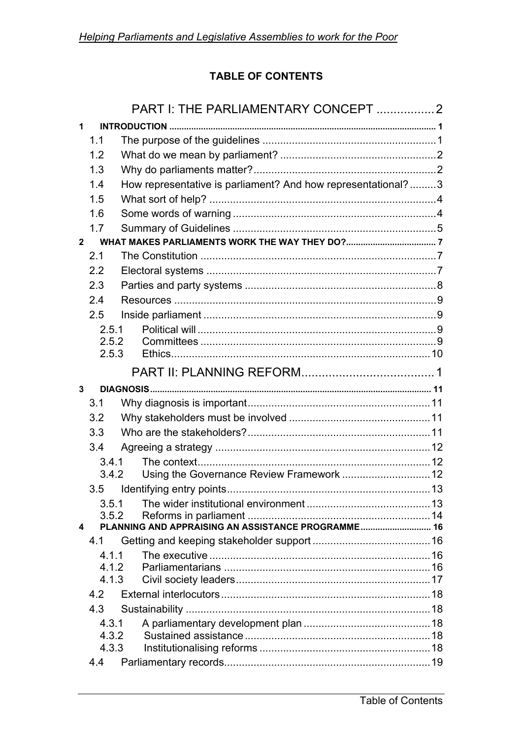# **TABLE OF CONTENTS**

|                | PART I: THE PARLIAMENTARY CONCEPT 2 |                                                              |  |  |  |
|----------------|-------------------------------------|--------------------------------------------------------------|--|--|--|
| 1              |                                     |                                                              |  |  |  |
|                | 1.1                                 |                                                              |  |  |  |
|                | 1.2                                 |                                                              |  |  |  |
|                | 1.3                                 |                                                              |  |  |  |
|                | 1.4                                 | How representative is parliament? And how representational?3 |  |  |  |
|                | 1.5                                 |                                                              |  |  |  |
|                | 1.6                                 |                                                              |  |  |  |
|                | 1.7                                 |                                                              |  |  |  |
| $\overline{2}$ |                                     |                                                              |  |  |  |
|                | 2.1                                 |                                                              |  |  |  |
|                | 2.2                                 |                                                              |  |  |  |
|                | 2.3                                 |                                                              |  |  |  |
|                | 2.4                                 |                                                              |  |  |  |
|                | 2.5                                 |                                                              |  |  |  |
|                | 2.5.1                               |                                                              |  |  |  |
|                | 2.5.2                               |                                                              |  |  |  |
|                | 2.5.3                               |                                                              |  |  |  |
|                |                                     |                                                              |  |  |  |
| 3              |                                     |                                                              |  |  |  |
|                | 3.1                                 |                                                              |  |  |  |
|                | 3.2                                 |                                                              |  |  |  |
|                | 3.3                                 |                                                              |  |  |  |
|                | 3.4                                 |                                                              |  |  |  |
|                | 3.4.1                               |                                                              |  |  |  |
|                | 3.4.2                               | Using the Governance Review Framework  12                    |  |  |  |
|                | 3.5                                 |                                                              |  |  |  |
|                | 3.5.1                               |                                                              |  |  |  |
|                | 3.5.2                               | PLANNING AND APPRAISING AN ASSISTANCE PROGRAMME 16           |  |  |  |
| 4              | 4.1                                 |                                                              |  |  |  |
|                | 4 1 1                               |                                                              |  |  |  |
|                | 4.1.2                               |                                                              |  |  |  |
|                | 4.1.3                               |                                                              |  |  |  |
|                | 4.2                                 |                                                              |  |  |  |
|                | 4.3                                 |                                                              |  |  |  |
|                | 4.3.1                               |                                                              |  |  |  |
|                | 4.3.2                               |                                                              |  |  |  |
|                | 4.3.3                               |                                                              |  |  |  |
|                | 4.4                                 |                                                              |  |  |  |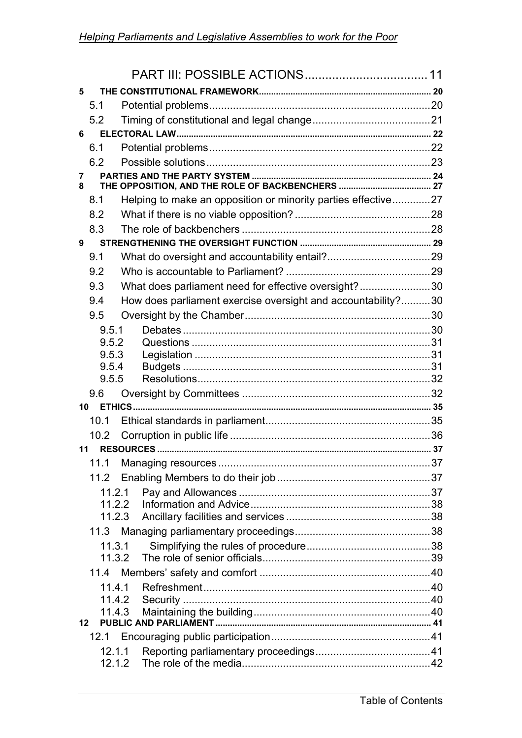| 5      |                  |                                                               |  |
|--------|------------------|---------------------------------------------------------------|--|
| 5.1    |                  |                                                               |  |
| 5.2    |                  |                                                               |  |
| 6      |                  |                                                               |  |
| 6.1    |                  |                                                               |  |
| 6.2    |                  |                                                               |  |
| 7<br>8 |                  |                                                               |  |
| 8.1    |                  | Helping to make an opposition or minority parties effective27 |  |
| 8.2    |                  |                                                               |  |
| 8.3    |                  |                                                               |  |
| 9      |                  |                                                               |  |
| 9.1    |                  |                                                               |  |
| 9.2    |                  |                                                               |  |
| 9.3    |                  | What does parliament need for effective oversight?30          |  |
| 9.4    |                  | How does parliament exercise oversight and accountability?30  |  |
| 9.5    |                  |                                                               |  |
|        | 9.5.1            |                                                               |  |
|        | 9.5.2            |                                                               |  |
|        | 9.5.3            |                                                               |  |
|        | 9.5.4            |                                                               |  |
|        | 9.5.5            |                                                               |  |
| 9.6    |                  |                                                               |  |
| 10     |                  |                                                               |  |
| 10.1   |                  |                                                               |  |
| 10.2   |                  |                                                               |  |
| 11     |                  |                                                               |  |
| 11.1   |                  |                                                               |  |
| 11.2   |                  |                                                               |  |
|        | 11.2.1           |                                                               |  |
|        | 11.2.2<br>11.2.3 |                                                               |  |
|        |                  |                                                               |  |
|        | 11.3.1           |                                                               |  |
|        | 11.3.2           |                                                               |  |
|        |                  |                                                               |  |
|        | 11.4.1           |                                                               |  |
|        | 11.4.2           |                                                               |  |
|        | 11.4.3           |                                                               |  |
| 12     |                  |                                                               |  |
| 12.1   |                  |                                                               |  |
|        | 12.1.1           |                                                               |  |
|        | 12.1.2           |                                                               |  |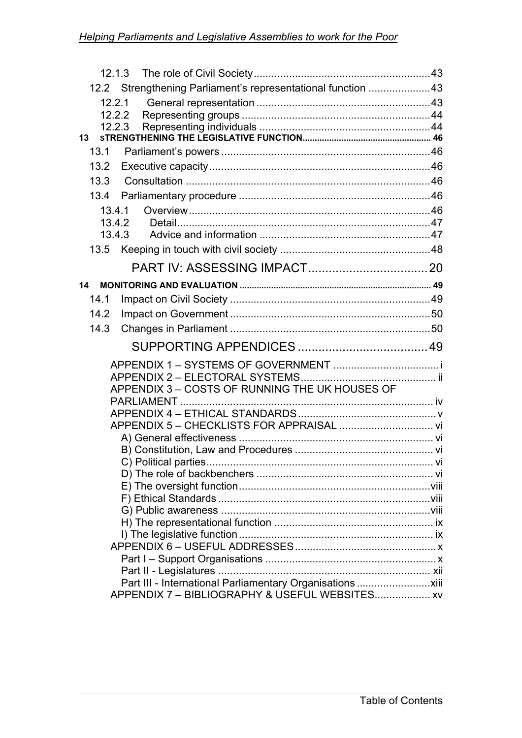|      | 12.2 Strengthening Parliament's representational function 43 |  |  |  |  |
|------|--------------------------------------------------------------|--|--|--|--|
|      | 12.2.1                                                       |  |  |  |  |
|      | 12.2.2                                                       |  |  |  |  |
|      | 12.2.3                                                       |  |  |  |  |
| 13   |                                                              |  |  |  |  |
| 13.1 |                                                              |  |  |  |  |
| 13.2 |                                                              |  |  |  |  |
| 13.3 |                                                              |  |  |  |  |
| 13.4 |                                                              |  |  |  |  |
|      | 13.4.1                                                       |  |  |  |  |
|      | 13.4.2                                                       |  |  |  |  |
|      | 13.4.3                                                       |  |  |  |  |
| 13.5 |                                                              |  |  |  |  |
|      |                                                              |  |  |  |  |
| 14   |                                                              |  |  |  |  |
| 14.1 |                                                              |  |  |  |  |
| 14.2 |                                                              |  |  |  |  |
| 14.3 |                                                              |  |  |  |  |
|      |                                                              |  |  |  |  |
|      |                                                              |  |  |  |  |
|      |                                                              |  |  |  |  |
|      | APPENDIX 3 - COSTS OF RUNNING THE UK HOUSES OF               |  |  |  |  |
|      |                                                              |  |  |  |  |
|      |                                                              |  |  |  |  |
|      |                                                              |  |  |  |  |
|      |                                                              |  |  |  |  |
|      |                                                              |  |  |  |  |
|      |                                                              |  |  |  |  |
|      |                                                              |  |  |  |  |
|      |                                                              |  |  |  |  |
|      |                                                              |  |  |  |  |
|      |                                                              |  |  |  |  |
|      |                                                              |  |  |  |  |
|      |                                                              |  |  |  |  |
|      |                                                              |  |  |  |  |
|      |                                                              |  |  |  |  |
|      |                                                              |  |  |  |  |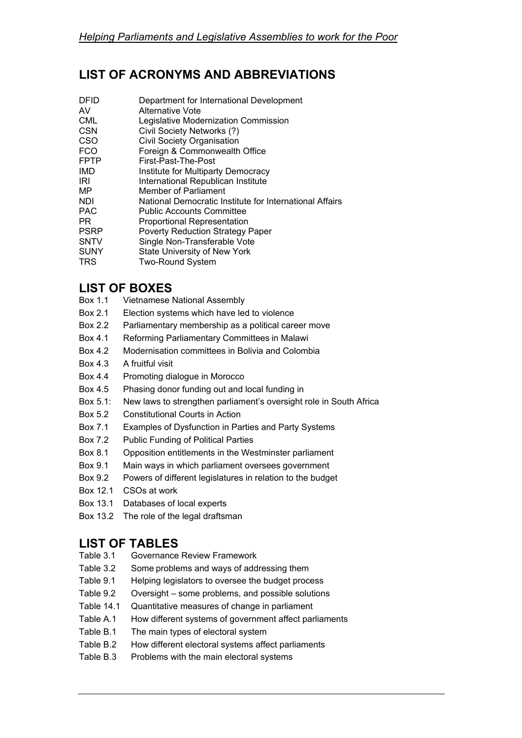# **LIST OF ACRONYMS AND ABBREVIATIONS**

| DFID<br>AV<br>CML<br>CSN<br>CSO<br><b>FCO</b><br>FPTP<br>IMD<br>IRI<br>MΡ<br>NDI<br>PAC<br>PR<br><b>PSRP</b><br>SNTV<br>SUNY | Department for International Development<br>Alternative Vote<br>Legislative Modernization Commission<br>Civil Society Networks (?)<br><b>Civil Society Organisation</b><br>Foreign & Commonwealth Office<br>First-Past-The-Post<br>Institute for Multiparty Democracy<br>International Republican Institute<br>Member of Parliament<br>National Democratic Institute for International Affairs<br><b>Public Accounts Committee</b><br><b>Proportional Representation</b><br><b>Poverty Reduction Strategy Paper</b><br>Single Non-Transferable Vote<br>State University of New York |
|------------------------------------------------------------------------------------------------------------------------------|-------------------------------------------------------------------------------------------------------------------------------------------------------------------------------------------------------------------------------------------------------------------------------------------------------------------------------------------------------------------------------------------------------------------------------------------------------------------------------------------------------------------------------------------------------------------------------------|
| TRS                                                                                                                          | <b>Two-Round System</b>                                                                                                                                                                                                                                                                                                                                                                                                                                                                                                                                                             |
|                                                                                                                              |                                                                                                                                                                                                                                                                                                                                                                                                                                                                                                                                                                                     |

## **LIST OF BOXES**

- Box 1.1 Vietnamese National Assembly
- Box 2.1Election systems which have led to violence
- Box 2.2 Parliamentary membership as a political career move
- Box 4.1 Reforming Parliamentary Committees in Malawi
- Box 4.2 Modernisation committees in Bolivia and Colombia
- Box 4.3 A fruitful visit
- Box 4.4 Promoting dialogue in Morocco
- Box 4.5 Phasing donor funding out and local funding in
- Box 5.1: New laws to strengthen parliament's oversight role in South Africa
- Box 5.2 Constitutional Courts in Action
- Box 7.1 Examples of Dysfunction in Parties and Party Systems
- Box 7.2 Public Funding of Political Parties
- Box 8.1 Opposition entitlements in the Westminster parliament
- Box 9.1 Main ways in which parliament oversees government
- Box 9.2 Powers of different legislatures in relation to the budget
- Box 12.1 CSOs at work
- Box 13.1 Databases of local experts
- Box 13.2 The role of the legal draftsman

## **LIST OF TABLES**

- Table 3.1 Governance Review Framework
- Table 3.2 Some problems and ways of addressing them
- Table 9.1 Helping legislators to oversee the budget process
- Table 9.2 Oversight some problems, and possible solutions
- Table 14.1 Quantitative measures of change in parliament
- Table A.1 How different systems of government affect parliaments
- Table B.1 The main types of electoral system
- Table B.2 How different electoral systems affect parliaments
- Table B.3 Problems with the main electoral systems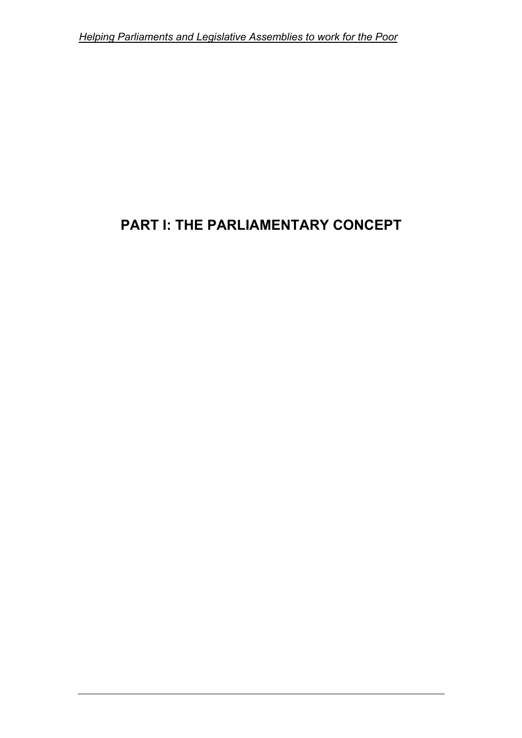# **PART I: THE PARLIAMENTARY CONCEPT**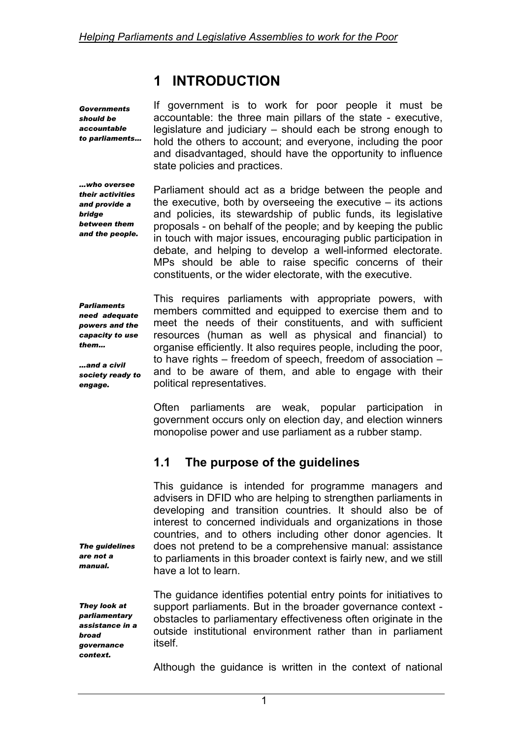# **1 INTRODUCTION**

*Governments should be accountable to parliaments…*  If government is to work for poor people it must be accountable: the three main pillars of the state - executive, legislature and judiciary – should each be strong enough to hold the others to account; and everyone, including the poor and disadvantaged, should have the opportunity to influence state policies and practices.

*…who oversee their activities and provide a bridge between them and the people.*

Parliament should act as a bridge between the people and the executive, both by overseeing the executive  $-$  its actions and policies, its stewardship of public funds, its legislative proposals - on behalf of the people; and by keeping the public in touch with major issues, encouraging public participation in debate, and helping to develop a well-informed electorate. MPs should be able to raise specific concerns of their constituents, or the wider electorate, with the executive.

*Parliaments need adequate powers and the capacity to use them…* 

*…and a civil society ready to engage.* 

This requires parliaments with appropriate powers, with members committed and equipped to exercise them and to meet the needs of their constituents, and with sufficient resources (human as well as physical and financial) to organise efficiently. It also requires people, including the poor, to have rights – freedom of speech, freedom of association – and to be aware of them, and able to engage with their political representatives.

Often parliaments are weak, popular participation in government occurs only on election day, and election winners monopolise power and use parliament as a rubber stamp.

# **1.1 The purpose of the guidelines**

This guidance is intended for programme managers and advisers in DFID who are helping to strengthen parliaments in developing and transition countries. It should also be of interest to concerned individuals and organizations in those countries, and to others including other donor agencies. It does not pretend to be a comprehensive manual: assistance to parliaments in this broader context is fairly new, and we still have a lot to learn.

*They look at parliamentary assistance in a broad governance context.* 

*The guidelines are not a manual.* 

> The guidance identifies potential entry points for initiatives to support parliaments. But in the broader governance context obstacles to parliamentary effectiveness often originate in the outside institutional environment rather than in parliament itself.

> Although the guidance is written in the context of national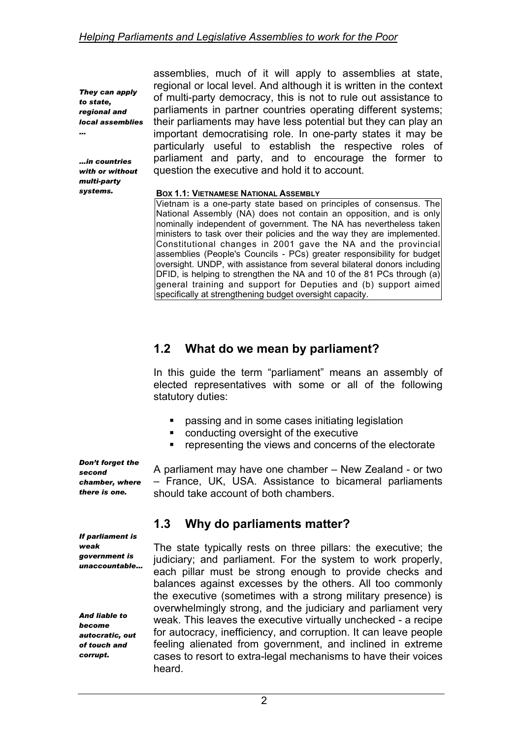*They can apply to state, regional and local assemblies …* 

*…in countries with or without multi-party systems.* 

assemblies, much of it will apply to assemblies at state, regional or local level. And although it is written in the context of multi-party democracy, this is not to rule out assistance to parliaments in partner countries operating different systems; their parliaments may have less potential but they can play an important democratising role. In one-party states it may be particularly useful to establish the respective roles of parliament and party, and to encourage the former to question the executive and hold it to account.

#### **BOX 1.1: VIETNAMESE NATIONAL ASSEMBLY**

Vietnam is a one-party state based on principles of consensus. The National Assembly (NA) does not contain an opposition, and is only nominally independent of government. The NA has nevertheless taken ministers to task over their policies and the way they are implemented. Constitutional changes in 2001 gave the NA and the provincial assemblies (People's Councils - PCs) greater responsibility for budget oversight. UNDP, with assistance from several bilateral donors including DFID, is helping to strengthen the NA and 10 of the 81 PCs through (a) general training and support for Deputies and (b) support aimed specifically at strengthening budget oversight capacity.

## **1.2 What do we mean by parliament?**

In this guide the term "parliament" means an assembly of elected representatives with some or all of the following statutory duties:

- **•** passing and in some cases initiating legislation
- conducting oversight of the executive
- **•** representing the views and concerns of the electorate

*Don't forget the second chamber, where there is one.* 

A parliament may have one chamber – New Zealand - or two – France, UK, USA. Assistance to bicameral parliaments should take account of both chambers.

### **1.3 Why do parliaments matter?**

The state typically rests on three pillars: the executive; the judiciary; and parliament. For the system to work properly, each pillar must be strong enough to provide checks and balances against excesses by the others. All too commonly the executive (sometimes with a strong military presence) is overwhelmingly strong, and the judiciary and parliament very weak. This leaves the executive virtually unchecked - a recipe for autocracy, inefficiency, and corruption. It can leave people feeling alienated from government, and inclined in extreme cases to resort to extra-legal mechanisms to have their voices heard.

*If parliament is weak government is unaccountable…* 

*And liable to become autocratic, out of touch and corrupt.*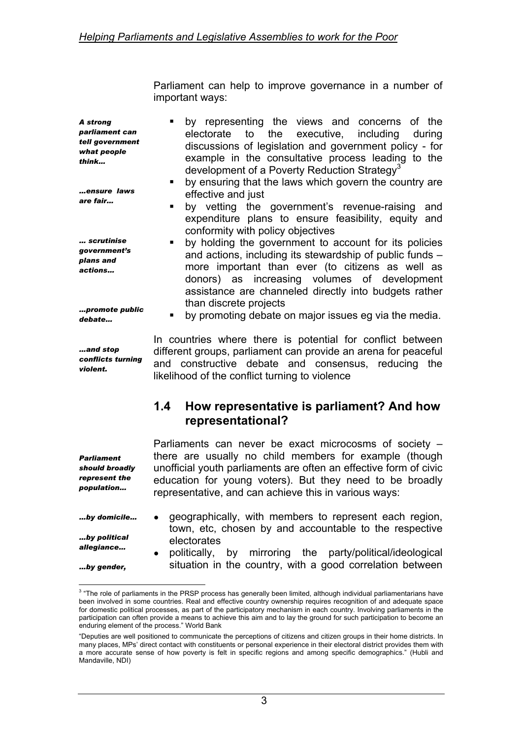Parliament can help to improve governance in a number of important ways:

*A strong parliament can tell government what people think…* 

*…ensure laws are fair…* 

*… scrutinise government's plans and actions…* 

*…promote public debate…* 

*…and stop conflicts turning violent.* 

*Parliament should broadly represent the population…* 

*…by gender,* 

 $\overline{a}$ 

 by representing the views and concerns of the electorate to the executive, including during discussions of legislation and government policy - for example in the consultative process leading to the development of a Poverty Reduction Strategy<sup>3</sup>

- by ensuring that the laws which govern the country are effective and just
- by vetting the government's revenue-raising and expenditure plans to ensure feasibility, equity and conformity with policy objectives
- by holding the government to account for its policies and actions, including its stewardship of public funds – more important than ever (to citizens as well as donors) as increasing volumes of development assistance are channeled directly into budgets rather than discrete projects
	- by promoting debate on major issues eg via the media.

In countries where there is potential for conflict between different groups, parliament can provide an arena for peaceful and constructive debate and consensus, reducing the likelihood of the conflict turning to violence

### **1.4 How representative is parliament? And how representational?**

Parliaments can never be exact microcosms of society – there are usually no child members for example (though unofficial youth parliaments are often an effective form of civic education for young voters). But they need to be broadly representative, and can achieve this in various ways:

*…by domicile… …by political allegiance…*  geographically, with members to represent each region, town, etc, chosen by and accountable to the respective electorates

politically, by mirroring the party/political/ideological situation in the country, with a good correlation between

<span id="page-11-0"></span><sup>&</sup>lt;sup>3</sup> "The role of parliaments in the PRSP process has generally been limited, although individual parliamentarians have been involved in some countries. Real and effective country ownership requires recognition of and adequate space for domestic political processes, as part of the participatory mechanism in each country. Involving parliaments in the participation can often provide a means to achieve this aim and to lay the ground for such participation to become an enduring element of the process." World Bank

<sup>&</sup>quot;Deputies are well positioned to communicate the perceptions of citizens and citizen groups in their home districts. In many places, MPs' direct contact with constituents or personal experience in their electoral district provides them with a more accurate sense of how poverty is felt in specific regions and among specific demographics." (Hubli and Mandaville, NDI)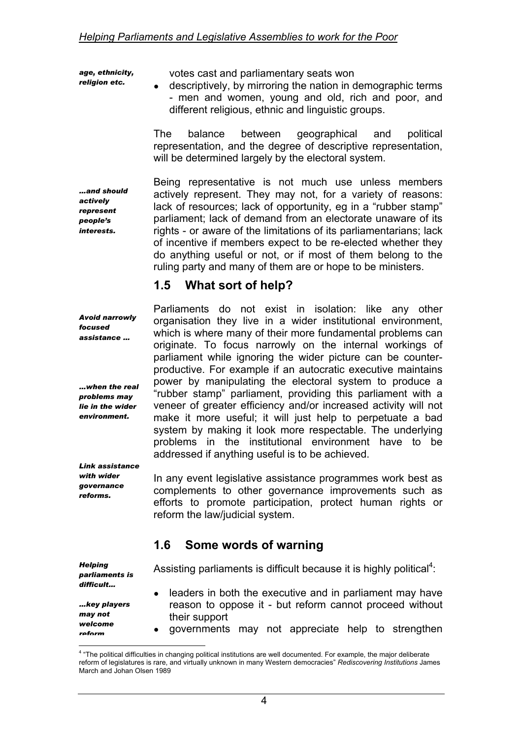*age, ethnicity, religion etc.* 

votes cast and parliamentary seats won

• descriptively, by mirroring the nation in demographic terms - men and women, young and old, rich and poor, and different religious, ethnic and linguistic groups.

The balance between geographical and political representation, and the degree of descriptive representation, will be determined largely by the electoral system.

*…and should actively represent people's interests.* 

Being representative is not much use unless members actively represent. They may not, for a variety of reasons: lack of resources; lack of opportunity, eg in a "rubber stamp" parliament; lack of demand from an electorate unaware of its rights - or aware of the limitations of its parliamentarians; lack of incentive if members expect to be re-elected whether they do anything useful or not, or if most of them belong to the ruling party and many of them are or hope to be ministers.

# **1.5 What sort of help?**

*Avoid narrowly focused assistance …* 

*…when the real problems may lie in the wider environment.* 

*Link assistance with wider governance reforms.* 

Parliaments do not exist in isolation: like any other organisation they live in a wider institutional environment, which is where many of their more fundamental problems can originate. To focus narrowly on the internal workings of parliament while ignoring the wider picture can be counterproductive. For example if an autocratic executive maintains power by manipulating the electoral system to produce a "rubber stamp" parliament, providing this parliament with a veneer of greater efficiency and/or increased activity will not make it more useful; it will just help to perpetuate a bad system by making it look more respectable. The underlying problems in the institutional environment have to be addressed if anything useful is to be achieved.

In any event legislative assistance programmes work best as complements to other governance improvements such as efforts to promote participation, protect human rights or reform the law/judicial system.

# **1.6 Some words of warning**

*Helping parliaments is difficult… …key players may not welcome reform*  Assisting parliaments is difficult because it is highly political<sup>4</sup>: leaders in both the executive and in parliament may have reason to oppose it - but reform cannot proceed without their support governments may not appreciate help to strengthen

<span id="page-12-0"></span> 4 "The political difficulties in changing political institutions are well documented. For example, the major deliberate reform of legislatures is rare, and virtually unknown in many Western democracies" *Rediscovering Institutions* James March and Johan Olsen 1989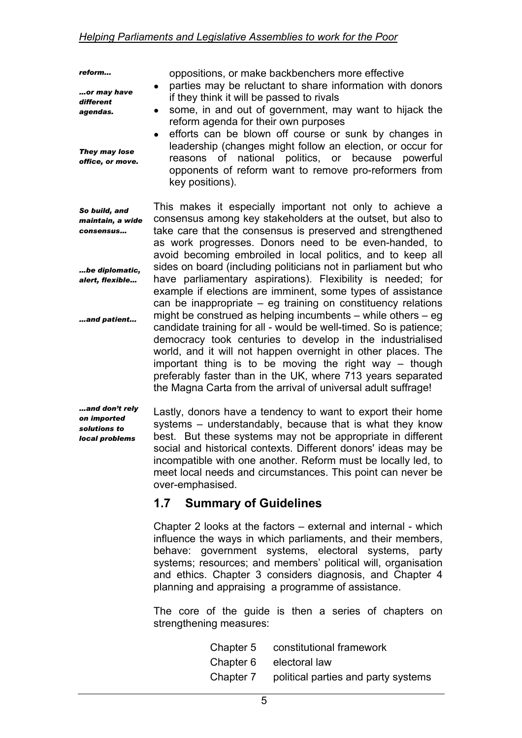*reform...* 

*…or may have different agendas.* 

*They may lose office, or move.* 

if they think it will be passed to rivals • some, in and out of government, may want to hijack the reform agenda for their own purposes • efforts can be blown off course or sunk by changes in

oppositions, or make backbenchers more effective • parties may be reluctant to share information with donors

leadership (changes might follow an election, or occur for reasons of national politics, or because powerful opponents of reform want to remove pro-reformers from key positions).

*So build, and maintain, a wide consensus… …be diplomatic, alert, flexible… …and patient...*  This makes it especially important not only to achieve a consensus among key stakeholders at the outset, but also to take care that the consensus is preserved and strengthened as work progresses. Donors need to be even-handed, to avoid becoming embroiled in local politics, and to keep all sides on board (including politicians not in parliament but who have parliamentary aspirations). Flexibility is needed; for example if elections are imminent, some types of assistance can be inappropriate – eg training on constituency relations might be construed as helping incumbents – while others – eg candidate training for all - would be well-timed. So is patience; democracy took centuries to develop in the industrialised world, and it will not happen overnight in other places. The important thing is to be moving the right way – though preferably faster than in the UK, where 713 years separated the Magna Carta from the arrival of universal adult suffrage!

*…and don't rely on imported solutions to local problems* 

Lastly, donors have a tendency to want to export their home systems – understandably, because that is what they know best. But these systems may not be appropriate in different social and historical contexts. Different donors' ideas may be incompatible with one another. Reform must be locally led, to meet local needs and circumstances. This point can never be over-emphasised.

# **1.7 Summary of Guidelines**

Chapter 2 looks at the factors – external and internal - which influence the ways in which parliaments, and their members, behave: government systems, electoral systems, party systems; resources; and members' political will, organisation and ethics. Chapter 3 considers diagnosis, and Chapter 4 planning and appraising a programme of assistance.

The core of the guide is then a series of chapters on strengthening measures:

| Chapter 5 | constitutional framework            |
|-----------|-------------------------------------|
| Chapter 6 | electoral law                       |
| Chapter 7 | political parties and party systems |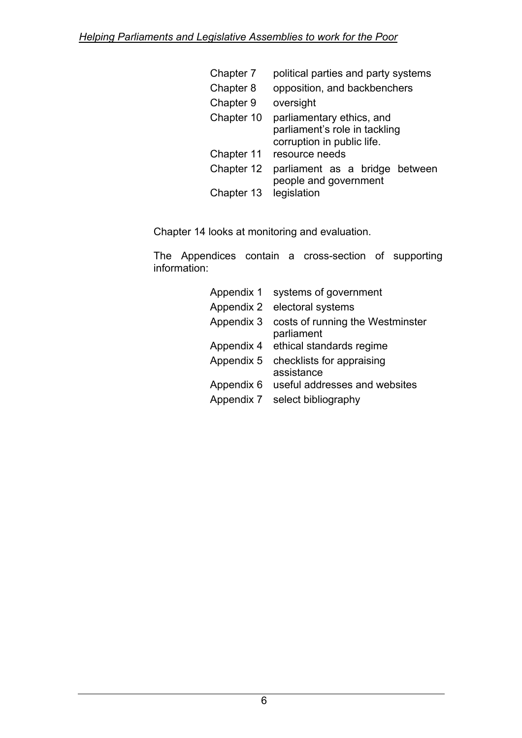| Chapter 7  | political parties and party systems                                                      |  |  |
|------------|------------------------------------------------------------------------------------------|--|--|
| Chapter 8  | opposition, and backbenchers                                                             |  |  |
| Chapter 9  | oversight                                                                                |  |  |
| Chapter 10 | parliamentary ethics, and<br>parliament's role in tackling<br>corruption in public life. |  |  |
| Chapter 11 | resource needs                                                                           |  |  |
| Chapter 12 | parliament as a bridge between<br>people and government                                  |  |  |
| Chapter 13 | legislation                                                                              |  |  |

Chapter 14 looks at monitoring and evaluation.

The Appendices contain a cross-section of supporting information:

| Appendix 1 | systems of government                          |
|------------|------------------------------------------------|
| Appendix 2 | electoral systems                              |
| Appendix 3 | costs of running the Westminster<br>parliament |
| Appendix 4 | ethical standards regime                       |
| Appendix 5 | checklists for appraising<br>assistance        |
| Appendix 6 | useful addresses and websites                  |
| Appendix 7 | select bibliography                            |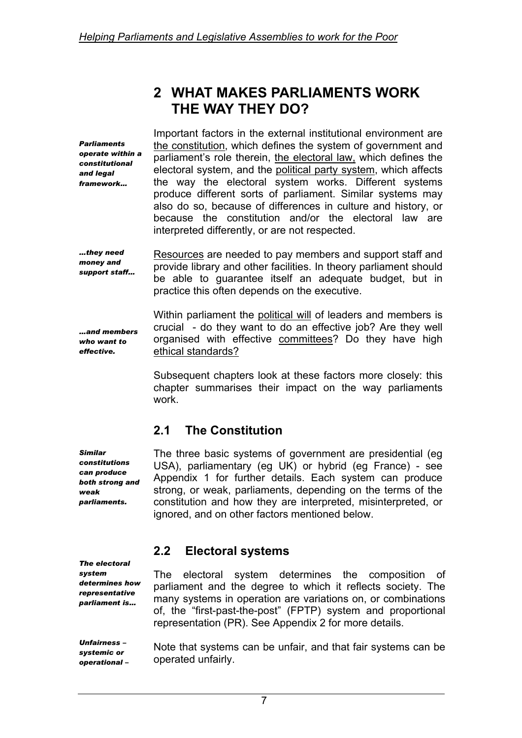# **2 WHAT MAKES PARLIAMENTS WORK THE WAY THEY DO?**

*Parliaments operate within a constitutional and legal framework…*  Important factors in the external institutional environment are the constitution, which defines the system of government and parliament's role therein, the electoral law, which defines the electoral system, and the political party system, which affects the way the electoral system works. Different systems produce different sorts of parliament. Similar systems may also do so, because of differences in culture and history, or because the constitution and/or the electoral law are interpreted differently, or are not respected.

*…they need money and support staff…*  Resources are needed to pay members and support staff and provide library and other facilities. In theory parliament should be able to guarantee itself an adequate budget, but in practice this often depends on the executive.

*…and members who want to effective.* 

Within parliament the political will of leaders and members is crucial - do they want to do an effective job? Are they well organised with effective committees? Do they have high ethical standards?

Subsequent chapters look at these factors more closely: this chapter summarises their impact on the way parliaments work.

# **2.1 The Constitution**

The three basic systems of government are presidential (eg USA), parliamentary (eg UK) or hybrid (eg France) - see Appendix 1 for further details. Each system can produce strong, or weak, parliaments, depending on the terms of the constitution and how they are interpreted, misinterpreted, or ignored, and on other factors mentioned below.

## **2.2 Electoral systems**

The electoral system determines the composition of parliament and the degree to which it reflects society. The many systems in operation are variations on, or combinations of, the "first-past-the-post" (FPTP) system and proportional representation (PR). See Appendix 2 for more details.

Note that systems can be unfair, and that fair systems can be operated unfairly.

*Similar constitutions can produce both strong and weak parliaments.* 

*The electoral system determines how representative parliament is…* 

*Unfairness – systemic or operational –*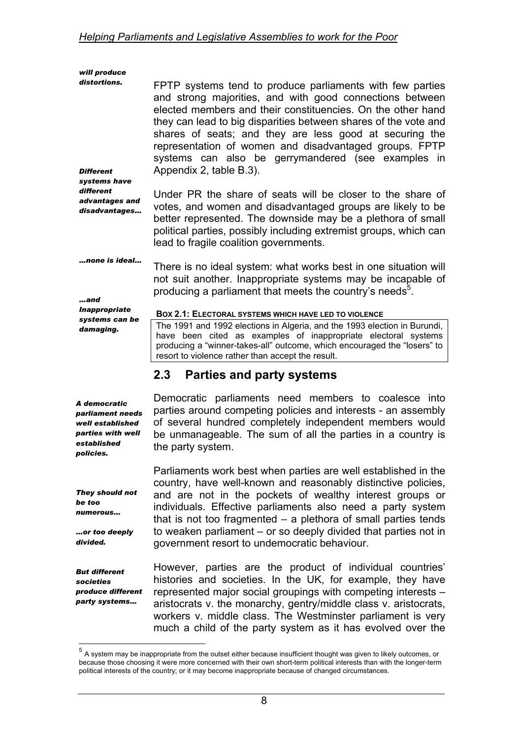| will produce<br>distortions.<br><b>Different</b><br>systems have<br>different<br>advantages and<br>disadvantages | FPTP systems tend to produce parliaments with few parties<br>and strong majorities, and with good connections between<br>elected members and their constituencies. On the other hand<br>they can lead to big disparities between shares of the vote and<br>shares of seats; and they are less good at securing the<br>representation of women and disadvantaged groups. FPTP<br>systems can also be gerrymandered (see examples in<br>Appendix 2, table B.3).<br>Under PR the share of seats will be closer to the share of<br>votes, and women and disadvantaged groups are likely to be<br>better represented. The downside may be a plethora of small<br>political parties, possibly including extremist groups, which can<br>lead to fragile coalition governments. |
|------------------------------------------------------------------------------------------------------------------|-------------------------------------------------------------------------------------------------------------------------------------------------------------------------------------------------------------------------------------------------------------------------------------------------------------------------------------------------------------------------------------------------------------------------------------------------------------------------------------------------------------------------------------------------------------------------------------------------------------------------------------------------------------------------------------------------------------------------------------------------------------------------|
| …none is ideal…<br>and<br><b>Inappropriate</b>                                                                   | There is no ideal system: what works best in one situation will<br>not suit another. Inappropriate systems may be incapable of<br>producing a parliament that meets the country's needs <sup>5</sup> .<br>BOX 2.1: ELECTORAL SYSTEMS WHICH HAVE LED TO VIOLENCE                                                                                                                                                                                                                                                                                                                                                                                                                                                                                                         |
| systems can be<br>damaging.                                                                                      | The 1991 and 1992 elections in Algeria, and the 1993 election in Burundi,<br>have been cited as examples of inappropriate electoral systems<br>producing a "winner-takes-all" outcome, which encouraged the "losers" to<br>resort to violence rather than accept the result.                                                                                                                                                                                                                                                                                                                                                                                                                                                                                            |
|                                                                                                                  | 2.3<br><b>Parties and party systems</b>                                                                                                                                                                                                                                                                                                                                                                                                                                                                                                                                                                                                                                                                                                                                 |
| A democratic<br>parliament needs<br>well established<br>parties with well<br>established<br>policies.            | Democratic parliaments need members to coalesce into<br>parties around competing policies and interests - an assembly<br>of several hundred completely independent members would<br>be unmanageable. The sum of all the parties in a country is<br>the party system.                                                                                                                                                                                                                                                                                                                                                                                                                                                                                                    |
|                                                                                                                  | Parliaments work best when parties are well established in the                                                                                                                                                                                                                                                                                                                                                                                                                                                                                                                                                                                                                                                                                                          |

*They should not be too numerous…* 

*…or too deeply divided.* 

*But different societies produce different party systems…* 

 $\overline{a}$ 

country, have well-known and reasonably distinctive policies, and are not in the pockets of wealthy interest groups or individuals. Effective parliaments also need a party system that is not too fragmented – a plethora of small parties tends to weaken parliament – or so deeply divided that parties not in government resort to undemocratic behaviour.

However, parties are the product of individual countries' histories and societies. In the UK, for example, they have represented major social groupings with competing interests – aristocrats v. the monarchy, gentry/middle class v. aristocrats, workers v. middle class. The Westminster parliament is very much a child of the party system as it has evolved over the

<span id="page-16-0"></span> $<sup>5</sup>$  A system may be inappropriate from the outset either because insufficient thought was given to likely outcomes, or</sup> because those choosing it were more concerned with their own short-term political interests than with the longer-term political interests of the country; or it may become inappropriate because of changed circumstances.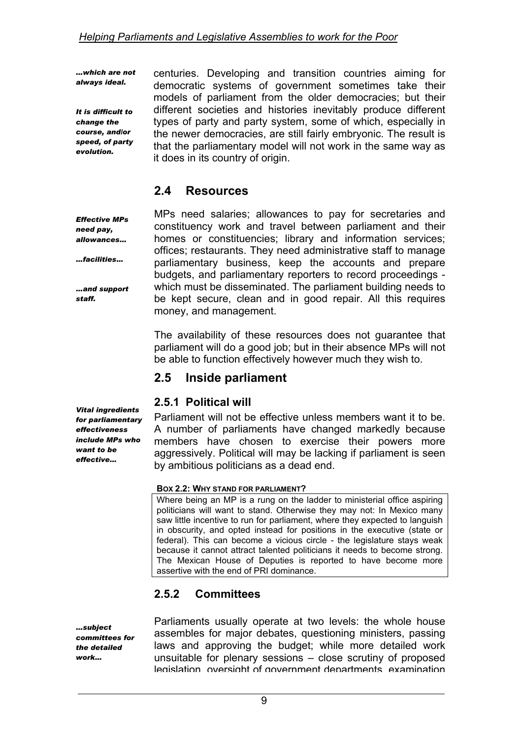*…which are not always ideal.* 

*It is difficult to change the course, and/or speed, of party evolution.* 

*Effective MPs need pay, allowances…* 

*…facilities…* 

*…and support* 

*staff.* 

centuries. Developing and transition countries aiming for democratic systems of government sometimes take their models of parliament from the older democracies; but their different societies and histories inevitably produce different types of party and party system, some of which, especially in the newer democracies, are still fairly embryonic. The result is that the parliamentary model will not work in the same way as it does in its country of origin.

# **2.4 Resources**

MPs need salaries; allowances to pay for secretaries and constituency work and travel between parliament and their homes or constituencies; library and information services; offices; restaurants. They need administrative staff to manage parliamentary business, keep the accounts and prepare budgets, and parliamentary reporters to record proceedings which must be disseminated. The parliament building needs to be kept secure, clean and in good repair. All this requires money, and management.

The availability of these resources does not guarantee that parliament will do a good job; but in their absence MPs will not be able to function effectively however much they wish to.

## **2.5 Inside parliament**

### **2.5.1 Political will**

Parliament will not be effective unless members want it to be. A number of parliaments have changed markedly because members have chosen to exercise their powers more aggressively. Political will may be lacking if parliament is seen by ambitious politicians as a dead end.

#### **BOX 2.2: WHY STAND FOR PARLIAMENT?**

Where being an MP is a rung on the ladder to ministerial office aspiring politicians will want to stand. Otherwise they may not: In Mexico many saw little incentive to run for parliament, where they expected to languish in obscurity, and opted instead for positions in the executive (state or federal). This can become a vicious circle - the legislature stays weak because it cannot attract talented politicians it needs to become strong. The Mexican House of Deputies is reported to have become more assertive with the end of PRI dominance.

## **2.5.2 Committees**

*…subject committees for the detailed work…* 

Parliaments usually operate at two levels: the whole house assembles for major debates, questioning ministers, passing laws and approving the budget; while more detailed work unsuitable for plenary sessions – close scrutiny of proposed legislation oversight of government departments examination

*Vital ingredients for parliamentary effectiveness include MPs who want to be effective…*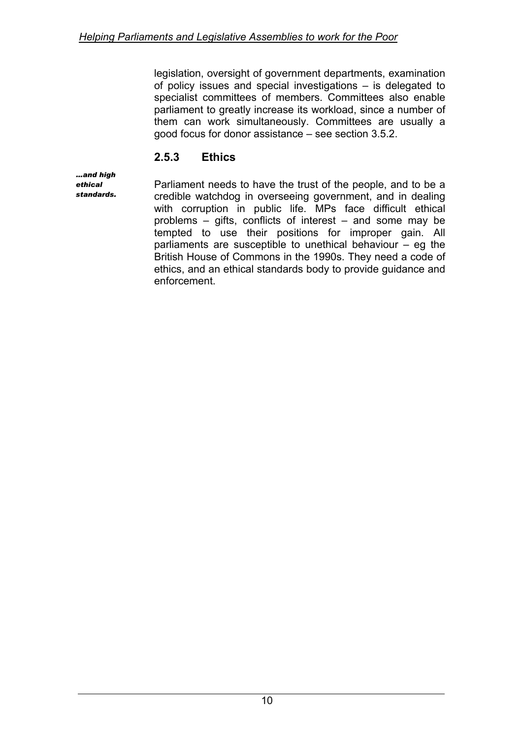legislation, oversight of government departments, examination of policy issues and special investigations – is delegated to specialist committees of members. Committees also enable parliament to greatly increase its workload, since a number of them can work simultaneously. Committees are usually a good focus for donor assistance – see section 3.5.2.

## **2.5.3 Ethics**

*…and high ethical standards.* 

Parliament needs to have the trust of the people, and to be a credible watchdog in overseeing government, and in dealing with corruption in public life. MPs face difficult ethical problems – gifts, conflicts of interest – and some may be tempted to use their positions for improper gain. All parliaments are susceptible to unethical behaviour – eg the British House of Commons in the 1990s. They need a code of ethics, and an ethical standards body to provide guidance and enforcement.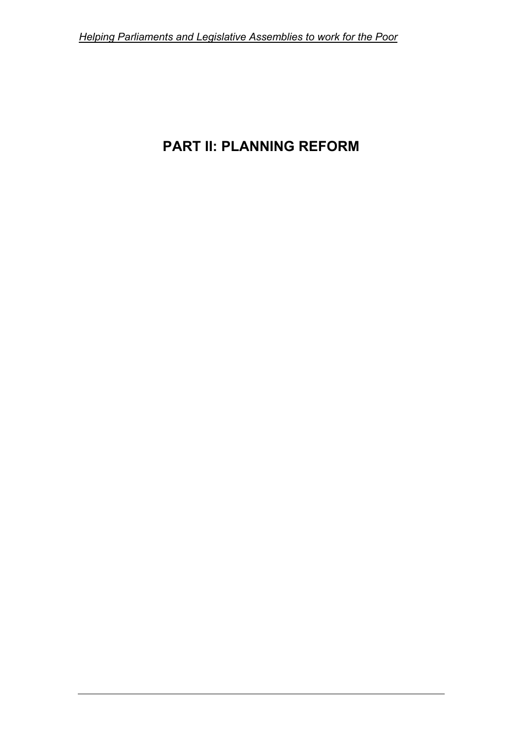# **PART II: PLANNING REFORM**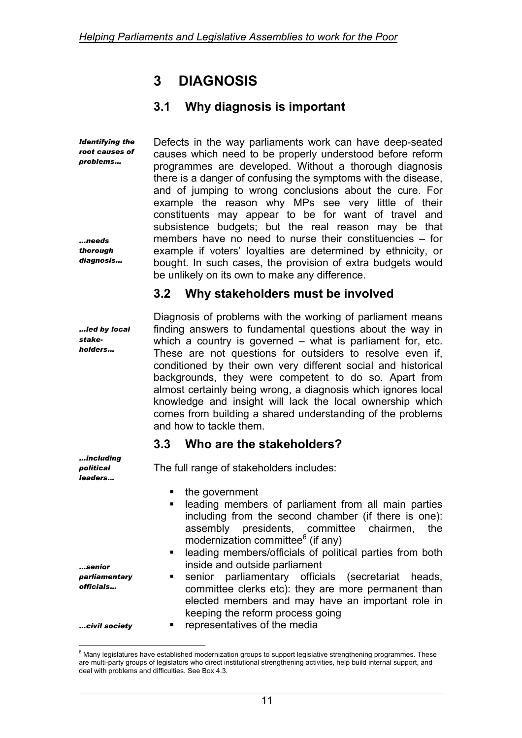# **3 DIAGNOSIS**

# **3.1 Why diagnosis is important**

*Identifying the root causes of problems… …needs thorough diagnosis...*  Defects in the way parliaments work can have deep-seated causes which need to be properly understood before reform programmes are developed. Without a thorough diagnosis there is a danger of confusing the symptoms with the disease, and of jumping to wrong conclusions about the cure. For example the reason why MPs see very little of their constituents may appear to be for want of travel and subsistence budgets; but the real reason may be that members have no need to nurse their constituencies – for example if voters' loyalties are determined by ethnicity, or bought. In such cases, the provision of extra budgets would be unlikely on its own to make any difference.

## **3.2 Why stakeholders must be involved**

*…led by local stakeholders…* 

*…including political leaders…* 

Diagnosis of problems with the working of parliament means finding answers to fundamental questions about the way in which a country is governed – what is parliament for, etc. These are not questions for outsiders to resolve even if, conditioned by their own very different social and historical backgrounds, they were competent to do so. Apart from almost certainly being wrong, a diagnosis which ignores local knowledge and insight will lack the local ownership which comes from building a shared understanding of the problems and how to tackle them.

## **3.3 Who are the stakeholders?**

The full range of stakeholders includes:

- the government
- **EXEC** leading members of parliament from all main parties including from the second chamber (if there is one): assembly presidents, committee chairmen, the modernization committee $^6$  $^6$  (if any)
- leading members/officials of political parties from both inside and outside parliament
- **senior** parliamentary officials (secretariat heads, committee clerks etc): they are more permanent than elected members and may have an important role in keeping the reform process going
- representatives of the media

*…senior parliamentary officials…* 

*…civil society* 

 $\overline{a}$ 

<span id="page-20-0"></span><sup>&</sup>lt;sup>6</sup> Many legislatures have established modernization groups to support legislative strengthening programmes. These are multi-party groups of legislators who direct institutional strengthening activities, help build internal support, and deal with problems and difficulties. See Box 4.3.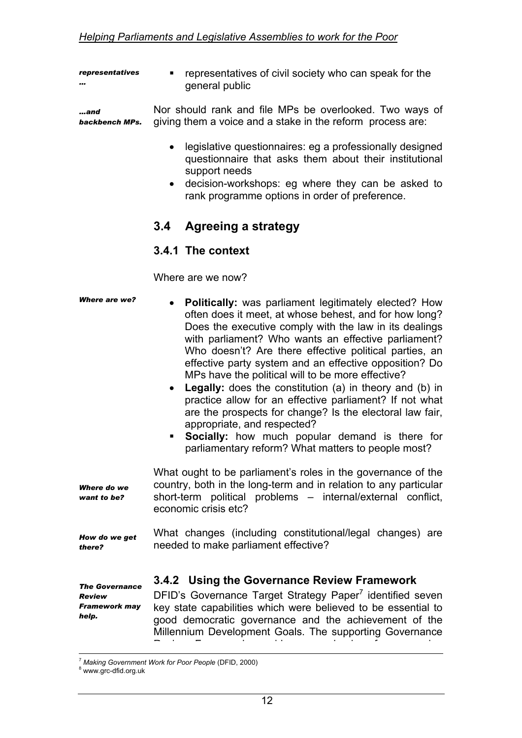*representatives …*  **•** representatives of civil society who can speak for the general public

*…and backbench MPs.*  Nor should rank and file MPs be overlooked. Two ways of giving them a voice and a stake in the reform process are:

- legislative questionnaires: eg a professionally designed questionnaire that asks them about their institutional support needs
- decision-workshops: eg where they can be asked to rank programme options in order of preference.

## **3.4 Agreeing a strategy**

#### **3.4.1 The context**

Where are we now?

| <b>Where are we?</b>                                                    | <b>Politically:</b> was parliament legitimately elected? How<br>often does it meet, at whose behest, and for how long?<br>Does the executive comply with the law in its dealings<br>with parliament? Who wants an effective parliament?<br>Who doesn't? Are there effective political parties, an<br>effective party system and an effective opposition? Do<br>MPs have the political will to be more effective?<br><b>Legally:</b> does the constitution (a) in theory and (b) in<br>practice allow for an effective parliament? If not what<br>are the prospects for change? Is the electoral law fair,<br>appropriate, and respected?<br>Socially: how much popular demand is there for<br>parliamentary reform? What matters to people most? |
|-------------------------------------------------------------------------|--------------------------------------------------------------------------------------------------------------------------------------------------------------------------------------------------------------------------------------------------------------------------------------------------------------------------------------------------------------------------------------------------------------------------------------------------------------------------------------------------------------------------------------------------------------------------------------------------------------------------------------------------------------------------------------------------------------------------------------------------|
| Where do we<br>want to be?                                              | What ought to be parliament's roles in the governance of the<br>country, both in the long-term and in relation to any particular<br>short-term political problems - internal/external conflict,<br>economic crisis etc?                                                                                                                                                                                                                                                                                                                                                                                                                                                                                                                          |
| How do we get<br>there?                                                 | What changes (including constitutional/legal changes) are<br>needed to make parliament effective?                                                                                                                                                                                                                                                                                                                                                                                                                                                                                                                                                                                                                                                |
| <b>The Governance</b><br><b>Review</b><br><b>Framework may</b><br>help. | 3.4.2 Using the Governance Review Framework<br>DFID's Governance Target Strategy Paper <sup>7</sup> identified seven<br>key state capabilities which were believed to be essential to<br>good democratic governance and the achievement of the<br>Millennium Development Goals. The supporting Governance                                                                                                                                                                                                                                                                                                                                                                                                                                        |

<span id="page-21-0"></span><sup>&</sup>lt;sup>7</sup> Making Government Work for Poor People (DFID, 2000)

<sup>&</sup>lt;sup>8</sup> www.grc-dfid.org.uk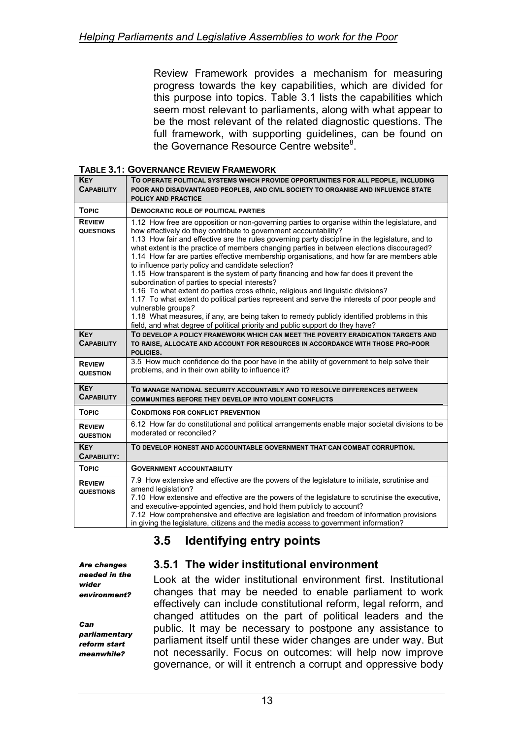Review Framework provides a mechanism for measuring progress towards the key capabilities, which are divided for this purpose into topics. Table 3.1 lists the capabilities which seem most relevant to parliaments, along with what appear to be the most relevant of the related diagnostic questions. The full framework, with supporting guidelines, can be found on the Governance Resource Centre website<sup>8</sup>.

**TABLE 3.1: GOVERNANCE REVIEW FRAMEWORK**

| <b>KEY</b><br><b>CAPABILITY</b>   | TO OPERATE POLITICAL SYSTEMS WHICH PROVIDE OPPORTUNITIES FOR ALL PEOPLE, INCLUDING<br>POOR AND DISADVANTAGED PEOPLES, AND CIVIL SOCIETY TO ORGANISE AND INFLUENCE STATE<br><b>POLICY AND PRACTICE</b>                                                                                                                                                                                                                                                                                                                                                                                                                                                                                                                                                                                                                                                                                                                                                                                                                                                     |
|-----------------------------------|-----------------------------------------------------------------------------------------------------------------------------------------------------------------------------------------------------------------------------------------------------------------------------------------------------------------------------------------------------------------------------------------------------------------------------------------------------------------------------------------------------------------------------------------------------------------------------------------------------------------------------------------------------------------------------------------------------------------------------------------------------------------------------------------------------------------------------------------------------------------------------------------------------------------------------------------------------------------------------------------------------------------------------------------------------------|
| <b>TOPIC</b>                      | <b>DEMOCRATIC ROLE OF POLITICAL PARTIES</b>                                                                                                                                                                                                                                                                                                                                                                                                                                                                                                                                                                                                                                                                                                                                                                                                                                                                                                                                                                                                               |
| <b>REVIEW</b><br><b>QUESTIONS</b> | 1.12 How free are opposition or non-governing parties to organise within the legislature, and<br>how effectively do they contribute to government accountability?<br>1.13 How fair and effective are the rules governing party discipline in the legislature, and to<br>what extent is the practice of members changing parties in between elections discouraged?<br>1.14 How far are parties effective membership organisations, and how far are members able<br>to influence party policy and candidate selection?<br>1.15 How transparent is the system of party financing and how far does it prevent the<br>subordination of parties to special interests?<br>1.16 To what extent do parties cross ethnic, religious and linguistic divisions?<br>1.17 To what extent do political parties represent and serve the interests of poor people and<br>vulnerable groups?<br>1.18 What measures, if any, are being taken to remedy publicly identified problems in this<br>field, and what degree of political priority and public support do they have? |
| <b>KEY</b><br><b>CAPABILITY</b>   | TO DEVELOP A POLICY FRAMEWORK WHICH CAN MEET THE POVERTY ERADICATION TARGETS AND<br>TO RAISE, ALLOCATE AND ACCOUNT FOR RESOURCES IN ACCORDANCE WITH THOSE PRO-POOR<br>POLICIES.                                                                                                                                                                                                                                                                                                                                                                                                                                                                                                                                                                                                                                                                                                                                                                                                                                                                           |
| <b>REVIEW</b><br><b>QUESTION</b>  | 3.5 How much confidence do the poor have in the ability of government to help solve their<br>problems, and in their own ability to influence it?                                                                                                                                                                                                                                                                                                                                                                                                                                                                                                                                                                                                                                                                                                                                                                                                                                                                                                          |
| <b>KEY</b><br><b>CAPABILITY</b>   | TO MANAGE NATIONAL SECURITY ACCOUNTABLY AND TO RESOLVE DIFFERENCES BETWEEN<br><b>COMMUNITIES BEFORE THEY DEVELOP INTO VIOLENT CONFLICTS</b>                                                                                                                                                                                                                                                                                                                                                                                                                                                                                                                                                                                                                                                                                                                                                                                                                                                                                                               |
| <b>TOPIC</b>                      | <b>CONDITIONS FOR CONFLICT PREVENTION</b>                                                                                                                                                                                                                                                                                                                                                                                                                                                                                                                                                                                                                                                                                                                                                                                                                                                                                                                                                                                                                 |
| <b>REVIEW</b><br><b>QUESTION</b>  | 6.12 How far do constitutional and political arrangements enable major societal divisions to be<br>moderated or reconciled?                                                                                                                                                                                                                                                                                                                                                                                                                                                                                                                                                                                                                                                                                                                                                                                                                                                                                                                               |
| <b>KEY</b><br>CAPABILITY:         | TO DEVELOP HONEST AND ACCOUNTABLE GOVERNMENT THAT CAN COMBAT CORRUPTION.                                                                                                                                                                                                                                                                                                                                                                                                                                                                                                                                                                                                                                                                                                                                                                                                                                                                                                                                                                                  |
| <b>TOPIC</b>                      | <b>GOVERNMENT ACCOUNTABILITY</b>                                                                                                                                                                                                                                                                                                                                                                                                                                                                                                                                                                                                                                                                                                                                                                                                                                                                                                                                                                                                                          |
| <b>REVIEW</b><br><b>QUESTIONS</b> | 7.9 How extensive and effective are the powers of the legislature to initiate, scrutinise and<br>amend legislation?<br>7.10 How extensive and effective are the powers of the legislature to scrutinise the executive,<br>and executive-appointed agencies, and hold them publicly to account?<br>7.12 How comprehensive and effective are legislation and freedom of information provisions<br>in giving the legislature, citizens and the media access to government information?                                                                                                                                                                                                                                                                                                                                                                                                                                                                                                                                                                       |

# **3.5 Identifying entry points**

*Are changes needed in the wider environment?* 

<span id="page-22-0"></span>*Can parliamentary reform start meanwhile?* 

### **3.5.1 The wider institutional environment**

Look at the wider institutional environment first. Institutional changes that may be needed to enable parliament to work effectively can include constitutional reform, legal reform, and changed attitudes on the part of political leaders and the public. It may be necessary to postpone any assistance to parliament itself until these wider changes are under way. But not necessarily. Focus on outcomes: will help now improve governance, or will it entrench a corrupt and oppressive body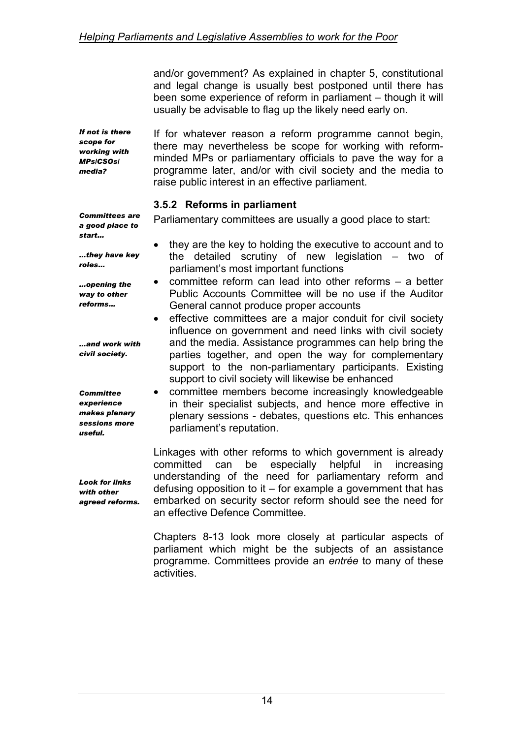and/or government? As explained in chapter 5, constitutional and legal change is usually best postponed until there has been some experience of reform in parliament – though it will usually be advisable to flag up the likely need early on.

*If not is there scope for working with MPs/CSOs/ media?* 

If for whatever reason a reform programme cannot begin, there may nevertheless be scope for working with reformminded MPs or parliamentary officials to pave the way for a programme later, and/or with civil society and the media to raise public interest in an effective parliament.

#### **3.5.2 Reforms in parliament**

Parliamentary committees are usually a good place to start:

*Committees are a good place to start…* 

*…they have key roles…* 

*…opening the way to other reforms…* 

*…and work with civil society.* 

*Committee experience makes plenary sessions more useful.* 

*Look for links with other agreed reforms.* 

- they are the key to holding the executive to account and to the detailed scrutiny of new legislation – two of parliament's most important functions
- committee reform can lead into other reforms a better Public Accounts Committee will be no use if the Auditor General cannot produce proper accounts
- effective committees are a major conduit for civil society influence on government and need links with civil society and the media. Assistance programmes can help bring the parties together, and open the way for complementary support to the non-parliamentary participants. Existing support to civil society will likewise be enhanced
- committee members become increasingly knowledgeable in their specialist subjects, and hence more effective in plenary sessions - debates, questions etc. This enhances parliament's reputation.

Linkages with other reforms to which government is already committed can be especially helpful in increasing understanding of the need for parliamentary reform and defusing opposition to it – for example a government that has embarked on security sector reform should see the need for an effective Defence Committee.

Chapters 8-13 look more closely at particular aspects of parliament which might be the subjects of an assistance programme. Committees provide an *entrée* to many of these activities.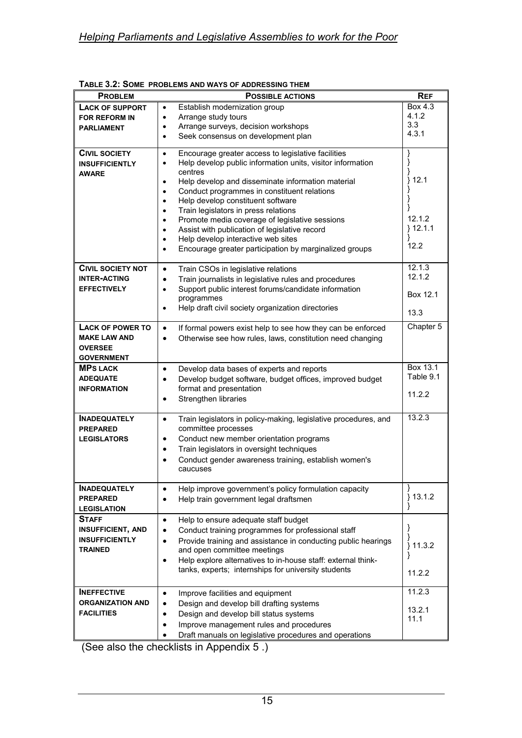| <b>REF</b><br><b>PROBLEM</b><br><b>POSSIBLE ACTIONS</b> |                                                                                                                                                       |                  |  |  |  |
|---------------------------------------------------------|-------------------------------------------------------------------------------------------------------------------------------------------------------|------------------|--|--|--|
| <b>LACK OF SUPPORT</b>                                  | Establish modernization group<br>$\bullet$                                                                                                            | Box 4.3          |  |  |  |
| <b>FOR REFORM IN</b>                                    | Arrange study tours<br>$\bullet$                                                                                                                      | 4.1.2            |  |  |  |
| <b>PARLIAMENT</b>                                       | Arrange surveys, decision workshops<br>$\bullet$                                                                                                      | 3.3              |  |  |  |
|                                                         | Seek consensus on development plan<br>$\bullet$                                                                                                       | 4.3.1            |  |  |  |
| <b>CIVIL SOCIETY</b><br><b>INSUFFICIENTLY</b>           | Encourage greater access to legislative facilities<br>$\bullet$<br>Help develop public information units, visitor information<br>$\bullet$            | }                |  |  |  |
| <b>AWARE</b>                                            | centres<br>Help develop and disseminate information material<br>$\bullet$<br>Conduct programmes in constituent relations<br>$\bullet$                 | 12.1<br>ł        |  |  |  |
|                                                         | Help develop constituent software<br>$\bullet$                                                                                                        |                  |  |  |  |
|                                                         | Train legislators in press relations<br>$\bullet$                                                                                                     | 12.1.2           |  |  |  |
|                                                         | Promote media coverage of legislative sessions<br>$\bullet$                                                                                           | $}12.1.1$        |  |  |  |
|                                                         | Assist with publication of legislative record<br>$\bullet$<br>Help develop interactive web sites<br>$\bullet$                                         | ł                |  |  |  |
|                                                         | Encourage greater participation by marginalized groups<br>$\bullet$                                                                                   | 12.2             |  |  |  |
|                                                         |                                                                                                                                                       |                  |  |  |  |
| <b>CIVIL SOCIETY NOT</b>                                | Train CSOs in legislative relations<br>$\bullet$                                                                                                      | 12.1.3<br>12.1.2 |  |  |  |
| <b>INTER-ACTING</b><br><b>EFFECTIVELY</b>               | Train journalists in legislative rules and procedures<br>$\bullet$<br>Support public interest forums/candidate information<br>$\bullet$<br>programmes | Box 12.1         |  |  |  |
|                                                         | Help draft civil society organization directories<br>$\bullet$                                                                                        | 13.3             |  |  |  |
| <b>LACK OF POWER TO</b>                                 | If formal powers exist help to see how they can be enforced<br>$\bullet$                                                                              | Chapter 5        |  |  |  |
| <b>MAKE LAW AND</b>                                     | Otherwise see how rules, laws, constitution need changing<br>$\bullet$                                                                                |                  |  |  |  |
| <b>OVERSEE</b>                                          |                                                                                                                                                       |                  |  |  |  |
| <b>GOVERNMENT</b>                                       |                                                                                                                                                       |                  |  |  |  |
| <b>MPS LACK</b>                                         | Develop data bases of experts and reports<br>$\bullet$                                                                                                | Box 13.1         |  |  |  |
| <b>ADEQUATE</b>                                         | Develop budget software, budget offices, improved budget<br>$\bullet$                                                                                 | Table 9.1        |  |  |  |
| <b>INFORMATION</b>                                      | format and presentation                                                                                                                               | 11.2.2           |  |  |  |
|                                                         | Strengthen libraries<br>$\bullet$                                                                                                                     |                  |  |  |  |
| <b>INADEQUATELY</b><br><b>PREPARED</b>                  | Train legislators in policy-making, legislative procedures, and<br>$\bullet$<br>committee processes                                                   | 13.2.3           |  |  |  |
| <b>LEGISLATORS</b>                                      | Conduct new member orientation programs<br>$\bullet$                                                                                                  |                  |  |  |  |
|                                                         | Train legislators in oversight techniques<br>$\bullet$                                                                                                |                  |  |  |  |
|                                                         | Conduct gender awareness training, establish women's<br>$\bullet$                                                                                     |                  |  |  |  |
|                                                         | caucuses                                                                                                                                              |                  |  |  |  |
| <b>INADEQUATELY</b>                                     | Help improve government's policy formulation capacity<br>$\bullet$                                                                                    | }                |  |  |  |
| <b>PREPARED</b>                                         | Help train government legal draftsmen<br>$\bullet$                                                                                                    | 13.1.2<br>}      |  |  |  |
| <b>LEGISLATION</b>                                      |                                                                                                                                                       | ł                |  |  |  |
| <b>STAFF</b>                                            | Help to ensure adequate staff budget<br>$\bullet$                                                                                                     | }                |  |  |  |
| <b>INSUFFICIENT, AND</b>                                | Conduct training programmes for professional staff<br>$\bullet$                                                                                       | }                |  |  |  |
| <b>INSUFFICIENTLY</b><br><b>TRAINED</b>                 | Provide training and assistance in conducting public hearings<br>$\bullet$                                                                            | 11.3.2<br>}      |  |  |  |
|                                                         | and open committee meetings<br>Help explore alternatives to in-house staff: external think-<br>$\bullet$                                              | }                |  |  |  |
|                                                         | tanks, experts; internships for university students                                                                                                   | 11.2.2           |  |  |  |
|                                                         |                                                                                                                                                       |                  |  |  |  |
| <b>INEFFECTIVE</b>                                      | Improve facilities and equipment<br>$\bullet$                                                                                                         | 11.2.3           |  |  |  |
| <b>ORGANIZATION AND</b>                                 | Design and develop bill drafting systems<br>$\bullet$                                                                                                 | 13.2.1           |  |  |  |
| <b>FACILITIES</b>                                       | Design and develop bill status systems<br>$\bullet$                                                                                                   | 11.1             |  |  |  |
|                                                         | Improve management rules and procedures<br>$\bullet$                                                                                                  |                  |  |  |  |
|                                                         | Draft manuals on legislative procedures and operations                                                                                                |                  |  |  |  |

|  |  |  | TABLE 3.2: SOME PROBLEMS AND WAYS OF ADDRESSING THEM |
|--|--|--|------------------------------------------------------|
|--|--|--|------------------------------------------------------|

(See also the checklists in Appendix 5 .)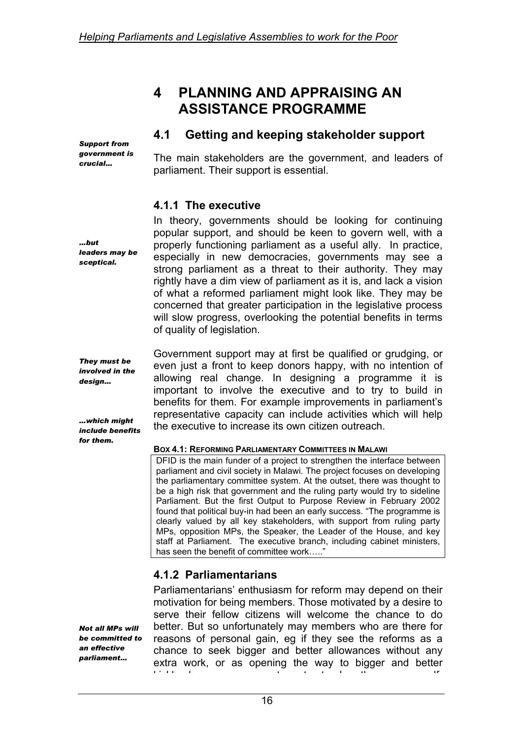# **4 PLANNING AND APPRAISING AN ASSISTANCE PROGRAMME**

### **4.1 Getting and keeping stakeholder support**

*Support from government is crucial…* 

*leaders may be sceptical.* 

*They must be involved in the design…* 

*…which might* 

*for them.* 

*…but* 

The main stakeholders are the government, and leaders of parliament. Their support is essential.

### **4.1.1 The executive**

In theory, governments should be looking for continuing popular support, and should be keen to govern well, with a properly functioning parliament as a useful ally. In practice, especially in new democracies, governments may see a strong parliament as a threat to their authority. They may rightly have a dim view of parliament as it is, and lack a vision of what a reformed parliament might look like. They may be concerned that greater participation in the legislative process will slow progress, overlooking the potential benefits in terms of quality of legislation.

*include benefits*  Government support may at first be qualified or grudging, or even just a front to keep donors happy, with no intention of allowing real change. In designing a programme it is important to involve the executive and to try to build in benefits for them. For example improvements in parliament's representative capacity can include activities which will help the executive to increase its own citizen outreach.

#### **BOX 4.1: REFORMING PARLIAMENTARY COMMITTEES IN MALAWI**

DFID is the main funder of a project to strengthen the interface between parliament and civil society in Malawi. The project focuses on developing the parliamentary committee system. At the outset, there was thought to be a high risk that government and the ruling party would try to sideline Parliament. But the first Output to Purpose Review in February 2002 found that political buy-in had been an early success. "The programme is clearly valued by all key stakeholders, with support from ruling party MPs, opposition MPs, the Speaker, the Leader of the House, and key staff at Parliament. The executive branch, including cabinet ministers, has seen the benefit of committee work....."

## **4.1.2 Parliamentarians**

*Not all MPs will be committed to an effective parliament…* 

Parliamentarians' enthusiasm for reform may depend on their motivation for being members. Those motivated by a desire to serve their fellow citizens will welcome the chance to do better. But so unfortunately may members who are there for reasons of personal gain, eg if they see the reforms as a chance to seek bigger and better allowances without any extra work, or as opening the way to bigger and better ki kb k t t t I th lf

16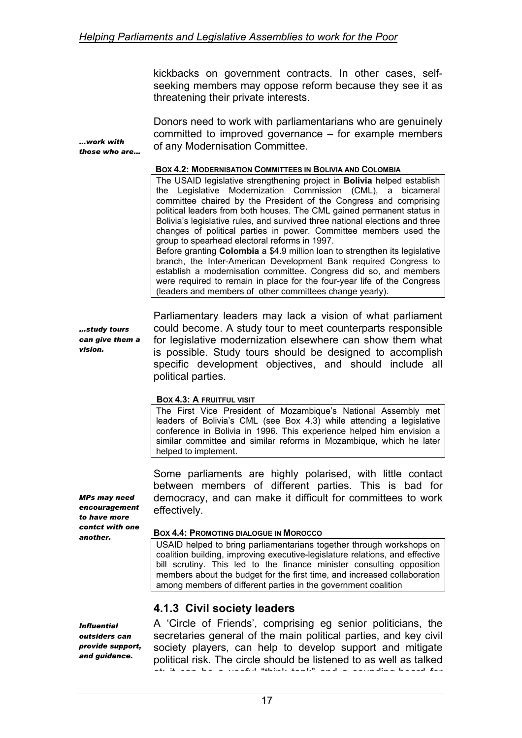kickbacks on government contracts. In other cases, selfseeking members may oppose reform because they see it as threatening their private interests.

Donors need to work with parliamentarians who are genuinely committed to improved governance – for example members of any Modernisation Committee.

#### **BOX 4.2: MODERNISATION COMMITTEES IN BOLIVIA AND COLOMBIA**

The USAID legislative strengthening project in **Bolivia** helped establish the Legislative Modernization Commission (CML), a bicameral committee chaired by the President of the Congress and comprising political leaders from both houses. The CML gained permanent status in Bolivia's legislative rules, and survived three national elections and three changes of political parties in power. Committee members used the group to spearhead electoral reforms in 1997.

Before granting **Colombia** a \$4.9 million loan to strengthen its legislative branch, the Inter-American Development Bank required Congress to establish a modernisation committee. Congress did so, and members were required to remain in place for the four-year life of the Congress (leaders and members of other committees change yearly).

*…study tours can give them a vision.* 

*…work with those who are…* 

> Parliamentary leaders may lack a vision of what parliament could become. A study tour to meet counterparts responsible for legislative modernization elsewhere can show them what is possible. Study tours should be designed to accomplish specific development objectives, and should include all political parties.

#### **BOX 4.3: A FRUITFUL VISIT**

The First Vice President of Mozambique's National Assembly met leaders of Bolivia's CML (see Box 4.3) while attending a legislative conference in Bolivia in 1996. This experience helped him envision a similar committee and similar reforms in Mozambique, which he later helped to implement.

Some parliaments are highly polarised, with little contact between members of different parties. This is bad for democracy, and can make it difficult for committees to work effectively.

#### **BOX 4.4: PROMOTING DIALOGUE IN MOROCCO**

USAID helped to bring parliamentarians together through workshops on coalition building, improving executive-legislature relations, and effective bill scrutiny. This led to the finance minister consulting opposition members about the budget for the first time, and increased collaboration among members of different parties in the government coalition

### **4.1.3 Civil society leaders**

*Influential outsiders can provide support, and guidance.* 

A 'Circle of Friends', comprising eg senior politicians, the secretaries general of the main political parties, and key civil society players, can help to develop support and mitigate political risk. The circle should be listened to as well as talked at; it can be a useful "think tank" and a sounding board for

*MPs may need encouragement to have more contct with one another.*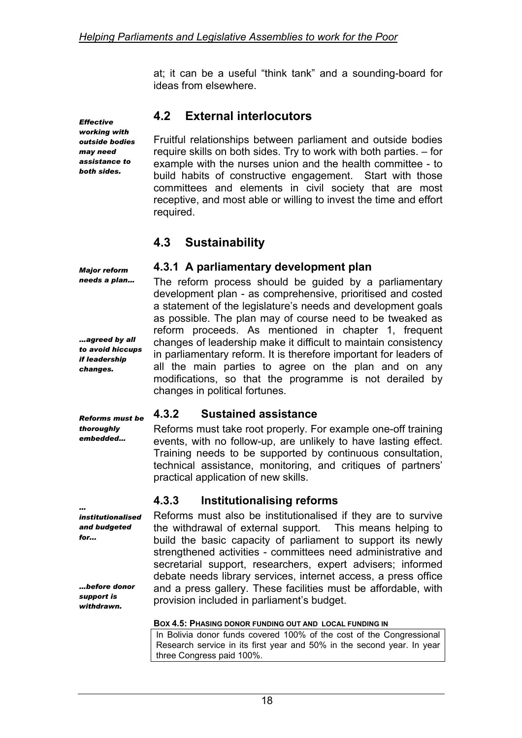at; it can be a useful "think tank" and a sounding-board for ideas from elsewhere.

**4.2 External interlocutors** 

Fruitful relationships between parliament and outside bodies require skills on both sides. Try to work with both parties. – for example with the nurses union and the health committee - to build habits of constructive engagement. Start with those committees and elements in civil society that are most receptive, and most able or willing to invest the time and effort required.

## **4.3 Sustainability**

#### **4.3.1 A parliamentary development plan**

The reform process should be guided by a parliamentary development plan - as comprehensive, prioritised and costed a statement of the legislature's needs and development goals as possible. The plan may of course need to be tweaked as reform proceeds. As mentioned in chapter 1, frequent changes of leadership make it difficult to maintain consistency in parliamentary reform. It is therefore important for leaders of all the main parties to agree on the plan and on any modifications, so that the programme is not derailed by changes in political fortunes.

#### **4.3.2 Sustained assistance**

Reforms must take root properly. For example one-off training events, with no follow-up, are unlikely to have lasting effect. Training needs to be supported by continuous consultation, technical assistance, monitoring, and critiques of partners' practical application of new skills.

### **4.3.3 Institutionalising reforms**

Reforms must also be institutionalised if they are to survive the withdrawal of external support. This means helping to build the basic capacity of parliament to support its newly strengthened activities - committees need administrative and secretarial support, researchers, expert advisers; informed debate needs library services, internet access, a press office and a press gallery. These facilities must be affordable, with provision included in parliament's budget.

#### **BOX 4.5: PHASING DONOR FUNDING OUT AND LOCAL FUNDING IN**

In Bolivia donor funds covered 100% of the cost of the Congressional Research service in its first year and 50% in the second year. In year three Congress paid 100%.

*Effective working with outside bodies may need assistance to both sides.* 

*…agreed by all to avoid hiccups if leadership changes.* 

*Major reform needs a plan…* 

*Reforms must be thoroughly embedded…* 

*… institutionalised and budgeted for...* 

*…before donor support is withdrawn.*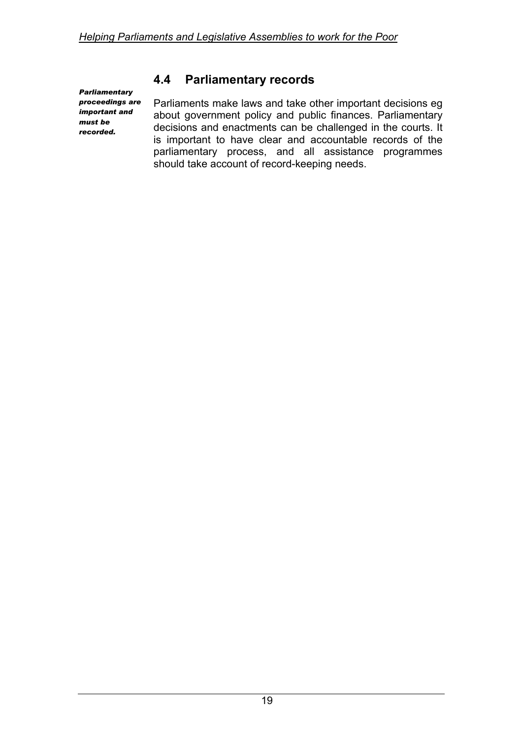*Parliamentary proceedings are important and must be recorded.* 

# **4.4 Parliamentary records**

Parliaments make laws and take other important decisions eg about government policy and public finances. Parliamentary decisions and enactments can be challenged in the courts. It is important to have clear and accountable records of the parliamentary process, and all assistance programmes should take account of record-keeping needs.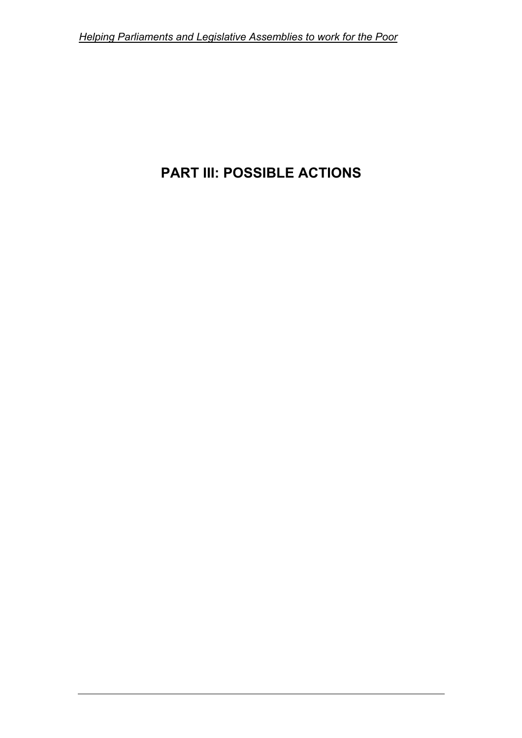# **PART III: POSSIBLE ACTIONS**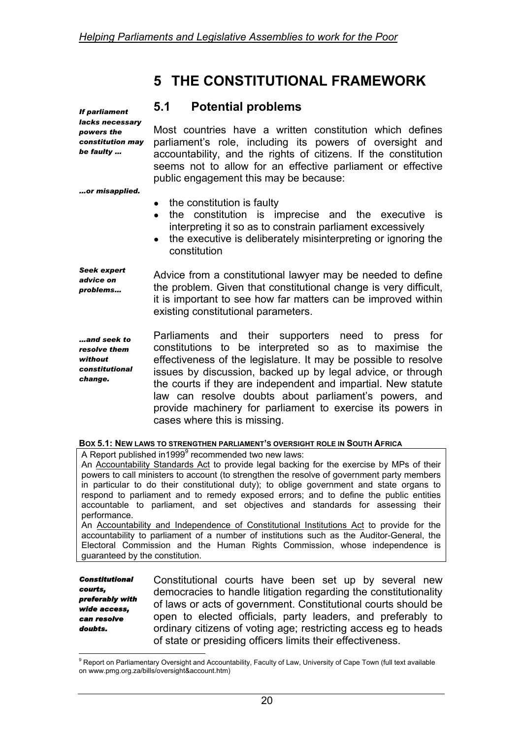# **5 THE CONSTITUTIONAL FRAMEWORK**

#### **5.1 Potential problems**

*If parliament lacks necessary powers the constitution may be faulty …* 

Most countries have a written constitution which defines parliament's role, including its powers of oversight and accountability, and the rights of citizens. If the constitution seems not to allow for an effective parliament or effective public engagement this may be because:

*…or misapplied.* 

- the constitution is faulty
- the constitution is imprecise and the executive is interpreting it so as to constrain parliament excessively
- the executive is deliberately misinterpreting or ignoring the constitution

*Seek expert advice on problems…*  Advice from a constitutional lawyer may be needed to define the problem. Given that constitutional change is very difficult, it is important to see how far matters can be improved within existing constitutional parameters.

*…and seek to resolve them without constitutional change.*  Parliaments and their supporters need to press for constitutions to be interpreted so as to maximise the effectiveness of the legislature. It may be possible to resolve issues by discussion, backed up by legal advice, or through the courts if they are independent and impartial. New statute law can resolve doubts about parliament's powers, and provide machinery for parliament to exercise its powers in cases where this is missing.

| BOX 5.1: NEW LAWS TO STRENGTHEN PARLIAMENT'S OVERSIGHT ROLE IN SOUTH AFRICA |
|-----------------------------------------------------------------------------|
|-----------------------------------------------------------------------------|

A Report published in1[9](#page-30-0)99 $9$  recommended two new laws:

An Accountability Standards Act to provide legal backing for the exercise by MPs of their powers to call ministers to account (to strengthen the resolve of government party members in particular to do their constitutional duty); to oblige government and state organs to respond to parliament and to remedy exposed errors; and to define the public entities accountable to parliament, and set objectives and standards for assessing their performance.

An Accountability and Independence of Constitutional Institutions Act to provide for the accountability to parliament of a number of institutions such as the Auditor-General, the Electoral Commission and the Human Rights Commission, whose independence is guaranteed by the constitution.

*Constitutional courts, preferably with wide access, can resolve doubts.* 

Constitutional courts have been set up by several new democracies to handle litigation regarding the constitutionality of laws or acts of government. Constitutional courts should be open to elected officials, party leaders, and preferably to ordinary citizens of voting age; restricting access eg to heads of state or presiding officers limits their effectiveness.

<span id="page-30-0"></span> 9 Report on Parliamentary Oversight and Accountability, Faculty of Law, University of Cape Town (full text available on www.pmg.org.za/bills/oversight&account.htm)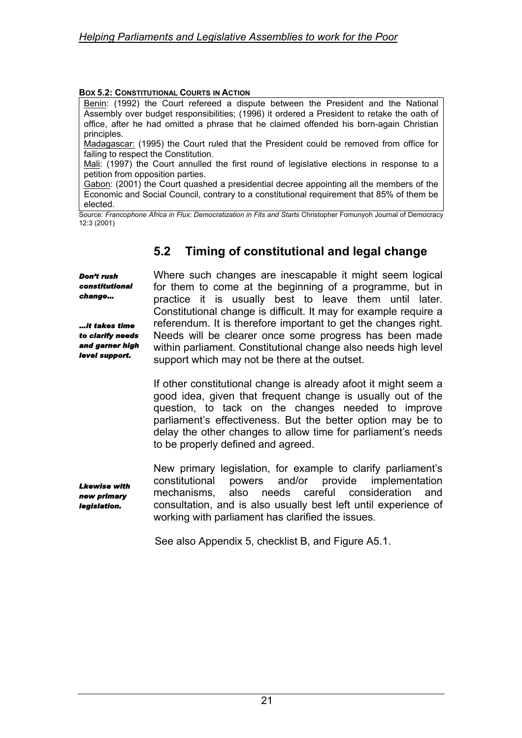#### **BOX 5.2: CONSTITUTIONAL COURTS IN ACTION**

Benin: (1992) the Court refereed a dispute between the President and the National Assembly over budget responsibilities; (1996) it ordered a President to retake the oath of office, after he had omitted a phrase that he claimed offended his born-again Christian principles.

Madagascar: (1995) the Court ruled that the President could be removed from office for failing to respect the Constitution.

Mali: (1997) the Court annulled the first round of legislative elections in response to a petition from opposition parties.

Gabon: (2001) the Court quashed a presidential decree appointing all the members of the Economic and Social Council, contrary to a constitutional requirement that 85% of them be elected.

Source: Francophone Africa in Flux; Democratization in Fits and Starts Christopher Fomunyoh Journal of Democracy 12:3 (2001)

# **5.2 Timing of constitutional and legal change**

*Don't rush constitutional change…* 

*…it takes time to clarify needs and garner high level support.* 

Where such changes are inescapable it might seem logical for them to come at the beginning of a programme, but in practice it is usually best to leave them until later. Constitutional change is difficult. It may for example require a referendum. It is therefore important to get the changes right. Needs will be clearer once some progress has been made within parliament. Constitutional change also needs high level support which may not be there at the outset.

If other constitutional change is already afoot it might seem a good idea, given that frequent change is usually out of the question, to tack on the changes needed to improve parliament's effectiveness. But the better option may be to delay the other changes to allow time for parliament's needs to be properly defined and agreed.

*Lkewise with new primary legislation.* 

New primary legislation, for example to clarify parliament's constitutional powers and/or provide implementation mechanisms, also needs careful consideration and consultation, and is also usually best left until experience of working with parliament has clarified the issues.

See also Appendix 5, checklist B, and Figure A5.1.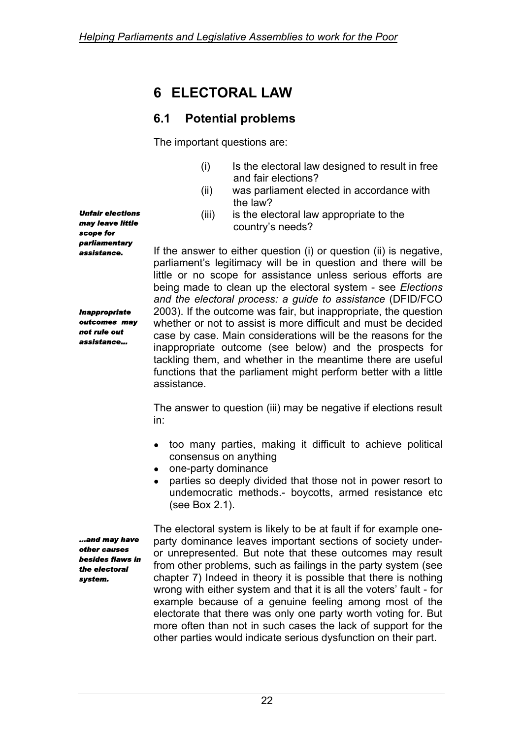# **6 ELECTORAL LAW**

# **6.1 Potential problems**

The important questions are:

- (i) Is the electoral law designed to result in free and fair elections?
- (ii) was parliament elected in accordance with the law?
- (iii) is the electoral law appropriate to the country's needs?

If the answer to either question (i) or question (ii) is negative, parliament's legitimacy will be in question and there will be little or no scope for assistance unless serious efforts are being made to clean up the electoral system - see *Elections and the electoral process: a guide to assistance* (DFID/FCO 2003). If the outcome was fair, but inappropriate, the question whether or not to assist is more difficult and must be decided case by case. Main considerations will be the reasons for the inappropriate outcome (see below) and the prospects for tackling them, and whether in the meantime there are useful functions that the parliament might perform better with a little assistance.

The answer to question (iii) may be negative if elections result in:

- too many parties, making it difficult to achieve political consensus on anything
- one-party dominance
- parties so deeply divided that those not in power resort to undemocratic methods.- boycotts, armed resistance etc (see Box 2.1).

*…and may have other causes besides flaws in the electoral system.* 

The electoral system is likely to be at fault if for example oneparty dominance leaves important sections of society underor unrepresented. But note that these outcomes may result from other problems, such as failings in the party system (see chapter 7) Indeed in theory it is possible that there is nothing wrong with either system and that it is all the voters' fault - for example because of a genuine feeling among most of the electorate that there was only one party worth voting for. But more often than not in such cases the lack of support for the other parties would indicate serious dysfunction on their part.

*Unfair elections may leave little scope for parliamentary assistance.* 

*Inappropriate outcomes may not rule out assistance…*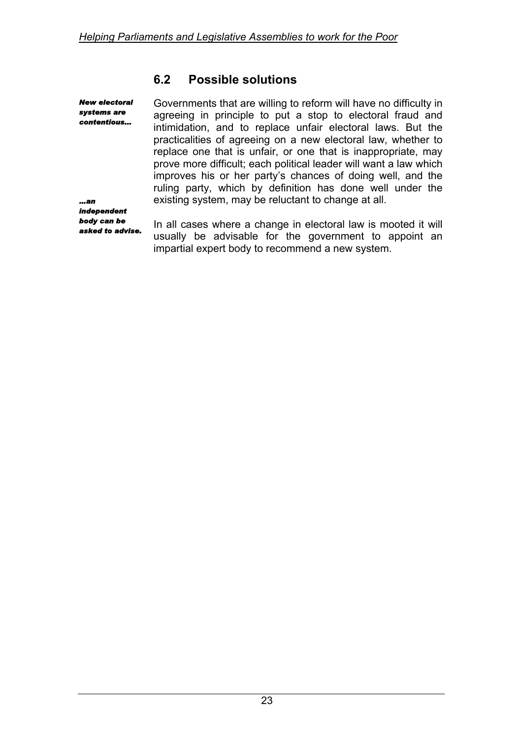# **6.2 Possible solutions**

*New electoral systems are contentious...* 

Governments that are willing to reform will have no difficulty in agreeing in principle to put a stop to electoral fraud and intimidation, and to replace unfair electoral laws. But the practicalities of agreeing on a new electoral law, whether to replace one that is unfair, or one that is inappropriate, may prove more difficult; each political leader will want a law which improves his or her party's chances of doing well, and the ruling party, which by definition has done well under the existing system, may be reluctant to change at all.

*…an independent body can be asked to advise.* 

In all cases where a change in electoral law is mooted it will usually be advisable for the government to appoint an impartial expert body to recommend a new system.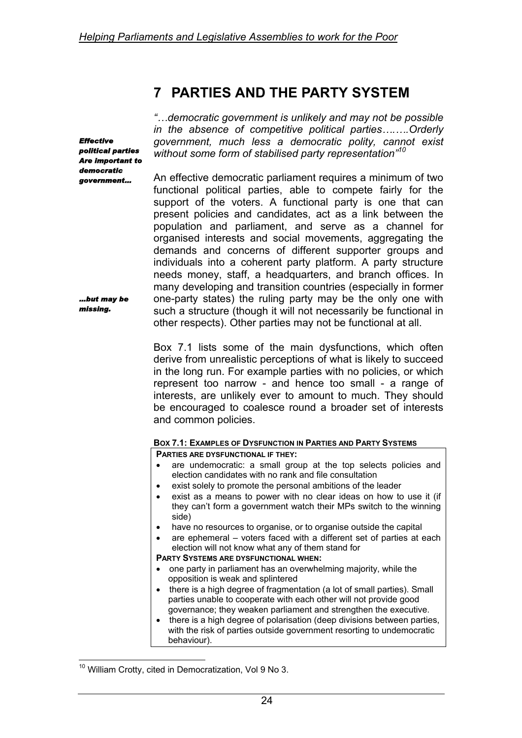# **7 PARTIES AND THE PARTY SYSTEM**

*Effective political parties Are important to democratic government…* 

*…but may be missing.* 

 $\overline{a}$ 

*"…democratic government is unlikely and may not be possible in the absence of competitive political parties….….Orderly government, much less a democratic polity, cannot exist without some form of stabilised party representation"[10](#page-34-0)*

An effective democratic parliament requires a minimum of two functional political parties, able to compete fairly for the support of the voters. A functional party is one that can present policies and candidates, act as a link between the population and parliament, and serve as a channel for organised interests and social movements, aggregating the demands and concerns of different supporter groups and individuals into a coherent party platform. A party structure needs money, staff, a headquarters, and branch offices. In many developing and transition countries (especially in former one-party states) the ruling party may be the only one with such a structure (though it will not necessarily be functional in other respects). Other parties may not be functional at all.

Box 7.1 lists some of the main dysfunctions, which often derive from unrealistic perceptions of what is likely to succeed in the long run. For example parties with no policies, or which represent too narrow - and hence too small - a range of interests, are unlikely ever to amount to much. They should be encouraged to coalesce round a broader set of interests and common policies.

#### **BOX 7.1: EXAMPLES OF DYSFUNCTION IN PARTIES AND PARTY SYSTEMS**

**PARTIES ARE DYSFUNCTIONAL IF THEY:**

- are undemocratic: a small group at the top selects policies and election candidates with no rank and file consultation
- exist solely to promote the personal ambitions of the leader
- exist as a means to power with no clear ideas on how to use it (if they can't form a government watch their MPs switch to the winning side)
- have no resources to organise, or to organise outside the capital
- are ephemeral voters faced with a different set of parties at each election will not know what any of them stand for

#### **PARTY SYSTEMS ARE DYSFUNCTIONAL WHEN:**

- one party in parliament has an overwhelming majority, while the opposition is weak and splintered
- there is a high degree of fragmentation (a lot of small parties). Small parties unable to cooperate with each other will not provide good governance; they weaken parliament and strengthen the executive.
- there is a high degree of polarisation (deep divisions between parties, with the risk of parties outside government resorting to undemocratic behaviour).

<span id="page-34-0"></span> $10$  William Crotty, cited in Democratization, Vol 9 No 3.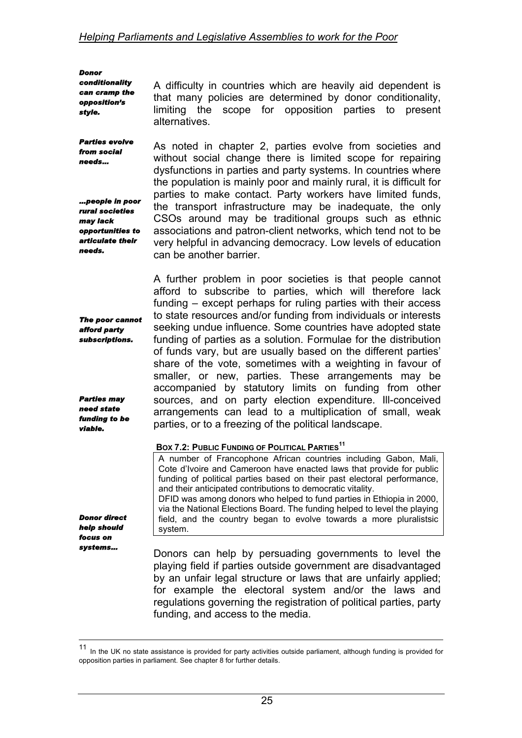*Donor conditionality can cramp the opposition's style.* 

*from social needs…* 

*may lack* 

*needs.* 

*afford party subscriptions.* 

*Parties may need state funding to be viable.* 

*Donor direct help should focus on systems…* 

 $\overline{a}$ 

A difficulty in countries which are heavily aid dependent is that many policies are determined by donor conditionality, limiting the scope for opposition parties to present alternatives.

*Parties evolve …people in poor rural societies opportunities to articulate their*  As noted in chapter 2, parties evolve from societies and without social change there is limited scope for repairing dysfunctions in parties and party systems. In countries where the population is mainly poor and mainly rural, it is difficult for parties to make contact. Party workers have limited funds, the transport infrastructure may be inadequate, the only CSOs around may be traditional groups such as ethnic associations and patron-client networks, which tend not to be very helpful in advancing democracy. Low levels of education can be another barrier.

*The poor cannot*  A further problem in poor societies is that people cannot afford to subscribe to parties, which will therefore lack funding – except perhaps for ruling parties with their access to state resources and/or funding from individuals or interests seeking undue influence. Some countries have adopted state funding of parties as a solution. Formulae for the distribution of funds vary, but are usually based on the different parties' share of the vote, sometimes with a weighting in favour of smaller, or new, parties. These arrangements may be accompanied by statutory limits on funding from other sources, and on party election expenditure. Ill-conceived arrangements can lead to a multiplication of small, weak parties, or to a freezing of the political landscape.

#### **BOX 7.2: PUBLIC FUNDING OF POLITICAL PARTIES[11](#page-35-0)**

A number of Francophone African countries including Gabon, Mali, Cote d'Ivoire and Cameroon have enacted laws that provide for public funding of political parties based on their past electoral performance, and their anticipated contributions to democratic vitality. DFID was among donors who helped to fund parties in Ethiopia in 2000, via the National Elections Board. The funding helped to level the playing field, and the country began to evolve towards a more pluralistsic system.

Donors can help by persuading governments to level the playing field if parties outside government are disadvantaged by an unfair legal structure or laws that are unfairly applied; for example the electoral system and/or the laws and regulations governing the registration of political parties, party funding, and access to the media.

<span id="page-35-0"></span><sup>11</sup> In the UK no state assistance is provided for party activities outside parliament, although funding is provided for opposition parties in parliament. See chapter 8 for further details.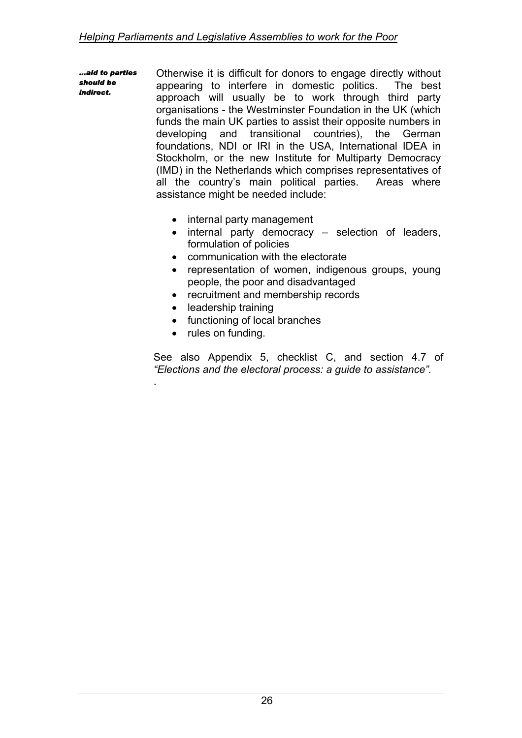*…aid to parties should be indirect.*  Otherwise it is difficult for donors to engage directly without appearing to interfere in domestic politics. The best approach will usually be to work through third party organisations - the Westminster Foundation in the UK (which funds the main UK parties to assist their opposite numbers in developing and transitional countries), the German foundations, NDI or IRI in the USA, International IDEA in Stockholm, or the new Institute for Multiparty Democracy (IMD) in the Netherlands which comprises representatives of all the country's main political parties. Areas where assistance might be needed include:

- internal party management
- internal party democracy selection of leaders, formulation of policies
- communication with the electorate
- representation of women, indigenous groups, young people, the poor and disadvantaged
- recruitment and membership records
- leadership training
- functioning of local branches
- rules on funding.

.

See also Appendix 5, checklist C, and section 4.7 of *"Elections and the electoral process: a guide to assistance".*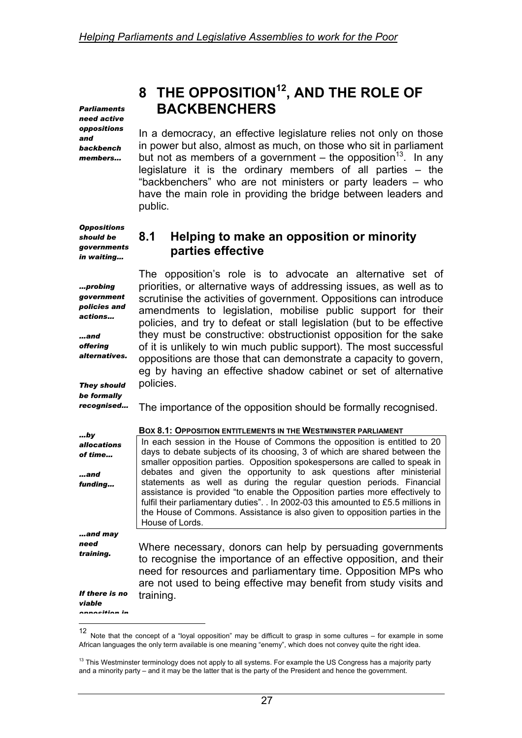*Parliaments need active oppositions and backbench members...* 

# **8 THE OPPOSITIO[N12,](#page-37-0) AND THE ROLE OF BACKBENCHERS**

In a democracy, an effective legislature relies not only on those in power but also, almost as much, on those who sit in parliament but not as members of a government – the opposition<sup>13</sup>. In any legislature it is the ordinary members of all parties – the "backbenchers" who are not ministers or party leaders – who have the main role in providing the bridge between leaders and public.

*Oppositions should be governments in waiting…* 

*…probing government policies and actions…* 

*…and offering alternatives.* 

*They should be formally* 

### **8.1 Helping to make an opposition or minority parties effective**

The opposition's role is to advocate an alternative set of priorities, or alternative ways of addressing issues, as well as to scrutinise the activities of government. Oppositions can introduce amendments to legislation, mobilise public support for their policies, and try to defeat or stall legislation (but to be effective they must be constructive: obstructionist opposition for the sake of it is unlikely to win much public support). The most successful oppositions are those that can demonstrate a capacity to govern, eg by having an effective shadow cabinet or set of alternative policies.

*recognised…*  The importance of the opposition should be formally recognised.

| by                       | <b>BOX 8.1: OPPOSITION ENTITLEMENTS IN THE WESTMINSTER PARLIAMENT</b>                                                                                                                                                                                                                                                                        |  |  |
|--------------------------|----------------------------------------------------------------------------------------------------------------------------------------------------------------------------------------------------------------------------------------------------------------------------------------------------------------------------------------------|--|--|
| <i>allocations</i>       | In each session in the House of Commons the opposition is entitled to 20                                                                                                                                                                                                                                                                     |  |  |
| of time                  | days to debate subjects of its choosing, 3 of which are shared between the<br>smaller opposition parties. Opposition spokespersons are called to speak in                                                                                                                                                                                    |  |  |
| and                      | debates and given the opportunity to ask questions after ministerial                                                                                                                                                                                                                                                                         |  |  |
| funding                  | statements as well as during the regular question periods. Financial<br>assistance is provided "to enable the Opposition parties more effectively to<br>fulfil their parliamentary duties". . In 2002-03 this amounted to £5.5 millions in<br>the House of Commons. Assistance is also given to opposition parties in the<br>House of Lords. |  |  |
| and may                  |                                                                                                                                                                                                                                                                                                                                              |  |  |
| need<br>training.        | Where necessary, donors can help by persuading governments<br>to recognise the importance of an effective opposition, and their<br>need for resources and parliamentary time. Opposition MPs who<br>are not used to being effective may benefit from study visits and                                                                        |  |  |
| If there is no<br>viable | training.                                                                                                                                                                                                                                                                                                                                    |  |  |
| annacitian in            |                                                                                                                                                                                                                                                                                                                                              |  |  |

<span id="page-37-0"></span>Note that the concept of a "loyal opposition" may be difficult to grasp in some cultures – for example in some African languages the only term available is one meaning "enemy", which does not convey quite the right idea.

<span id="page-37-1"></span> $13$  This Westminster terminology does not apply to all systems. For example the US Congress has a majority party and a minority party – and it may be the latter that is the party of the President and hence the government.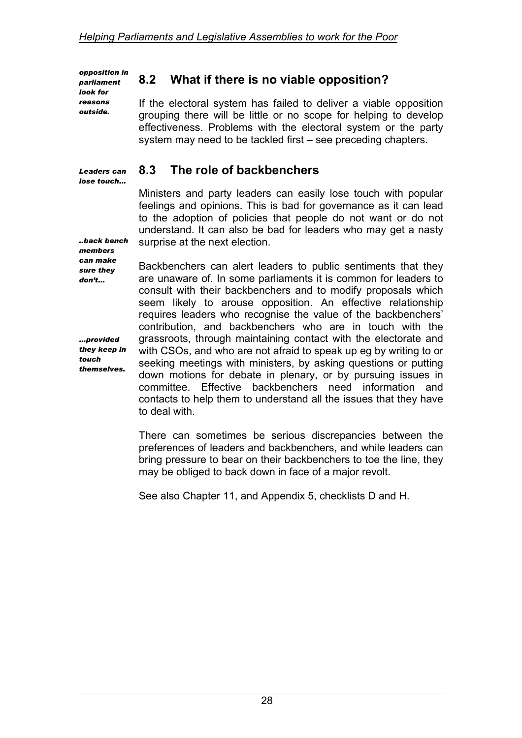*opposition in parliament look for reasons outside.* 

*Leaders can lose touch…* 

## **8.2 What if there is no viable opposition?**

If the electoral system has failed to deliver a viable opposition grouping there will be little or no scope for helping to develop effectiveness. Problems with the electoral system or the party system may need to be tackled first – see preceding chapters.

### **8.3 The role of backbenchers**

Ministers and party leaders can easily lose touch with popular feelings and opinions. This is bad for governance as it can lead to the adoption of policies that people do not want or do not understand. It can also be bad for leaders who may get a nasty surprise at the next election.

*..back bench members can make sure they don't...* 

*…provided they keep in touch themselves.* 

Backbenchers can alert leaders to public sentiments that they are unaware of. In some parliaments it is common for leaders to consult with their backbenchers and to modify proposals which seem likely to arouse opposition. An effective relationship requires leaders who recognise the value of the backbenchers' contribution, and backbenchers who are in touch with the grassroots, through maintaining contact with the electorate and with CSOs, and who are not afraid to speak up eg by writing to or seeking meetings with ministers, by asking questions or putting down motions for debate in plenary, or by pursuing issues in committee. Effective backbenchers need information and contacts to help them to understand all the issues that they have to deal with.

There can sometimes be serious discrepancies between the preferences of leaders and backbenchers, and while leaders can bring pressure to bear on their backbenchers to toe the line, they may be obliged to back down in face of a major revolt.

See also Chapter 11, and Appendix 5, checklists D and H.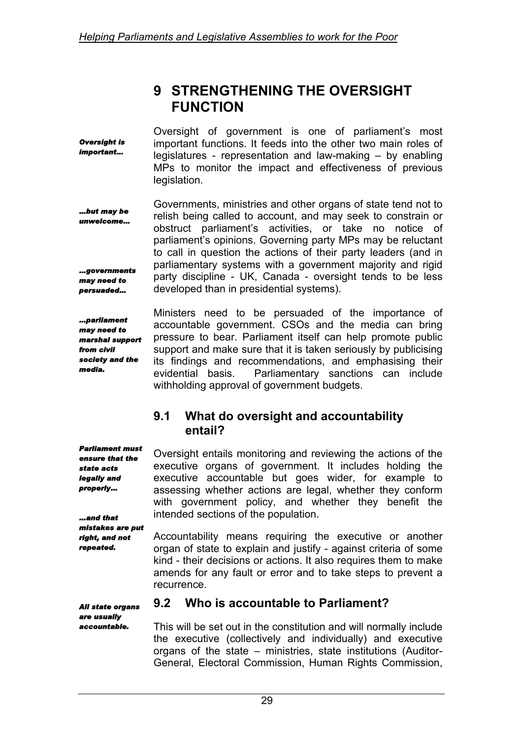## **9 STRENGTHENING THE OVERSIGHT FUNCTION**

*Oversight is important…*  Oversight of government is one of parliament's most important functions. It feeds into the other two main roles of legislatures - representation and law-making – by enabling MPs to monitor the impact and effectiveness of previous legislation.

*…but may be unwelcome… …governments may need to persuaded…*  Governments, ministries and other organs of state tend not to relish being called to account, and may seek to constrain or obstruct parliament's activities, or take no notice of parliament's opinions. Governing party MPs may be reluctant to call in question the actions of their party leaders (and in parliamentary systems with a government majority and rigid party discipline - UK, Canada - oversight tends to be less developed than in presidential systems).

*…parliament may need to marshal support from civil society and the media.* 

Ministers need to be persuaded of the importance of accountable government. CSOs and the media can bring pressure to bear. Parliament itself can help promote public support and make sure that it is taken seriously by publicising its findings and recommendations, and emphasising their evidential basis. Parliamentary sanctions can include withholding approval of government budgets.

### **9.1 What do oversight and accountability entail?**

*Parliament must ensure that the state acts legally and properly… …and that*  Oversight entails monitoring and reviewing the actions of the executive organs of government. It includes holding the executive accountable but goes wider, for example to assessing whether actions are legal, whether they conform with government policy, and whether they benefit the intended sections of the population.

*mistakes are put right, and not repeated.* 

Accountability means requiring the executive or another organ of state to explain and justify - against criteria of some kind - their decisions or actions. It also requires them to make amends for any fault or error and to take steps to prevent a recurrence.

*All state organs are usually accountable.* 

### **9.2 Who is accountable to Parliament?**

This will be set out in the constitution and will normally include the executive (collectively and individually) and executive organs of the state – ministries, state institutions (Auditor-General, Electoral Commission, Human Rights Commission,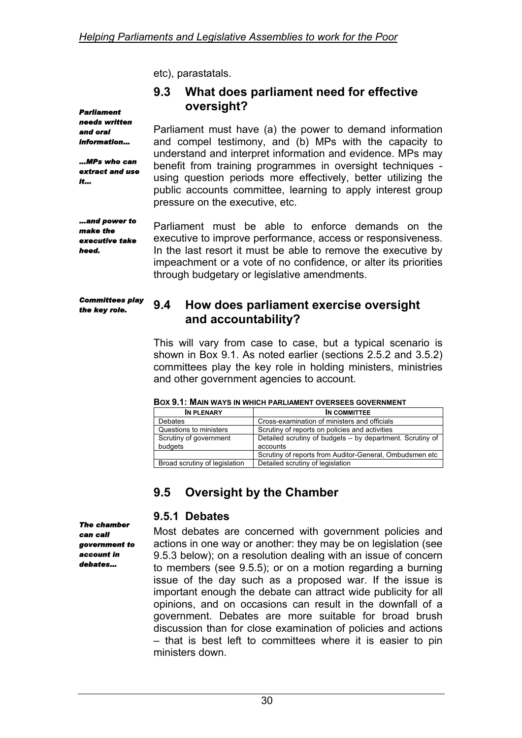etc), parastatals.

### **9.3 What does parliament need for effective oversight?**

*Parliament needs written and oral information…* 

*…MPs who can extract and use it…* 

Parliament must have (a) the power to demand information and compel testimony, and (b) MPs with the capacity to understand and interpret information and evidence. MPs may benefit from training programmes in oversight techniques using question periods more effectively, better utilizing the public accounts committee, learning to apply interest group pressure on the executive, etc.

*…and power to make the executive take heed.* 

Parliament must be able to enforce demands on the executive to improve performance, access or responsiveness. In the last resort it must be able to remove the executive by impeachment or a vote of no confidence, or alter its priorities through budgetary or legislative amendments.

*Committees play the key role.* 

### **9.4 How does parliament exercise oversight and accountability?**

This will vary from case to case, but a typical scenario is shown in Box 9.1. As noted earlier (sections 2.5.2 and 3.5.2) committees play the key role in holding ministers, ministries and other government agencies to account.

| IN PLENARY                    | IN COMMITTEE                                              |  |
|-------------------------------|-----------------------------------------------------------|--|
| <b>Debates</b>                | Cross-examination of ministers and officials              |  |
| Questions to ministers        | Scrutiny of reports on policies and activities            |  |
| Scrutiny of government        | Detailed scrutiny of budgets - by department. Scrutiny of |  |
| budgets                       | accounts                                                  |  |
|                               | Scrutiny of reports from Auditor-General, Ombudsmen etc   |  |
| Broad scrutiny of legislation | Detailed scrutiny of legislation                          |  |

| <b>BOX 9.1: MAIN WAYS IN WHICH PARLIAMENT OVERSEES GOVERNMENT</b> |
|-------------------------------------------------------------------|
|-------------------------------------------------------------------|

## **9.5 Oversight by the Chamber**

### **9.5.1 Debates**

*The chamber can call government to account in debates…* 

Most debates are concerned with government policies and actions in one way or another: they may be on legislation (see 9.5.3 below); on a resolution dealing with an issue of concern to members (see 9.5.5); or on a motion regarding a burning issue of the day such as a proposed war. If the issue is important enough the debate can attract wide publicity for all opinions, and on occasions can result in the downfall of a government. Debates are more suitable for broad brush discussion than for close examination of policies and actions – that is best left to committees where it is easier to pin ministers down.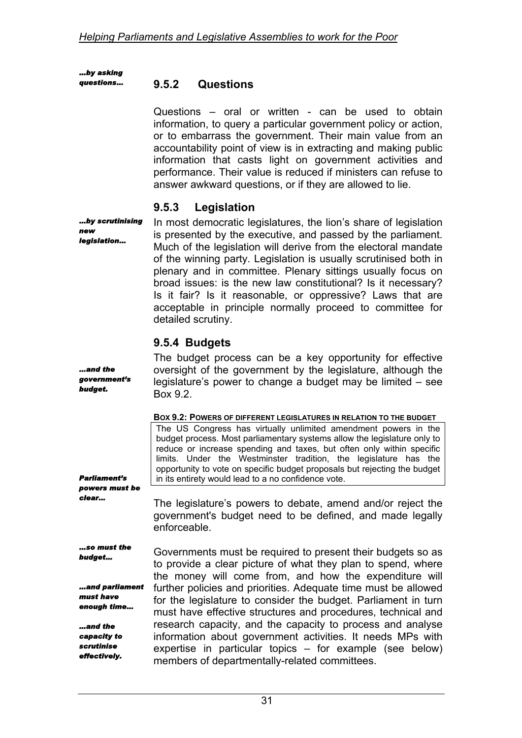*…by asking questions…* 

### **9.5.2 Questions**

Questions – oral or written - can be used to obtain information, to query a particular government policy or action, or to embarrass the government. Their main value from an accountability point of view is in extracting and making public information that casts light on government activities and performance. Their value is reduced if ministers can refuse to answer awkward questions, or if they are allowed to lie.

### **9.5.3 Legislation**

*…by scrutinising new legislation…* 

In most democratic legislatures, the lion's share of legislation is presented by the executive, and passed by the parliament. Much of the legislation will derive from the electoral mandate of the winning party. Legislation is usually scrutinised both in plenary and in committee. Plenary sittings usually focus on broad issues: is the new law constitutional? Is it necessary? Is it fair? Is it reasonable, or oppressive? Laws that are acceptable in principle normally proceed to committee for detailed scrutiny.

### **9.5.4 Budgets**

| and the<br>government's<br>budget.                                             | The budget process can be a key opportunity for effective<br>oversight of the government by the legislature, although the<br>legislature's power to change a budget may be limited - see<br>Box 9.2.                                                                                                                                                                                                                                                                                                |  |  |
|--------------------------------------------------------------------------------|-----------------------------------------------------------------------------------------------------------------------------------------------------------------------------------------------------------------------------------------------------------------------------------------------------------------------------------------------------------------------------------------------------------------------------------------------------------------------------------------------------|--|--|
| <b>Parliament's</b><br>powers must be                                          | BOX 9.2: POWERS OF DIFFERENT LEGISLATURES IN RELATION TO THE BUDGET<br>The US Congress has virtually unlimited amendment powers in the<br>budget process. Most parliamentary systems allow the legislature only to<br>reduce or increase spending and taxes, but often only within specific<br>limits. Under the Westminster tradition, the legislature has the<br>opportunity to vote on specific budget proposals but rejecting the budget<br>in its entirety would lead to a no confidence vote. |  |  |
| clear                                                                          | The legislature's powers to debate, amend and/or reject the<br>government's budget need to be defined, and made legally<br>enforceable.                                                                                                                                                                                                                                                                                                                                                             |  |  |
| so must the<br>budget<br>and parliament<br>must have<br>enough time<br>and the | Governments must be required to present their budgets so as<br>to provide a clear picture of what they plan to spend, where<br>the money will come from, and how the expenditure will<br>further policies and priorities. Adequate time must be allowed<br>for the legislature to consider the budget. Parliament in turn<br>must have effective structures and procedures, technical and<br>research capacity, and the capacity to process and analyse                                             |  |  |
| capacity to<br>scrutinise<br>effectively.                                      | information about government activities. It needs MPs with<br>expertise in particular topics $-$ for example (see below)<br>members of departmentally-related committees.                                                                                                                                                                                                                                                                                                                           |  |  |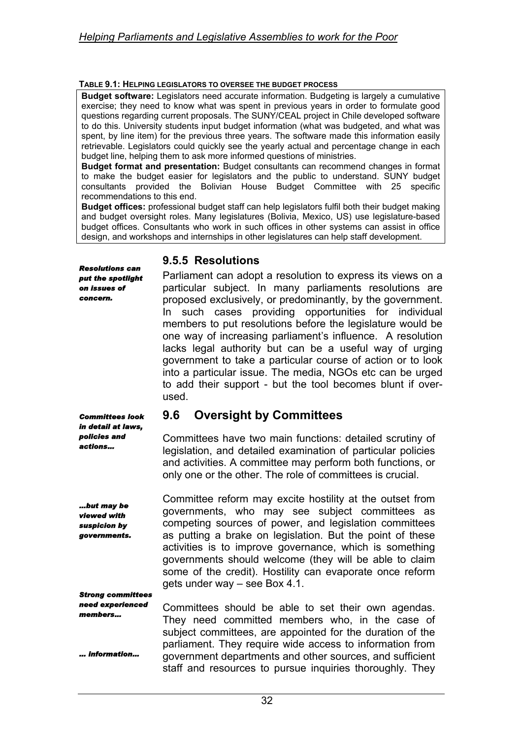#### **TABLE 9.1: HELPING LEGISLATORS TO OVERSEE THE BUDGET PROCESS**

**Budget software:** Legislators need accurate information. Budgeting is largely a cumulative exercise; they need to know what was spent in previous years in order to formulate good questions regarding current proposals. The SUNY/CEAL project in Chile developed software to do this. University students input budget information (what was budgeted, and what was spent, by line item) for the previous three years. The software made this information easily retrievable. Legislators could quickly see the yearly actual and percentage change in each budget line, helping them to ask more informed questions of ministries.

**Budget format and presentation:** Budget consultants can recommend changes in format to make the budget easier for legislators and the public to understand. SUNY budget consultants provided the Bolivian House Budget Committee with 25 specific recommendations to this end.

**Budget offices:** professional budget staff can help legislators fulfil both their budget making and budget oversight roles. Many legislatures (Bolivia, Mexico, US) use legislature-based budget offices. Consultants who work in such offices in other systems can assist in office design, and workshops and internships in other legislatures can help staff development.

#### **9.5.5 Resolutions**

Parliament can adopt a resolution to express its views on a particular subject. In many parliaments resolutions are proposed exclusively, or predominantly, by the government. In such cases providing opportunities for individual members to put resolutions before the legislature would be one way of increasing parliament's influence. A resolution lacks legal authority but can be a useful way of urging government to take a particular course of action or to look into a particular issue. The media, NGOs etc can be urged to add their support - but the tool becomes blunt if overused.

### **9.6 Oversight by Committees**

Committees have two main functions: detailed scrutiny of legislation, and detailed examination of particular policies and activities. A committee may perform both functions, or only one or the other. The role of committees is crucial.

Committee reform may excite hostility at the outset from governments, who may see subject committees as competing sources of power, and legislation committees as putting a brake on legislation. But the point of these activities is to improve governance, which is something governments should welcome (they will be able to claim some of the credit). Hostility can evaporate once reform gets under way – see Box 4.1.

*Strong committees need experienced members…* 

*Resolutions can put the spotlight on issues of concern.* 

*Committees look in detail at laws, policies and actions…* 

*…but may be viewed with suspicion by governments.* 

*… information…* 

Committees should be able to set their own agendas. They need committed members who, in the case of subject committees, are appointed for the duration of the parliament. They require wide access to information from government departments and other sources, and sufficient staff and resources to pursue inquiries thoroughly. They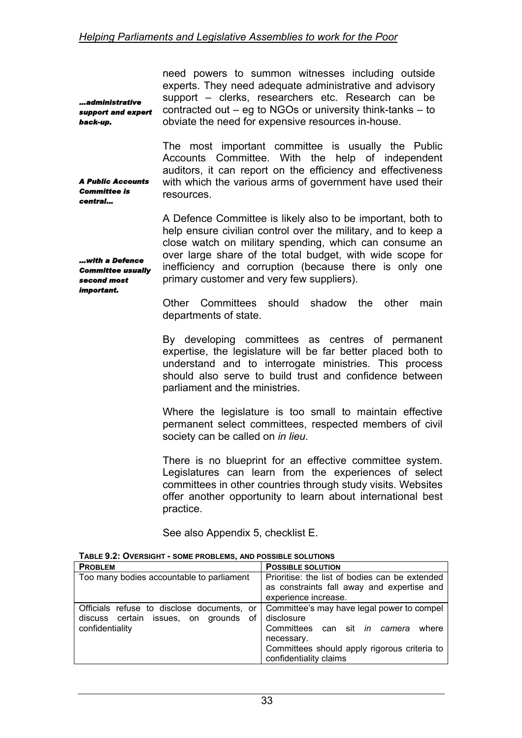*…administrative support and expert back-up.* 

*A Public Accounts Committee is central…* 

need powers to summon witnesses including outside experts. They need adequate administrative and advisory support – clerks, researchers etc. Research can be contracted out – eg to NGOs or university think-tanks – to obviate the need for expensive resources in-house.

The most important committee is usually the Public Accounts Committee. With the help of independent auditors, it can report on the efficiency and effectiveness with which the various arms of government have used their resources.

A Defence Committee is likely also to be important, both to help ensure civilian control over the military, and to keep a close watch on military spending, which can consume an over large share of the total budget, with wide scope for inefficiency and corruption (because there is only one primary customer and very few suppliers).

*…with a Defence Committee usually second most important.* 

> Other Committees should shadow the other main departments of state.

> By developing committees as centres of permanent expertise, the legislature will be far better placed both to understand and to interrogate ministries. This process should also serve to build trust and confidence between parliament and the ministries.

> Where the legislature is too small to maintain effective permanent select committees, respected members of civil society can be called on *in lieu*.

> There is no blueprint for an effective committee system. Legislatures can learn from the experiences of select committees in other countries through study visits. Websites offer another opportunity to learn about international best practice.

See also Appendix 5, checklist E.

| <b>PROBLEM</b>                                                                                            | <b>POSSIBLE SOLUTION</b>                                                                                                                                                                  |
|-----------------------------------------------------------------------------------------------------------|-------------------------------------------------------------------------------------------------------------------------------------------------------------------------------------------|
| Too many bodies accountable to parliament                                                                 | Prioritise: the list of bodies can be extended<br>as constraints fall away and expertise and<br>experience increase.                                                                      |
| Officials refuse to disclose documents, or<br>of<br>discuss certain issues, on grounds<br>confidentiality | Committee's may have legal power to compel<br>disclosure<br>Committees can sit in camera<br>where<br>necessary.<br>Committees should apply rigorous criteria to<br>confidentiality claims |

**TABLE 9.2: OVERSIGHT - SOME PROBLEMS, AND POSSIBLE SOLUTIONS**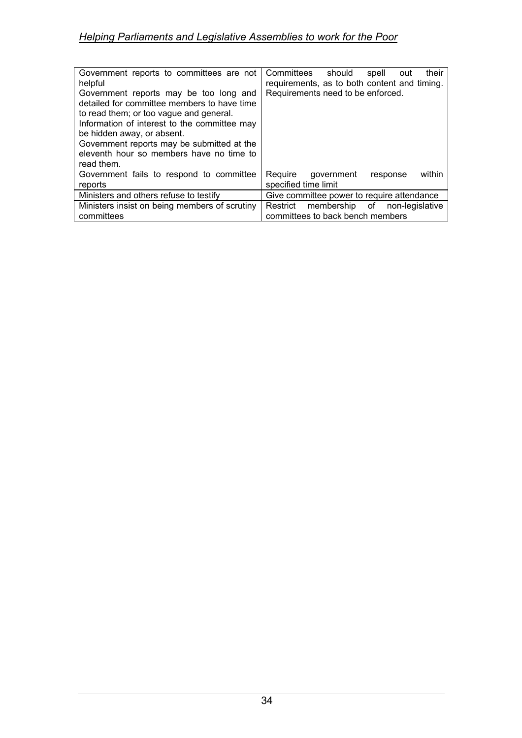| Government reports to committees are not<br>helpful<br>Government reports may be too long and<br>detailed for committee members to have time<br>to read them; or too vague and general.<br>Information of interest to the committee may<br>be hidden away, or absent.<br>Government reports may be submitted at the | Committees<br>should<br>their<br>spell<br>out<br>requirements, as to both content and timing.<br>Requirements need to be enforced. |
|---------------------------------------------------------------------------------------------------------------------------------------------------------------------------------------------------------------------------------------------------------------------------------------------------------------------|------------------------------------------------------------------------------------------------------------------------------------|
| eleventh hour so members have no time to<br>read them.                                                                                                                                                                                                                                                              |                                                                                                                                    |
| Government fails to respond to committee<br>reports                                                                                                                                                                                                                                                                 | within<br>Reguire<br>government<br>response<br>specified time limit                                                                |
| Ministers and others refuse to testify                                                                                                                                                                                                                                                                              | Give committee power to require attendance                                                                                         |
| Ministers insist on being members of scrutiny<br>committees                                                                                                                                                                                                                                                         | membership of non-legislative<br>Restrict<br>committees to back bench members                                                      |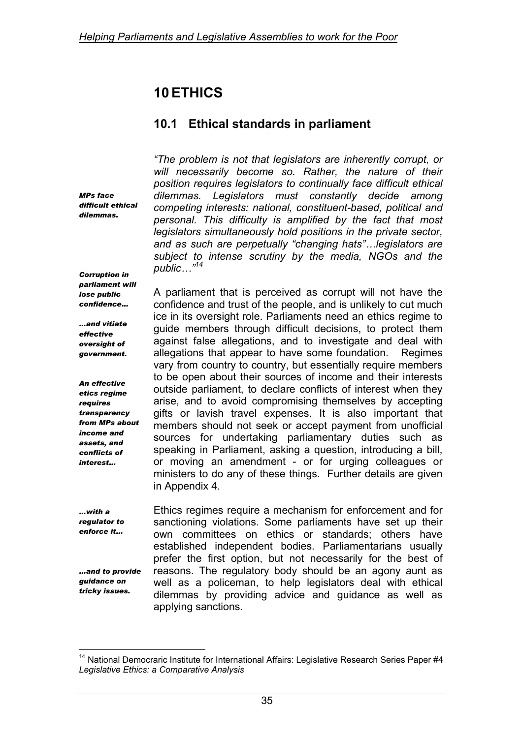# **10 ETHICS**

## **10.1 Ethical standards in parliament**

*MPs face difficult ethical dilemmas.* 

*Corruption in parliament will lose public confidence…* 

*…and vitiate effective oversight of government.* 

*An effective etics regime requires transparency from MPs about income and assets, and conflicts of interest…* 

*…with a regulator to enforce it…* 

*…and to provide guidance on tricky issues.* 

*"The problem is not that legislators are inherently corrupt, or will necessarily become so. Rather, the nature of their position requires legislators to continually face difficult ethical dilemmas. Legislators must constantly decide among competing interests: national, constituent-based, political and personal. This difficulty is amplified by the fact that most legislators simultaneously hold positions in the private sector, and as such are perpetually "changing hats"…legislators are subject to intense scrutiny by the media, NGOs and the public…"[14](#page-45-0)* 

A parliament that is perceived as corrupt will not have the confidence and trust of the people, and is unlikely to cut much ice in its oversight role. Parliaments need an ethics regime to guide members through difficult decisions, to protect them against false allegations, and to investigate and deal with allegations that appear to have some foundation. Regimes vary from country to country, but essentially require members to be open about their sources of income and their interests outside parliament, to declare conflicts of interest when they arise, and to avoid compromising themselves by accepting gifts or lavish travel expenses. It is also important that members should not seek or accept payment from unofficial sources for undertaking parliamentary duties such as speaking in Parliament, asking a question, introducing a bill, or moving an amendment - or for urging colleagues or ministers to do any of these things. Further details are given in Appendix 4.

Ethics regimes require a mechanism for enforcement and for sanctioning violations. Some parliaments have set up their own committees on ethics or standards; others have established independent bodies. Parliamentarians usually prefer the first option, but not necessarily for the best of reasons. The regulatory body should be an agony aunt as well as a policeman, to help legislators deal with ethical dilemmas by providing advice and guidance as well as applying sanctions.

<span id="page-45-0"></span> $\overline{a}$ <sup>14</sup> National Democraric Institute for International Affairs: Legislative Research Series Paper #4 *Legislative Ethics: a Comparative Analysis*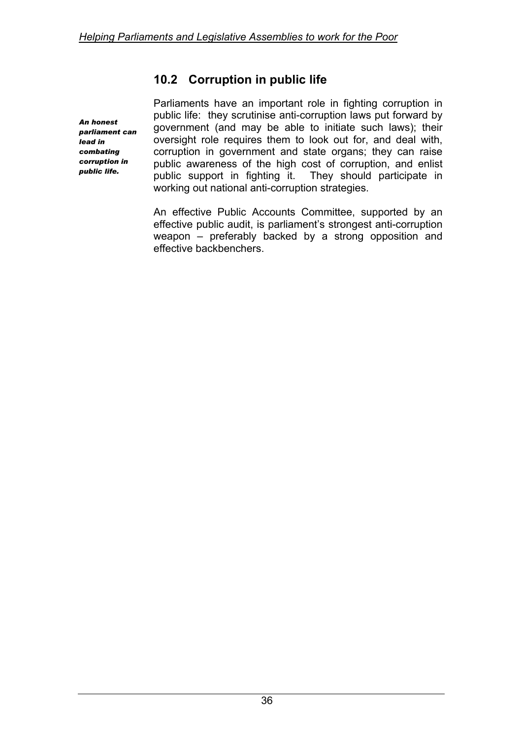## **10.2 Corruption in public life**

*An honest parliament can lead in combating corruption in public life.* 

Parliaments have an important role in fighting corruption in public life: they scrutinise anti-corruption laws put forward by government (and may be able to initiate such laws); their oversight role requires them to look out for, and deal with, corruption in government and state organs; they can raise public awareness of the high cost of corruption, and enlist public support in fighting it. They should participate in working out national anti-corruption strategies.

An effective Public Accounts Committee, supported by an effective public audit, is parliament's strongest anti-corruption weapon – preferably backed by a strong opposition and effective backbenchers.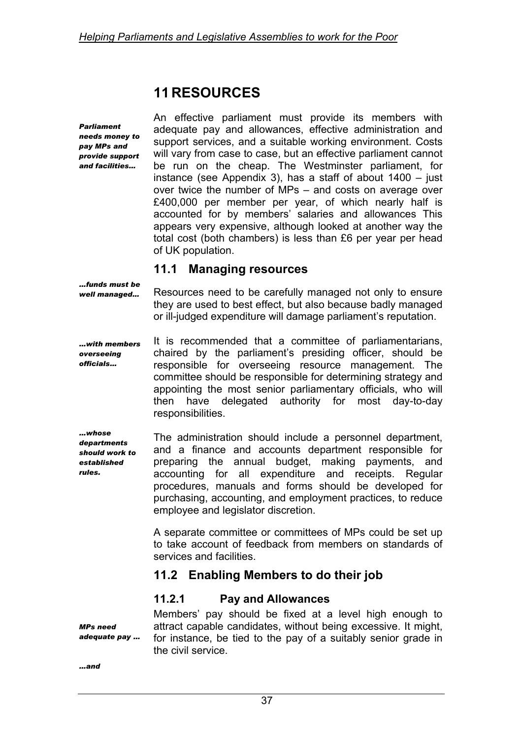## **11 RESOURCES**

*Parliament needs money to pay MPs and provide support and facilities…* 

An effective parliament must provide its members with adequate pay and allowances, effective administration and support services, and a suitable working environment. Costs will vary from case to case, but an effective parliament cannot be run on the cheap. The Westminster parliament, for instance (see Appendix 3), has a staff of about 1400 – just over twice the number of MPs – and costs on average over £400,000 per member per year, of which nearly half is accounted for by members' salaries and allowances This appears very expensive, although looked at another way the total cost (both chambers) is less than £6 per year per head of UK population.

### **11.1 Managing resources**

*…funds must be well managed…* 

Resources need to be carefully managed not only to ensure they are used to best effect, but also because badly managed or ill-judged expenditure will damage parliament's reputation.

*…with members overseeing officials…*  It is recommended that a committee of parliamentarians, chaired by the parliament's presiding officer, should be responsible for overseeing resource management. The committee should be responsible for determining strategy and appointing the most senior parliamentary officials, who will then have delegated authority for most day-to-day responsibilities.

*…whose departments should work to established rules.* 

The administration should include a personnel department, and a finance and accounts department responsible for preparing the annual budget, making payments, and accounting for all expenditure and receipts. Regular procedures, manuals and forms should be developed for purchasing, accounting, and employment practices, to reduce employee and legislator discretion.

A separate committee or committees of MPs could be set up to take account of feedback from members on standards of services and facilities.

### **11.2 Enabling Members to do their job**

### **11.2.1 Pay and Allowances**

Members' pay should be fixed at a level high enough to attract capable candidates, without being excessive. It might, for instance, be tied to the pay of a suitably senior grade in the civil service.

*adequate pay …* 

*MPs need* 

*…and*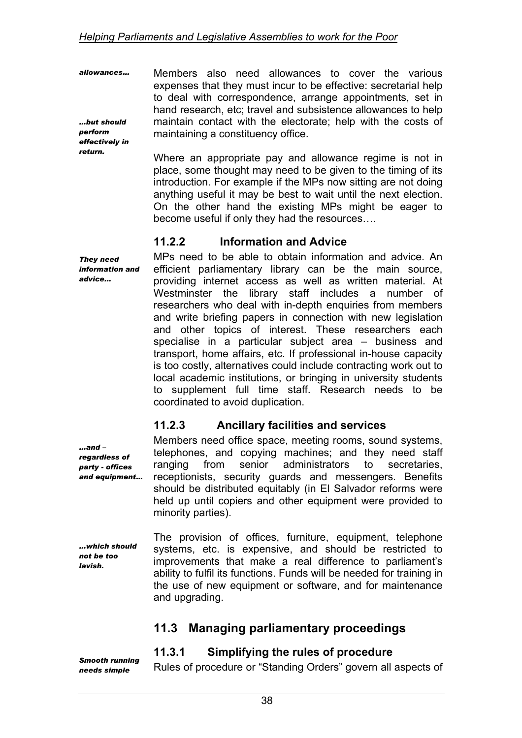*allowances… …but should perform effectively in*  Members also need allowances to cover the various expenses that they must incur to be effective: secretarial help to deal with correspondence, arrange appointments, set in hand research, etc; travel and subsistence allowances to help maintain contact with the electorate; help with the costs of maintaining a constituency office.

> Where an appropriate pay and allowance regime is not in place, some thought may need to be given to the timing of its introduction. For example if the MPs now sitting are not doing anything useful it may be best to wait until the next election. On the other hand the existing MPs might be eager to become useful if only they had the resources….

### **11.2.2 Information and Advice**

*They need information and advice…*  MPs need to be able to obtain information and advice. An efficient parliamentary library can be the main source, providing internet access as well as written material. At Westminster the library staff includes a number of researchers who deal with in-depth enquiries from members and write briefing papers in connection with new legislation and other topics of interest. These researchers each specialise in a particular subject area – business and transport, home affairs, etc. If professional in-house capacity is too costly, alternatives could include contracting work out to local academic institutions, or bringing in university students to supplement full time staff. Research needs to be coordinated to avoid duplication.

### **11.2.3 Ancillary facilities and services**

*and equipment…*  Members need office space, meeting rooms, sound systems, telephones, and copying machines; and they need staff ranging from senior administrators to secretaries, receptionists, security guards and messengers. Benefits should be distributed equitably (in El Salvador reforms were held up until copiers and other equipment were provided to minority parties).

*…which should not be too lavish.* 

*…and – regardless of party - offices* 

*return.* 

The provision of offices, furniture, equipment, telephone systems, etc. is expensive, and should be restricted to improvements that make a real difference to parliament's ability to fulfil its functions. Funds will be needed for training in the use of new equipment or software, and for maintenance and upgrading.

## **11.3 Managing parliamentary proceedings**

### **11.3.1 Simplifying the rules of procedure**

*Smooth running needs simple* 

Rules of procedure or "Standing Orders" govern all aspects of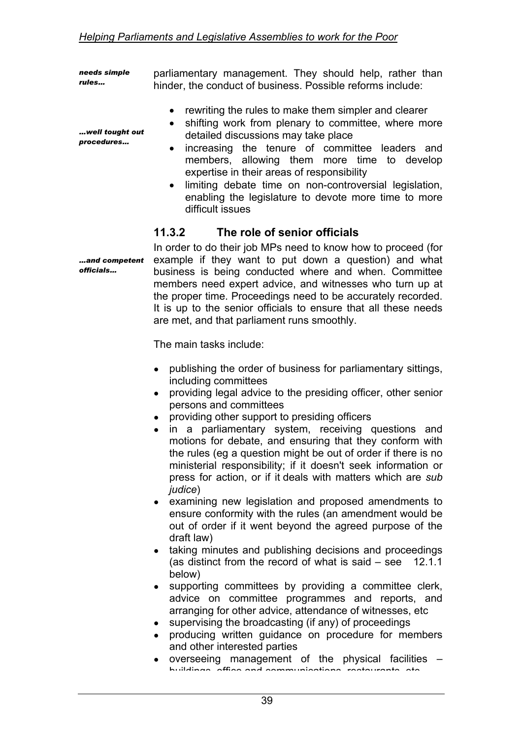*needs simple rules…*  parliamentary management. They should help, rather than hinder, the conduct of business. Possible reforms include:

- rewriting the rules to make them simpler and clearer
- shifting work from plenary to committee, where more detailed discussions may take place
- increasing the tenure of committee leaders and members, allowing them more time to develop expertise in their areas of responsibility
- limiting debate time on non-controversial legislation, enabling the legislature to devote more time to more difficult issues

#### **11.3.2 The role of senior officials**

*…and competent*  In order to do their job MPs need to know how to proceed (for example if they want to put down a question) and what business is being conducted where and when. Committee members need expert advice, and witnesses who turn up at the proper time. Proceedings need to be accurately recorded. It is up to the senior officials to ensure that all these needs are met, and that parliament runs smoothly.

The main tasks include:

- publishing the order of business for parliamentary sittings, including committees
- providing legal advice to the presiding officer, other senior persons and committees
- providing other support to presiding officers
- in a parliamentary system, receiving questions and motions for debate, and ensuring that they conform with the rules (eg a question might be out of order if there is no ministerial responsibility; if it doesn't seek information or press for action, or if it deals with matters which are *sub judice*)
- examining new legislation and proposed amendments to ensure conformity with the rules (an amendment would be out of order if it went beyond the agreed purpose of the draft law)
- taking minutes and publishing decisions and proceedings (as distinct from the record of what is said – see 12.1.1 below)
- supporting committees by providing a committee clerk, advice on committee programmes and reports, and arranging for other advice, attendance of witnesses, etc
- supervising the broadcasting (if any) of proceedings
- producing written guidance on procedure for members and other interested parties
- overseeing management of the physical facilities  $$ buildings office and communications restaurants etc

*…well tought out procedures…* 

*officials…*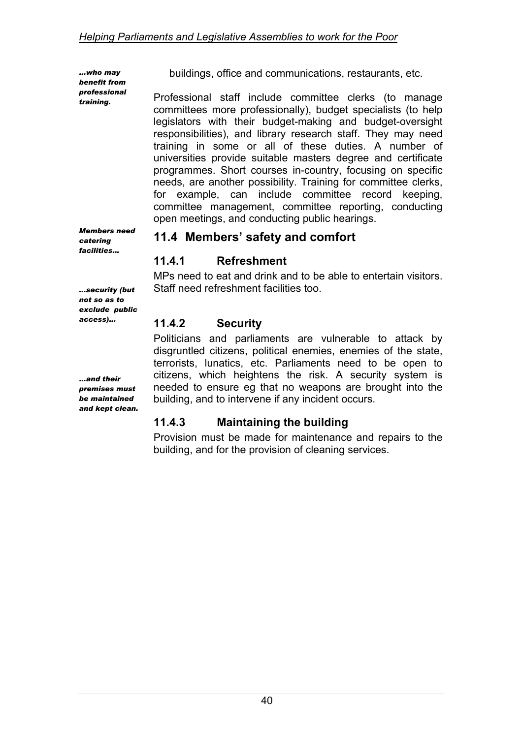*…who may benefit from professional training.* 

buildings, office and communications, restaurants, etc.

Professional staff include committee clerks (to manage committees more professionally), budget specialists (to help legislators with their budget-making and budget-oversight responsibilities), and library research staff. They may need training in some or all of these duties. A number of universities provide suitable masters degree and certificate programmes. Short courses in-country, focusing on specific needs, are another possibility. Training for committee clerks, for example, can include committee record keeping, committee management, committee reporting, conducting open meetings, and conducting public hearings.

### **11.4 Members' safety and comfort**

### **11.4.1 Refreshment**

MPs need to eat and drink and to be able to entertain visitors. Staff need refreshment facilities too.

### **11.4.2 Security**

Politicians and parliaments are vulnerable to attack by disgruntled citizens, political enemies, enemies of the state, terrorists, lunatics, etc. Parliaments need to be open to citizens, which heightens the risk. A security system is needed to ensure eg that no weapons are brought into the building, and to intervene if any incident occurs.

### **11.4.3 Maintaining the building**

Provision must be made for maintenance and repairs to the building, and for the provision of cleaning services.

*Members need catering facilities…* 

*...security (but not so as to exclude public access)…* 

*…and their premises must be maintained and kept clean.*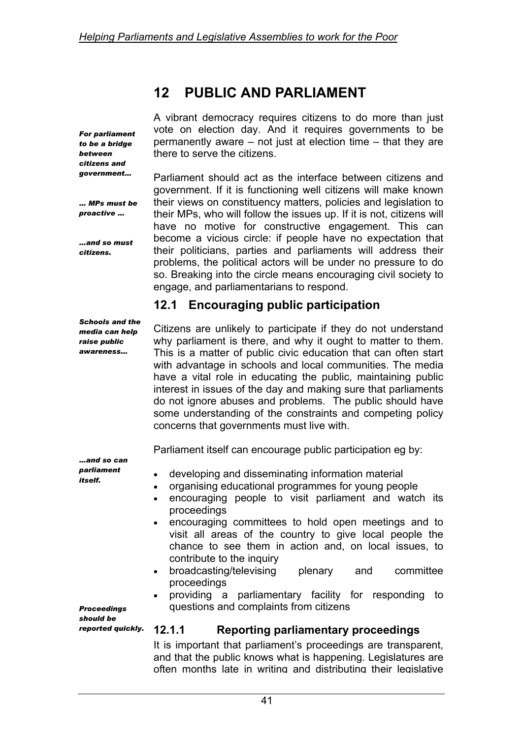## **12 PUBLIC AND PARLIAMENT**

*For parliament to be a bridge between citizens and government…* 

*… MPs must be proactive …* 

*…and so must citizens.* 

A vibrant democracy requires citizens to do more than just vote on election day. And it requires governments to be permanently aware – not just at election time – that they are there to serve the citizens.

Parliament should act as the interface between citizens and government. If it is functioning well citizens will make known their views on constituency matters, policies and legislation to their MPs, who will follow the issues up. If it is not, citizens will have no motive for constructive engagement. This can become a vicious circle: if people have no expectation that their politicians, parties and parliaments will address their problems, the political actors will be under no pressure to do so. Breaking into the circle means encouraging civil society to engage, and parliamentarians to respond.

### **12.1 Encouraging public participation**

*Schools and the media can help raise public awareness…* 

Citizens are unlikely to participate if they do not understand why parliament is there, and why it ought to matter to them. This is a matter of public civic education that can often start with advantage in schools and local communities. The media have a vital role in educating the public, maintaining public interest in issues of the day and making sure that parliaments do not ignore abuses and problems. The public should have some understanding of the constraints and competing policy concerns that governments must live with.

Parliament itself can encourage public participation eg by:

*…and so can parliament itself.* 

- developing and disseminating information material
- organising educational programmes for young people
- encouraging people to visit parliament and watch its proceedings
- encouraging committees to hold open meetings and to visit all areas of the country to give local people the chance to see them in action and, on local issues, to contribute to the inquiry
- broadcasting/televising plenary and committee proceedings
- providing a parliamentary facility for responding to questions and complaints from citizens

*Proceedings should be reported quickly.* 

### **12.1.1 Reporting parliamentary proceedings**

It is important that parliament's proceedings are transparent, and that the public knows what is happening. Legislatures are often months late in writing and distributing their legislative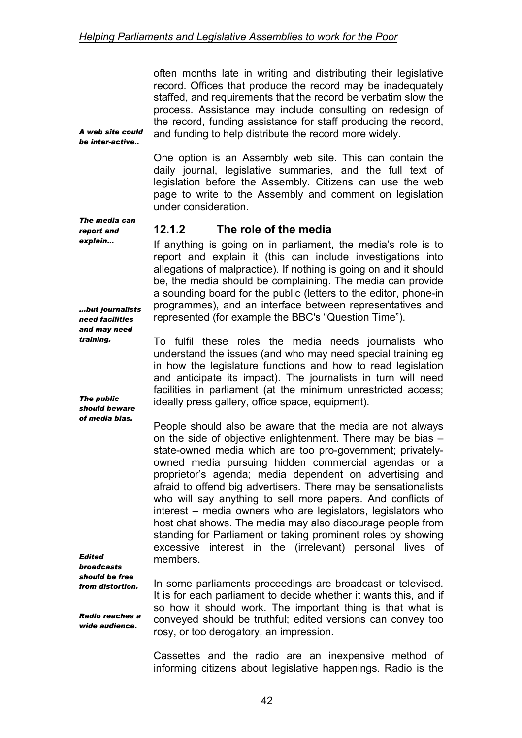often months late in writing and distributing their legislative record. Offices that produce the record may be inadequately staffed, and requirements that the record be verbatim slow the process. Assistance may include consulting on redesign of the record, funding assistance for staff producing the record, and funding to help distribute the record more widely.

*A web site could be inter-active..* 

> One option is an Assembly web site. This can contain the daily journal, legislative summaries, and the full text of legislation before the Assembly. Citizens can use the web page to write to the Assembly and comment on legislation under consideration.

#### *The media can report and explain…*

*…but journalists need facilities and may need training.* 

*The public should beware of media bias.* 

### **12.1.2 The role of the media**

If anything is going on in parliament, the media's role is to report and explain it (this can include investigations into allegations of malpractice). If nothing is going on and it should be, the media should be complaining. The media can provide a sounding board for the public (letters to the editor, phone-in programmes), and an interface between representatives and represented (for example the BBC's "Question Time").

To fulfil these roles the media needs journalists who understand the issues (and who may need special training eg in how the legislature functions and how to read legislation and anticipate its impact). The journalists in turn will need facilities in parliament (at the minimum unrestricted access; ideally press gallery, office space, equipment).

People should also be aware that the media are not always on the side of objective enlightenment. There may be bias – state-owned media which are too pro-government; privatelyowned media pursuing hidden commercial agendas or a proprietor's agenda; media dependent on advertising and afraid to offend big advertisers. There may be sensationalists who will say anything to sell more papers. And conflicts of interest – media owners who are legislators, legislators who host chat shows. The media may also discourage people from standing for Parliament or taking prominent roles by showing excessive interest in the (irrelevant) personal lives of members.

*Edited broadcasts should be free from distortion.* 

*Radio reaches a wide audience.* 

In some parliaments proceedings are broadcast or televised. It is for each parliament to decide whether it wants this, and if so how it should work. The important thing is that what is conveyed should be truthful; edited versions can convey too rosy, or too derogatory, an impression.

Cassettes and the radio are an inexpensive method of informing citizens about legislative happenings. Radio is the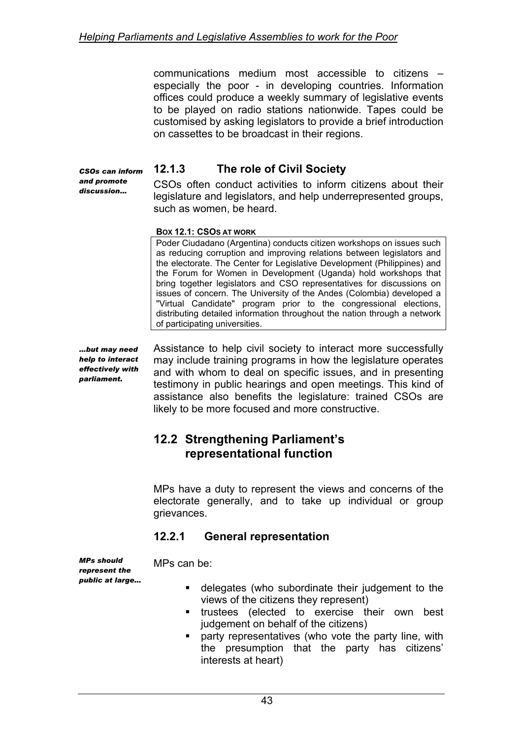communications medium most accessible to citizens – especially the poor - in developing countries. Information offices could produce a weekly summary of legislative events to be played on radio stations nationwide. Tapes could be customised by asking legislators to provide a brief introduction on cassettes to be broadcast in their regions.

*CSOs can inform and promote discussion…* 

### **12.1.3 The role of Civil Society**

CSOs often conduct activities to inform citizens about their legislature and legislators, and help underrepresented groups, such as women, be heard.

#### **BOX 12.1: CSOS AT WORK**

Poder Ciudadano (Argentina) conducts citizen workshops on issues such as reducing corruption and improving relations between legislators and the electorate. The Center for Legislative Development (Philippines) and the Forum for Women in Development (Uganda) hold workshops that bring together legislators and CSO representatives for discussions on issues of concern. The University of the Andes (Colombia) developed a "Virtual Candidate" program prior to the congressional elections, distributing detailed information throughout the nation through a network of participating universities.

*…but may need help to interact effectively with parliament.* 

Assistance to help civil society to interact more successfully may include training programs in how the legislature operates and with whom to deal on specific issues, and in presenting testimony in public hearings and open meetings. This kind of assistance also benefits the legislature: trained CSOs are likely to be more focused and more constructive.

### **12.2 Strengthening Parliament's representational function**

MPs have a duty to represent the views and concerns of the electorate generally, and to take up individual or group grievances.

### **12.2.1 General representation**

*MPs should represent the public at large…*  MPs can be:

- delegates (who subordinate their judgement to the views of the citizens they represent)
- **trustees** (elected to exercise their own best judgement on behalf of the citizens)
- party representatives (who vote the party line, with the presumption that the party has citizens' interests at heart)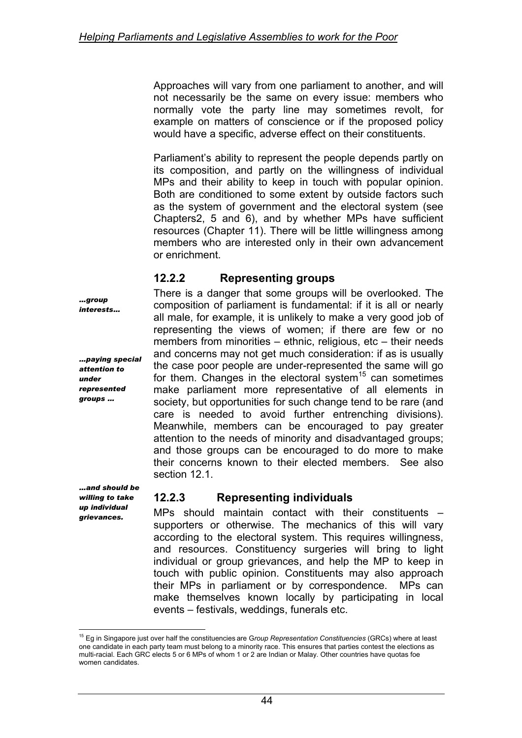Approaches will vary from one parliament to another, and will not necessarily be the same on every issue: members who normally vote the party line may sometimes revolt, for example on matters of conscience or if the proposed policy would have a specific, adverse effect on their constituents.

Parliament's ability to represent the people depends partly on its composition, and partly on the willingness of individual MPs and their ability to keep in touch with popular opinion. Both are conditioned to some extent by outside factors such as the system of government and the electoral system (see Chapters2, 5 and 6), and by whether MPs have sufficient resources (Chapter 11). There will be little willingness among members who are interested only in their own advancement or enrichment.

### **12.2.2 Representing groups**

There is a danger that some groups will be overlooked. The composition of parliament is fundamental: if it is all or nearly all male, for example, it is unlikely to make a very good job of representing the views of women; if there are few or no members from minorities – ethnic, religious, etc – their needs and concerns may not get much consideration: if as is usually the case poor people are under-represented the same will go for them. Changes in the electoral system<sup>15</sup> can sometimes make parliament more representative of all elements in society, but opportunities for such change tend to be rare (and care is needed to avoid further entrenching divisions). Meanwhile, members can be encouraged to pay greater attention to the needs of minority and disadvantaged groups; and those groups can be encouraged to do more to make their concerns known to their elected members. See also section 12.1.

### **12.2.3 Representing individuals**

MPs should maintain contact with their constituents – supporters or otherwise. The mechanics of this will vary according to the electoral system. This requires willingness, and resources. Constituency surgeries will bring to light individual or group grievances, and help the MP to keep in touch with public opinion. Constituents may also approach their MPs in parliament or by correspondence. MPs can make themselves known locally by participating in local events – festivals, weddings, funerals etc.

*…group interests…* 

*…paying special attention to under represented groups …* 

*…and should be willing to take up individual grievances.* 

<span id="page-54-0"></span> $\overline{a}$ 15 Eg in Singapore just over half the constituencies are G*roup Representation Constituencies* (GRCs) where at least one candidate in each party team must belong to a minority race. This ensures that parties contest the elections as multi-racial. Each GRC elects 5 or 6 MPs of whom 1 or 2 are Indian or Malay. Other countries have quotas foe women candidates.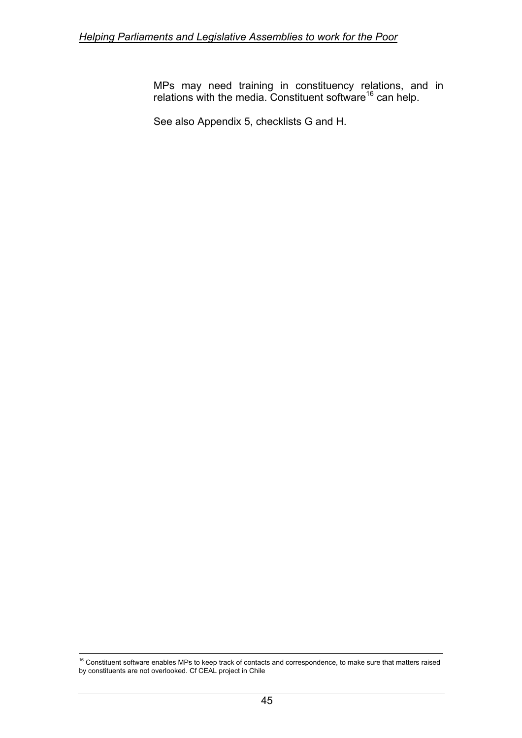MPs may need training in constituency relations, and in relations with the media. Constituent software<sup>16</sup> can help.

See also Appendix 5, checklists G and H.

 $\overline{a}$ 

<span id="page-55-0"></span> $16$  Constituent software enables MPs to keep track of contacts and correspondence, to make sure that matters raised by constituents are not overlooked. Cf CEAL project in Chile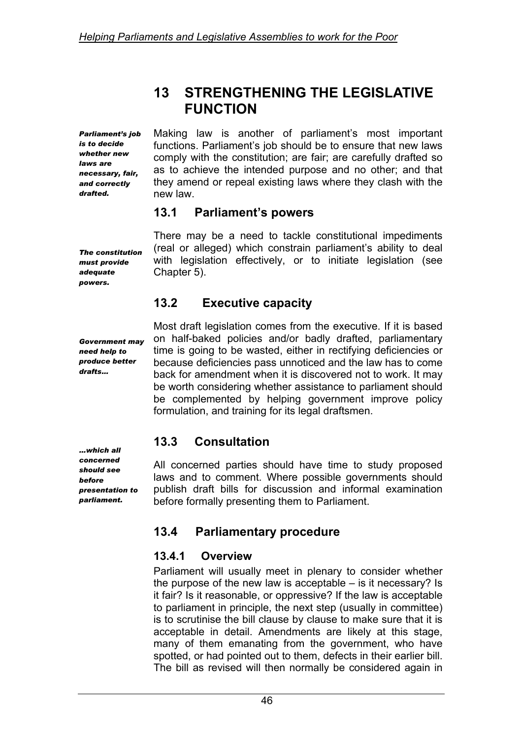## **13 STRENGTHENING THE LEGISLATIVE FUNCTION**

*Parliament's job is to decide whether new laws are necessary, fair, and correctly drafted.* 

Making law is another of parliament's most important functions. Parliament's job should be to ensure that new laws comply with the constitution; are fair; are carefully drafted so as to achieve the intended purpose and no other; and that they amend or repeal existing laws where they clash with the new law.

### **13.1 Parliament's powers**

There may be a need to tackle constitutional impediments (real or alleged) which constrain parliament's ability to deal with legislation effectively, or to initiate legislation (see Chapter 5).

### **13.2 Executive capacity**

Most draft legislation comes from the executive. If it is based on half-baked policies and/or badly drafted, parliamentary time is going to be wasted, either in rectifying deficiencies or because deficiencies pass unnoticed and the law has to come back for amendment when it is discovered not to work. It may be worth considering whether assistance to parliament should be complemented by helping government improve policy

## **13.3 Consultation**

All concerned parties should have time to study proposed laws and to comment. Where possible governments should publish draft bills for discussion and informal examination before formally presenting them to Parliament.

## **13.4 Parliamentary procedure**

formulation, and training for its legal draftsmen.

### **13.4.1 Overview**

Parliament will usually meet in plenary to consider whether the purpose of the new law is acceptable – is it necessary? Is it fair? Is it reasonable, or oppressive? If the law is acceptable to parliament in principle, the next step (usually in committee) is to scrutinise the bill clause by clause to make sure that it is acceptable in detail. Amendments are likely at this stage, many of them emanating from the government, who have spotted, or had pointed out to them, defects in their earlier bill. The bill as revised will then normally be considered again in

*The constitution must provide adequate powers.* 

*Government may need help to produce better drafts…* 

*…which all concerned should see before presentation to parliament.*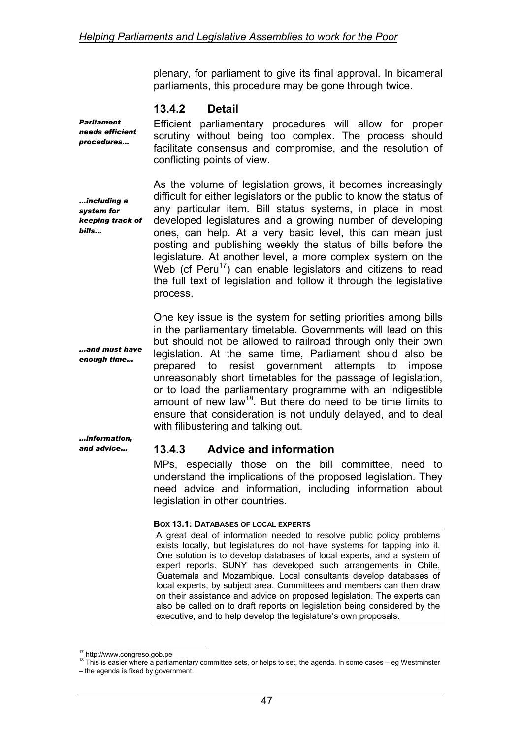plenary, for parliament to give its final approval. In bicameral parliaments, this procedure may be gone through twice.

#### **13.4.2 Detail**

*Parliament needs efficient procedures…* 

Efficient parliamentary procedures will allow for proper scrutiny without being too complex. The process should facilitate consensus and compromise, and the resolution of conflicting points of view.

*…including a system for keeping track of bills…* 

As the volume of legislation grows, it becomes increasingly difficult for either legislators or the public to know the status of any particular item. Bill status systems, in place in most developed legislatures and a growing number of developing ones, can help. At a very basic level, this can mean just posting and publishing weekly the status of bills before the legislature. At another level, a more complex system on the Web (cf  $Peru^{17}$ ) can enable legislators and citizens to read the full text of legislation and follow it through the legislative process.

*…and must have enough time…* 

One key issue is the system for setting priorities among bills in the parliamentary timetable. Governments will lead on this but should not be allowed to railroad through only their own legislation. At the same time, Parliament should also be prepared to resist government attempts to impose unreasonably short timetables for the passage of legislation, or to load the parliamentary programme with an indigestible amount of new law<sup>18</sup>. But there do need to be time limits to ensure that consideration is not unduly delayed, and to deal with filibustering and talking out.

*…information, and advice…* 

### **13.4.3 Advice and information**

MPs, especially those on the bill committee, need to understand the implications of the proposed legislation. They need advice and information, including information about legislation in other countries.

#### **BOX 13.1: DATABASES OF LOCAL EXPERTS**

A great deal of information needed to resolve public policy problems exists locally, but legislatures do not have systems for tapping into it. One solution is to develop databases of local experts, and a system of expert reports. SUNY has developed such arrangements in Chile, Guatemala and Mozambique. Local consultants develop databases of local experts, by subject area. Committees and members can then draw on their assistance and advice on proposed legislation. The experts can also be called on to draft reports on legislation being considered by the executive, and to help develop the legislature's own proposals.

 $\overline{a}$ 

<span id="page-57-1"></span><span id="page-57-0"></span><sup>&</sup>lt;sup>17</sup> http://www.congreso.gob.pe<br><sup>18</sup> This is easier where a parliamentary committee sets, or helps to set, the agenda. In some cases – eg Westminster

<sup>–</sup> the agenda is fixed by government.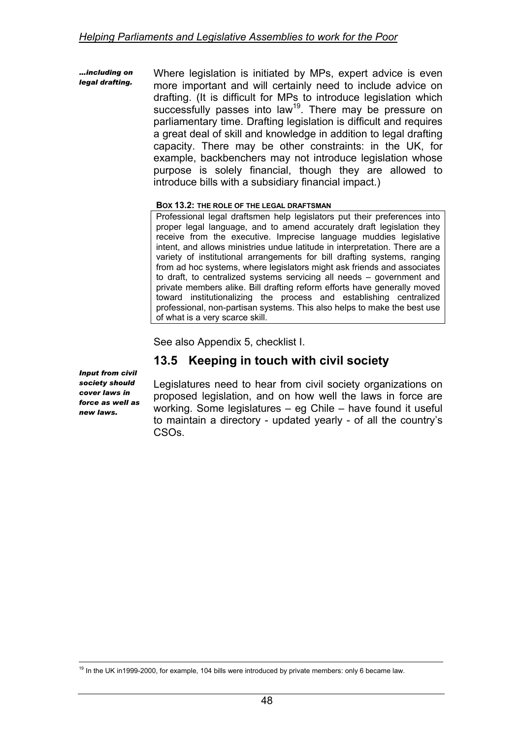*…including on legal drafting.*  Where legislation is initiated by MPs, expert advice is even more important and will certainly need to include advice on drafting. (It is difficult for MPs to introduce legislation which successfully passes into law<sup>19</sup>. There may be pressure on parliamentary time. Drafting legislation is difficult and requires a great deal of skill and knowledge in addition to legal drafting capacity. There may be other constraints: in the UK, for example, backbenchers may not introduce legislation whose purpose is solely financial, though they are allowed to introduce bills with a subsidiary financial impact.)

#### **BOX 13.2: THE ROLE OF THE LEGAL DRAFTSMAN**

Professional legal draftsmen help legislators put their preferences into proper legal language, and to amend accurately draft legislation they receive from the executive. Imprecise language muddies legislative intent, and allows ministries undue latitude in interpretation. There are a variety of institutional arrangements for bill drafting systems, ranging from ad hoc systems, where legislators might ask friends and associates to draft, to centralized systems servicing all needs – government and private members alike. Bill drafting reform efforts have generally moved toward institutionalizing the process and establishing centralized professional, non-partisan systems. This also helps to make the best use of what is a very scarce skill.

See also Appendix 5, checklist I.

### **13.5 Keeping in touch with civil society**

*Input from civil society should cover laws in force as well as new laws.* 

Legislatures need to hear from civil society organizations on proposed legislation, and on how well the laws in force are working. Some legislatures – eg Chile – have found it useful to maintain a directory - updated yearly - of all the country's CSOs.

<span id="page-58-0"></span> $\overline{a}$  $19$  In the UK in1999-2000, for example, 104 bills were introduced by private members: only 6 became law.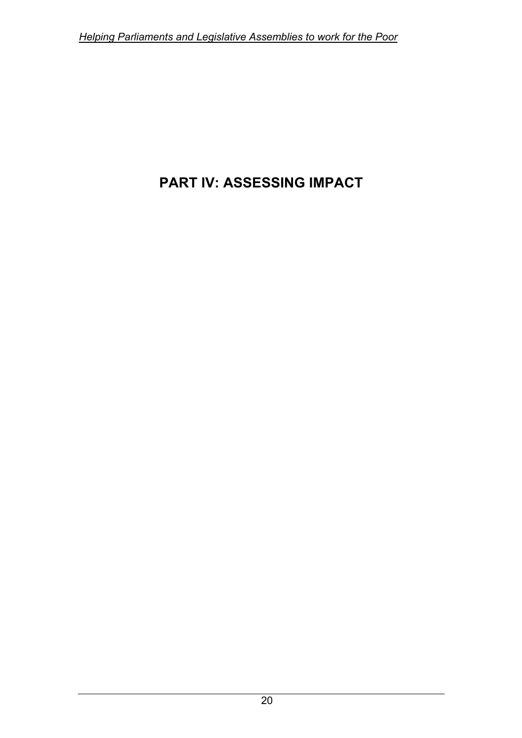# **PART IV: ASSESSING IMPACT**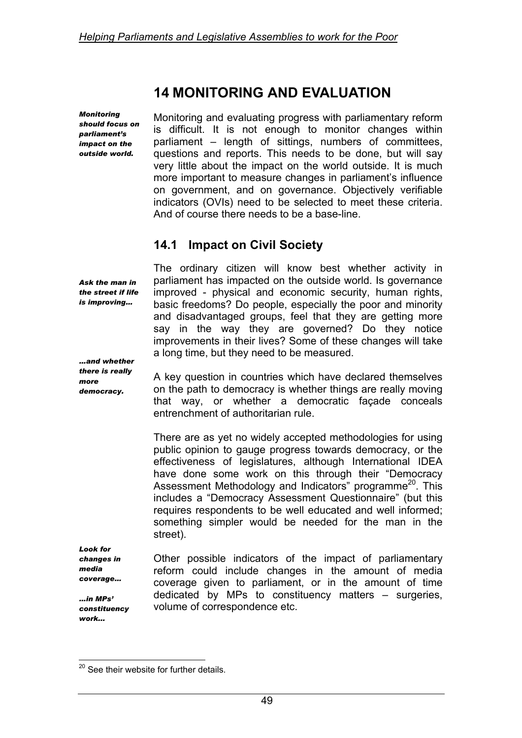## **14 MONITORING AND EVALUATION**

*Monitoring should focus on parliament's impact on the outside world.* 

Monitoring and evaluating progress with parliamentary reform is difficult. It is not enough to monitor changes within parliament – length of sittings, numbers of committees, questions and reports. This needs to be done, but will say very little about the impact on the world outside. It is much more important to measure changes in parliament's influence on government, and on governance. Objectively verifiable indicators (OVIs) need to be selected to meet these criteria. And of course there needs to be a base-line.

### **14.1 Impact on Civil Society**

*Ask the man in the street if life is improving…* 

The ordinary citizen will know best whether activity in parliament has impacted on the outside world. Is governance improved - physical and economic security, human rights, basic freedoms? Do people, especially the poor and minority and disadvantaged groups, feel that they are getting more say in the way they are governed? Do they notice improvements in their lives? Some of these changes will take a long time, but they need to be measured.

*…and whether there is really more democracy.* 

A key question in countries which have declared themselves on the path to democracy is whether things are really moving that way, or whether a democratic façade conceals entrenchment of authoritarian rule.

There are as yet no widely accepted methodologies for using public opinion to gauge progress towards democracy, or the effectiveness of legislatures, although International IDEA have done some work on this through their "Democracy Assessment Methodology and Indicators" programme<sup>20</sup>. This includes a "Democracy Assessment Questionnaire" (but this requires respondents to be well educated and well informed; something simpler would be needed for the man in the street).

*Look for changes in media coverage…* 

*…in MPs' constituency work...* 

Other possible indicators of the impact of parliamentary reform could include changes in the amount of media coverage given to parliament, or in the amount of time dedicated by MPs to constituency matters – surgeries, volume of correspondence etc.

<span id="page-60-0"></span> $\overline{a}$  $^{20}$  See their website for further details.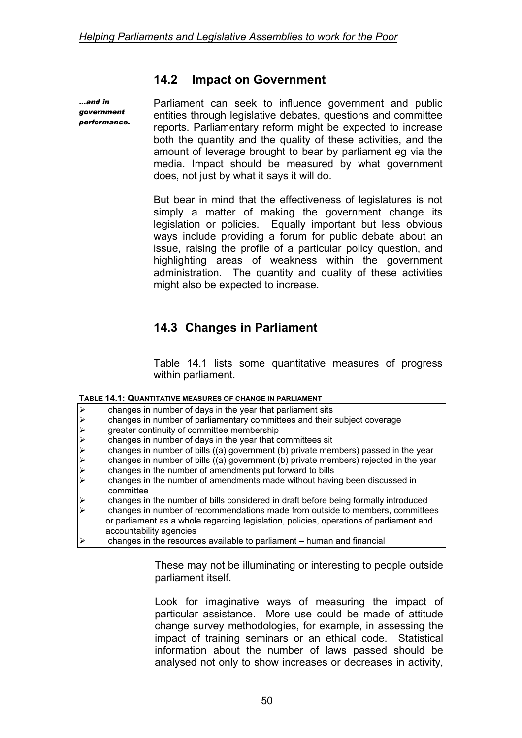### **14.2 Impact on Government**

*…and in government performance.*  Parliament can seek to influence government and public entities through legislative debates, questions and committee reports. Parliamentary reform might be expected to increase both the quantity and the quality of these activities, and the amount of leverage brought to bear by parliament eg via the media. Impact should be measured by what government does, not just by what it says it will do.

But bear in mind that the effectiveness of legislatures is not simply a matter of making the government change its legislation or policies. Equally important but less obvious ways include providing a forum for public debate about an issue, raising the profile of a particular policy question, and highlighting areas of weakness within the government administration. The quantity and quality of these activities might also be expected to increase.

### **14.3 Changes in Parliament**

Table 14.1 lists some quantitative measures of progress within parliament.

| TABLE 14.1: QUANTITATIVE MEASURES OF CHANGE IN PARLIAMENT |  |
|-----------------------------------------------------------|--|
|-----------------------------------------------------------|--|

|                      | changes in number of days in the year that parliament sits                             |
|----------------------|----------------------------------------------------------------------------------------|
| $A A A A A A A$      | changes in number of parliamentary committees and their subject coverage               |
|                      | greater continuity of committee membership                                             |
|                      | changes in number of days in the year that committees sit                              |
|                      | changes in number of bills ((a) government (b) private members) passed in the year     |
|                      | changes in number of bills ((a) government (b) private members) rejected in the year   |
|                      | changes in the number of amendments put forward to bills                               |
|                      | changes in the number of amendments made without having been discussed in<br>committee |
| $\frac{1}{\sqrt{2}}$ | changes in the number of bills considered in draft before being formally introduced    |
|                      | changes in number of recommendations made from outside to members, committees          |
|                      | or parliament as a whole regarding legislation, policies, operations of parliament and |
|                      | accountability agencies                                                                |
|                      | changes in the resources available to parliament – human and financial                 |

These may not be illuminating or interesting to people outside parliament itself.

Look for imaginative ways of measuring the impact of particular assistance. More use could be made of attitude change survey methodologies, for example, in assessing the impact of training seminars or an ethical code. Statistical information about the number of laws passed should be analysed not only to show increases or decreases in activity,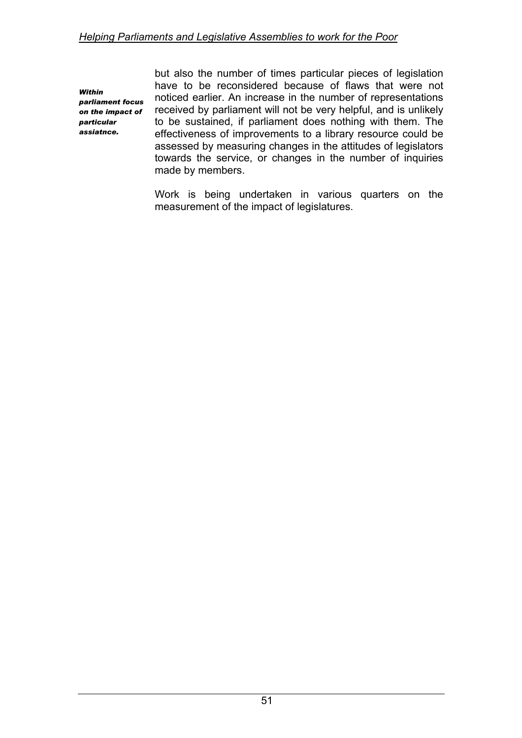*Within parliament focus on the impact of particular assiatnce.* 

but also the number of times particular pieces of legislation have to be reconsidered because of flaws that were not noticed earlier. An increase in the number of representations received by parliament will not be very helpful, and is unlikely to be sustained, if parliament does nothing with them. The effectiveness of improvements to a library resource could be assessed by measuring changes in the attitudes of legislators towards the service, or changes in the number of inquiries made by members.

Work is being undertaken in various quarters on the measurement of the impact of legislatures.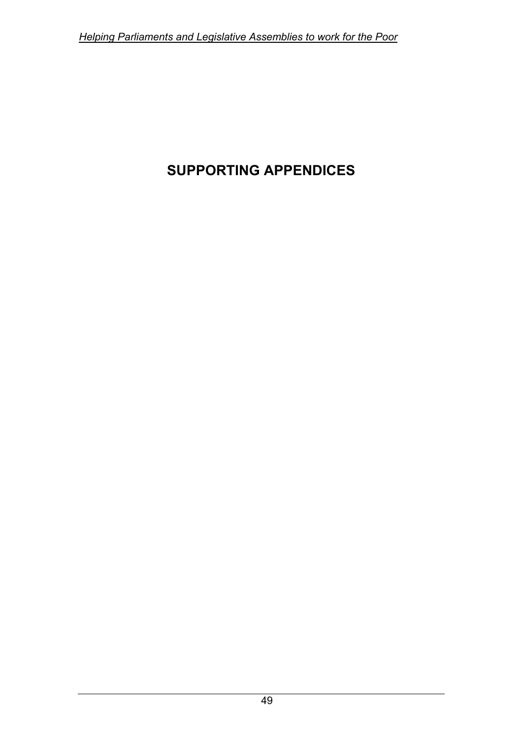# **SUPPORTING APPENDICES**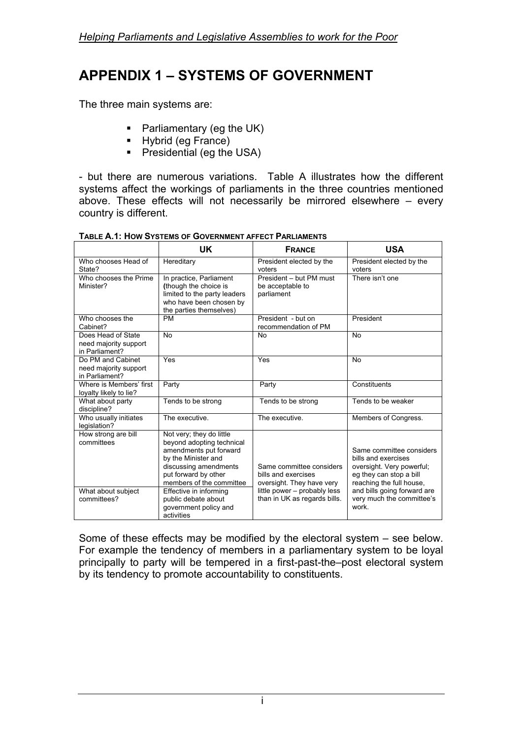# **APPENDIX 1 – SYSTEMS OF GOVERNMENT**

The three main systems are:

- Parliamentary (eg the UK)
- Hybrid (eg France)
- **Presidential (eg the USA)**

- but there are numerous variations. Table A illustrates how the different systems affect the workings of parliaments in the three countries mentioned above. These effects will not necessarily be mirrored elsewhere – every country is different.

|                                                                        | UK                                                                                                                                                                                                                                   | <b>FRANCE</b>                                                                                                                                | <b>USA</b>                                                                                                                                                                                      |
|------------------------------------------------------------------------|--------------------------------------------------------------------------------------------------------------------------------------------------------------------------------------------------------------------------------------|----------------------------------------------------------------------------------------------------------------------------------------------|-------------------------------------------------------------------------------------------------------------------------------------------------------------------------------------------------|
| Who chooses Head of<br>State?                                          | Hereditary                                                                                                                                                                                                                           | President elected by the<br>voters                                                                                                           | President elected by the<br>voters                                                                                                                                                              |
| Who chooses the Prime<br>Minister?                                     | In practice, Parliament<br>(though the choice is<br>limited to the party leaders<br>who have been chosen by<br>the parties themselves)                                                                                               | President - but PM must<br>be acceptable to<br>parliament                                                                                    | There isn't one                                                                                                                                                                                 |
| Who chooses the<br>Cabinet?                                            | <b>PM</b>                                                                                                                                                                                                                            | President - but on<br>recommendation of PM                                                                                                   | President                                                                                                                                                                                       |
| Does Head of State<br>need majority support<br>in Parliament?          | <b>No</b>                                                                                                                                                                                                                            | <b>No</b>                                                                                                                                    | <b>No</b>                                                                                                                                                                                       |
| Do PM and Cabinet<br>need majority support<br>in Parliament?           | Yes                                                                                                                                                                                                                                  | Yes                                                                                                                                          | <b>No</b>                                                                                                                                                                                       |
| Where is Members' first<br>loyalty likely to lie?                      | Party                                                                                                                                                                                                                                | Party                                                                                                                                        | Constituents                                                                                                                                                                                    |
| What about party<br>discipline?                                        | Tends to be strong                                                                                                                                                                                                                   | Tends to be strong                                                                                                                           | Tends to be weaker                                                                                                                                                                              |
| Who usually initiates<br>legislation?                                  | The executive.                                                                                                                                                                                                                       | The executive.                                                                                                                               | Members of Congress.                                                                                                                                                                            |
| How strong are bill<br>committees<br>What about subject<br>committees? | Not very; they do little<br>beyond adopting technical<br>amendments put forward<br>by the Minister and<br>discussing amendments<br>put forward by other<br>members of the committee<br>Effective in informing<br>public debate about | Same committee considers<br>bills and exercises<br>oversight. They have very<br>little power – probably less<br>than in UK as regards bills. | Same committee considers<br>bills and exercises<br>oversight. Very powerful;<br>eg they can stop a bill<br>reaching the full house,<br>and bills going forward are<br>very much the committee's |
|                                                                        | government policy and<br>activities                                                                                                                                                                                                  |                                                                                                                                              | work.                                                                                                                                                                                           |

**TABLE A.1: HOW SYSTEMS OF GOVERNMENT AFFECT PARLIAMENTS** 

Some of these effects may be modified by the electoral system – see below. For example the tendency of members in a parliamentary system to be loyal principally to party will be tempered in a first-past-the–post electoral system by its tendency to promote accountability to constituents.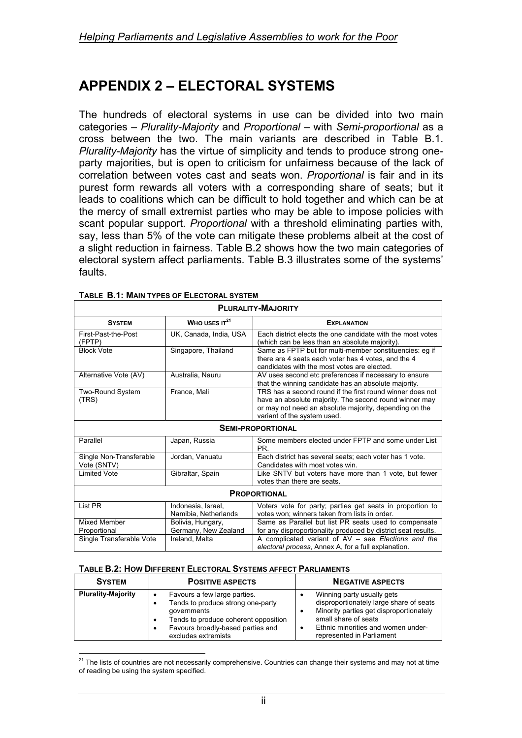# **APPENDIX 2 – ELECTORAL SYSTEMS**

The hundreds of electoral systems in use can be divided into two main categories – *Plurality-Majority* and *Proportional* – with *Semi-proportional* as a cross between the two. The main variants are described in Table B.1. *Plurality-Majority* has the virtue of simplicity and tends to produce strong oneparty majorities, but is open to criticism for unfairness because of the lack of correlation between votes cast and seats won. *Proportional* is fair and in its purest form rewards all voters with a corresponding share of seats; but it leads to coalitions which can be difficult to hold together and which can be at the mercy of small extremist parties who may be able to impose policies with scant popular support. *Proportional* with a threshold eliminating parties with, say, less than 5% of the vote can mitigate these problems albeit at the cost of a slight reduction in fairness. Table B.2 shows how the two main categories of electoral system affect parliaments. Table B.3 illustrates some of the systems' faults.

| <b>PLURALITY-MAJORITY</b>                |                                            |                                                                                                                                                                                                              |  |
|------------------------------------------|--------------------------------------------|--------------------------------------------------------------------------------------------------------------------------------------------------------------------------------------------------------------|--|
| <b>SYSTEM</b>                            | WHO USES $IT21$                            | <b>EXPLANATION</b>                                                                                                                                                                                           |  |
| First-Past-the-Post<br>(FPTP)            | UK, Canada, India, USA                     | Each district elects the one candidate with the most votes<br>(which can be less than an absolute majority).                                                                                                 |  |
| <b>Block Vote</b>                        | Singapore, Thailand                        | Same as FPTP but for multi-member constituencies: eg if<br>there are 4 seats each voter has 4 votes, and the 4<br>candidates with the most votes are elected.                                                |  |
| Alternative Vote (AV)                    | Australia, Nauru                           | AV uses second etc preferences if necessary to ensure<br>that the winning candidate has an absolute majority.                                                                                                |  |
| <b>Two-Round System</b><br>(TRS)         | France, Mali                               | TRS has a second round if the first round winner does not<br>have an absolute majority. The second round winner may<br>or may not need an absolute majority, depending on the<br>variant of the system used. |  |
| <b>SEMI-PROPORTIONAL</b>                 |                                            |                                                                                                                                                                                                              |  |
| Parallel                                 | Japan, Russia                              | Some members elected under FPTP and some under List<br>PR.                                                                                                                                                   |  |
| Single Non-Transferable<br>Vote (SNTV)   | Jordan, Vanuatu                            | Each district has several seats; each voter has 1 vote.<br>Candidates with most votes win.                                                                                                                   |  |
| <b>Limited Vote</b>                      | Gibraltar, Spain                           | Like SNTV but voters have more than 1 vote, but fewer<br>votes than there are seats.                                                                                                                         |  |
| <b>PROPORTIONAL</b>                      |                                            |                                                                                                                                                                                                              |  |
| List PR                                  | Indonesia, Israel,<br>Namibia, Netherlands | Voters vote for party; parties get seats in proportion to<br>votes won; winners taken from lists in order.                                                                                                   |  |
| <b>Mixed Member</b>                      | Bolivia, Hungary,                          | Same as Parallel but list PR seats used to compensate                                                                                                                                                        |  |
| Proportional<br>Single Transferable Vote | Germany, New Zealand<br>Ireland, Malta     | for any disproportionality produced by district seat results.<br>A complicated variant of AV - see Elections and the<br>electoral process, Annex A, for a full explanation.                                  |  |

| TABLE B.1: MAIN TYPES OF ELECTORAL SYSTEM |  |
|-------------------------------------------|--|
|-------------------------------------------|--|

#### **TABLE B.2: HOW DIFFERENT ELECTORAL SYSTEMS AFFECT PARLIAMENTS**

| <b>SYSTEM</b>             | <b>POSITIVE ASPECTS</b>                                                                                                                                                              | <b>NEGATIVE ASPECTS</b>                                                                                                                                                                                     |
|---------------------------|--------------------------------------------------------------------------------------------------------------------------------------------------------------------------------------|-------------------------------------------------------------------------------------------------------------------------------------------------------------------------------------------------------------|
| <b>Plurality-Majority</b> | Favours a few large parties.<br>Tends to produce strong one-party<br>governments<br>Tends to produce coherent opposition<br>Favours broadly-based parties and<br>excludes extremists | Winning party usually gets<br>disproportionately large share of seats<br>Minority parties get disproportionately<br>small share of seats<br>Ethnic minorities and women under-<br>represented in Parliament |

<span id="page-65-0"></span> $\overline{a}$  $^{21}$  The lists of countries are not necessarily comprehensive. Countries can change their systems and may not at time of reading be using the system specified.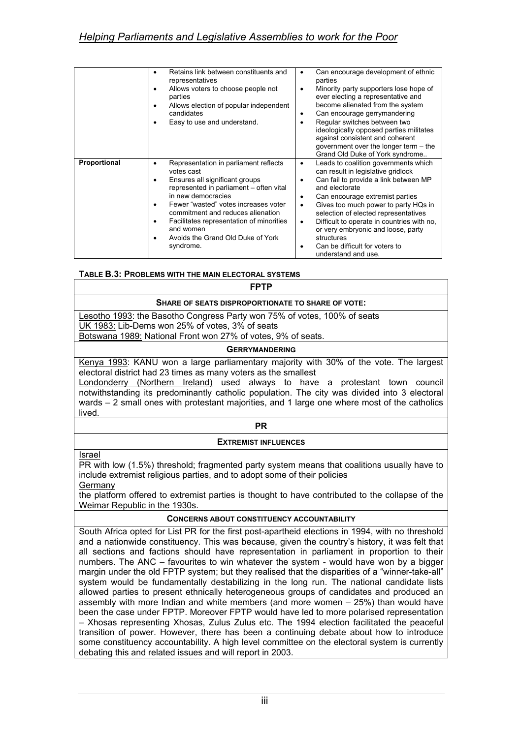|              | Retains link between constituents and<br>representatives<br>Allows voters to choose people not<br>parties<br>Allows election of popular independent<br>candidates<br>Easy to use and understand.                                                                                                                                               | Can encourage development of ethnic<br>٠<br>parties<br>Minority party supporters lose hope of<br>٠<br>ever electing a representative and<br>become alienated from the system<br>Can encourage gerrymandering<br>٠<br>Regular switches between two<br>٠<br>ideologically opposed parties militates<br>against consistent and coherent<br>government over the longer term - the<br>Grand Old Duke of York syndrome                                                          |
|--------------|------------------------------------------------------------------------------------------------------------------------------------------------------------------------------------------------------------------------------------------------------------------------------------------------------------------------------------------------|---------------------------------------------------------------------------------------------------------------------------------------------------------------------------------------------------------------------------------------------------------------------------------------------------------------------------------------------------------------------------------------------------------------------------------------------------------------------------|
| Proportional | Representation in parliament reflects<br>votes cast<br>Ensures all significant groups<br>represented in parliament - often vital<br>in new democracies<br>Fewer "wasted" votes increases voter<br>commitment and reduces alienation<br>Facilitates representation of minorities<br>and women<br>Avoids the Grand Old Duke of York<br>syndrome. | Leads to coalition governments which<br>٠<br>can result in legislative gridlock<br>Can fail to provide a link between MP<br>$\bullet$<br>and electorate<br>Can encourage extremist parties<br>٠<br>Gives too much power to party HQs in<br>$\bullet$<br>selection of elected representatives<br>Difficult to operate in countries with no,<br>٠<br>or very embryonic and loose, party<br>structures<br>Can be difficult for voters to<br>$\bullet$<br>understand and use. |

#### **TABLE B.3: PROBLEMS WITH THE MAIN ELECTORAL SYSTEMS**

**FPTP** 

#### **SHARE OF SEATS DISPROPORTIONATE TO SHARE OF VOTE:**

Lesotho 1993: the Basotho Congress Party won 75% of votes, 100% of seats UK 1983: Lib-Dems won 25% of votes, 3% of seats

Botswana 1989: National Front won 27% of votes, 9% of seats.

#### **GERRYMANDERING**

Kenya 1993: KANU won a large parliamentary majority with 30% of the vote. The largest electoral district had 23 times as many voters as the smallest

Londonderry (Northern Ireland) used always to have a protestant town council notwithstanding its predominantly catholic population. The city was divided into 3 electoral wards – 2 small ones with protestant majorities, and 1 large one where most of the catholics lived.

#### **PR**

#### **EXTREMIST INFLUENCES**

Israel

PR with low (1.5%) threshold; fragmented party system means that coalitions usually have to include extremist religious parties, and to adopt some of their policies

Germany

the platform offered to extremist parties is thought to have contributed to the collapse of the Weimar Republic in the 1930s.

#### **CONCERNS ABOUT CONSTITUENCY ACCOUNTABILITY**

South Africa opted for List PR for the first post-apartheid elections in 1994, with no threshold and a nationwide constituency. This was because, given the country's history, it was felt that all sections and factions should have representation in parliament in proportion to their numbers. The ANC – favourites to win whatever the system - would have won by a bigger margin under the old FPTP system; but they realised that the disparities of a "winner-take-all" system would be fundamentally destabilizing in the long run. The national candidate lists allowed parties to present ethnically heterogeneous groups of candidates and produced an assembly with more Indian and white members (and more women – 25%) than would have been the case under FPTP. Moreover FPTP would have led to more polarised representation – Xhosas representing Xhosas, Zulus Zulus etc. The 1994 election facilitated the peaceful transition of power. However, there has been a continuing debate about how to introduce some constituency accountability. A high level committee on the electoral system is currently debating this and related issues and will report in 2003.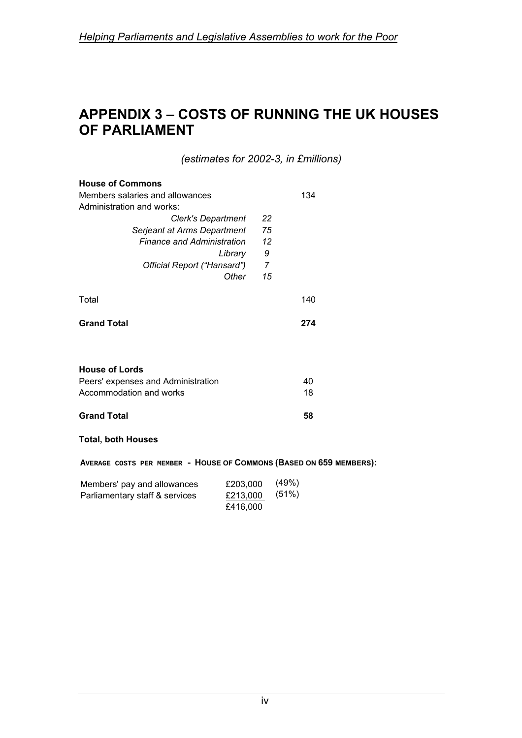# **APPENDIX 3 – COSTS OF RUNNING THE UK HOUSES OF PARLIAMENT**

*(estimates for 2002-3, in £millions)* 

| <b>House of Commons</b>            |    |     |  |
|------------------------------------|----|-----|--|
| Members salaries and allowances    |    |     |  |
| Administration and works:          |    |     |  |
| Clerk's Department                 | 22 |     |  |
| Serjeant at Arms Department        | 75 |     |  |
| <b>Finance and Administration</b>  | 12 |     |  |
| Library                            | 9  |     |  |
| Official Report ("Hansard")        | 7  |     |  |
| Other                              | 15 |     |  |
| Total                              |    | 140 |  |
| <b>Grand Total</b>                 |    | 274 |  |
|                                    |    |     |  |
| <b>House of Lords</b>              |    |     |  |
| Peers' expenses and Administration |    | 40  |  |
| Accommodation and works            |    | 18  |  |
| <b>Grand Total</b>                 |    | 58  |  |
| <b>Total, both Houses</b>          |    |     |  |

**AVERAGE COSTS PER MEMBER - HOUSE OF COMMONS (BASED ON 659 MEMBERS):** 

| Members' pay and allowances    | £203,000 | (49%) |
|--------------------------------|----------|-------|
| Parliamentary staff & services | £213,000 | (51%) |
|                                | £416.000 |       |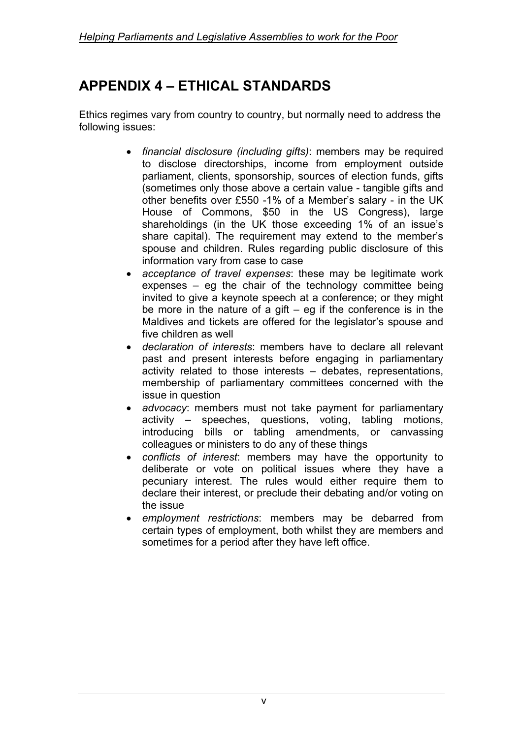# **APPENDIX 4 – ETHICAL STANDARDS**

Ethics regimes vary from country to country, but normally need to address the following issues:

- *financial disclosure (including gifts)*: members may be required to disclose directorships, income from employment outside parliament, clients, sponsorship, sources of election funds, gifts (sometimes only those above a certain value - tangible gifts and other benefits over £550 -1% of a Member's salary - in the UK House of Commons, \$50 in the US Congress), large shareholdings (in the UK those exceeding 1% of an issue's share capital). The requirement may extend to the member's spouse and children. Rules regarding public disclosure of this information vary from case to case
- *acceptance of travel expenses*: these may be legitimate work expenses – eg the chair of the technology committee being invited to give a keynote speech at a conference; or they might be more in the nature of a gift  $-$  eg if the conference is in the Maldives and tickets are offered for the legislator's spouse and five children as well
- *declaration of interests*: members have to declare all relevant past and present interests before engaging in parliamentary activity related to those interests – debates, representations, membership of parliamentary committees concerned with the issue in question
- *advocacy*: members must not take payment for parliamentary activity – speeches, questions, voting, tabling motions, introducing bills or tabling amendments, or canvassing colleagues or ministers to do any of these things
- *conflicts of interest*: members may have the opportunity to deliberate or vote on political issues where they have a pecuniary interest. The rules would either require them to declare their interest, or preclude their debating and/or voting on the issue
- *employment restrictions*: members may be debarred from certain types of employment, both whilst they are members and sometimes for a period after they have left office.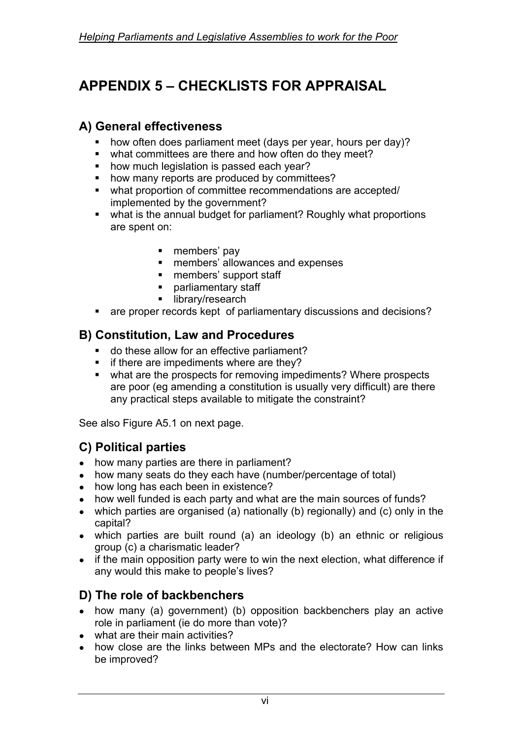# **APPENDIX 5 – CHECKLISTS FOR APPRAISAL**

## **A) General effectiveness**

- how often does parliament meet (days per year, hours per day)?
- what committees are there and how often do they meet?
- **•** how much legislation is passed each year?
- how many reports are produced by committees?
- what proportion of committee recommendations are accepted/ implemented by the government?
- what is the annual budget for parliament? Roughly what proportions are spent on:
	- members' pay
	- **EXP** members' allowances and expenses
	- **n** members' support staff
	- **parliamentary staff**
	- library/research
- are proper records kept of parliamentary discussions and decisions?

### **B) Constitution, Law and Procedures**

- **do these allow for an effective parliament?**
- **i** if there are impediments where are they?
- what are the prospects for removing impediments? Where prospects are poor (eg amending a constitution is usually very difficult) are there any practical steps available to mitigate the constraint?

See also Figure A5.1 on next page.

## **C) Political parties**

- how many parties are there in parliament?
- how many seats do they each have (number/percentage of total)
- how long has each been in existence?
- how well funded is each party and what are the main sources of funds?
- which parties are organised (a) nationally (b) regionally) and (c) only in the capital?
- which parties are built round (a) an ideology (b) an ethnic or religious group (c) a charismatic leader?
- if the main opposition party were to win the next election, what difference if any would this make to people's lives?

## **D) The role of backbenchers**

- how many (a) government) (b) opposition backbenchers play an active role in parliament (ie do more than vote)?
- what are their main activities?
- how close are the links between MPs and the electorate? How can links be improved?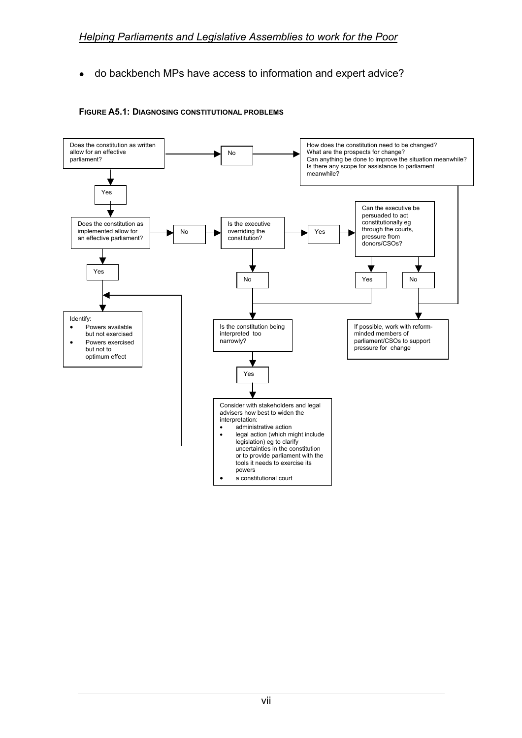• do backbench MPs have access to information and expert advice?



#### **FIGURE A5.1: DIAGNOSING CONSTITUTIONAL PROBLEMS**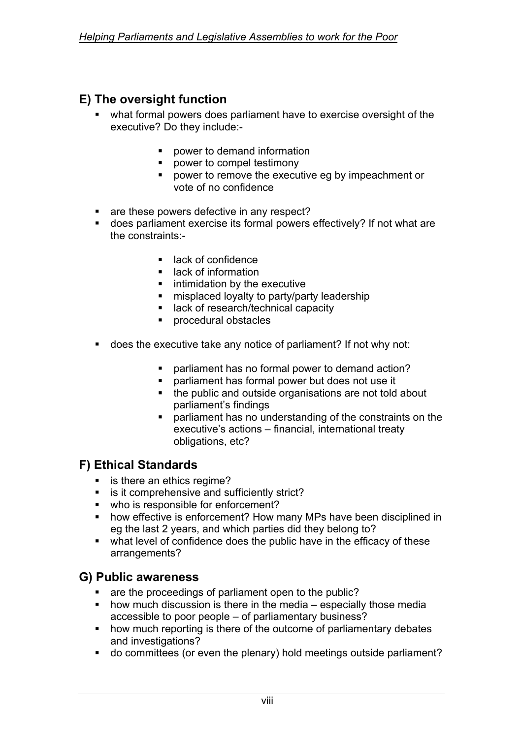## **E) The oversight function**

- what formal powers does parliament have to exercise oversight of the executive? Do they include:-
	- **•** power to demand information
	- **•** power to compel testimony
	- **power to remove the executive eg by impeachment or** vote of no confidence
- are these powers defective in any respect?
- does parliament exercise its formal powers effectively? If not what are the constraints:-
	- lack of confidence
	- **E** lack of information
	- **EXECUTE:** intimidation by the executive
	- **EXED in the increduced loyalty to party/party leadership**
	- lack of research/technical capacity
	- procedural obstacles
- does the executive take any notice of parliament? If not why not:
	- parliament has no formal power to demand action?
	- parliament has formal power but does not use it
	- the public and outside organisations are not told about parliament's findings
	- parliament has no understanding of the constraints on the executive's actions – financial, international treaty obligations, etc?

### **F) Ethical Standards**

- is there an ethics regime?
- **EXECO is it comprehensive and sufficiently strict?**
- who is responsible for enforcement?
- **•** how effective is enforcement? How many MPs have been disciplined in eg the last 2 years, and which parties did they belong to?
- what level of confidence does the public have in the efficacy of these arrangements?

### **G) Public awareness**

- are the proceedings of parliament open to the public?
- $\blacksquare$  how much discussion is there in the media especially those media accessible to poor people – of parliamentary business?
- how much reporting is there of the outcome of parliamentary debates and investigations?
- do committees (or even the plenary) hold meetings outside parliament?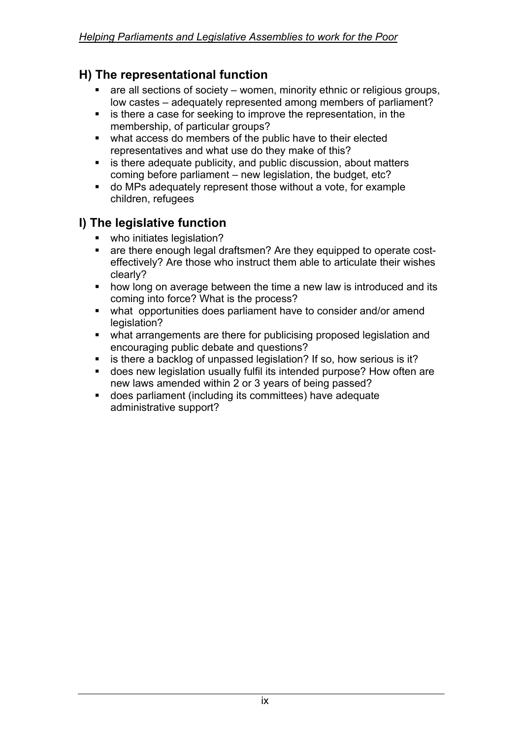### **H) The representational function**

- are all sections of society women, minority ethnic or religious groups, low castes – adequately represented among members of parliament?
- **EXTERN** is there a case for seeking to improve the representation, in the membership, of particular groups?
- what access do members of the public have to their elected representatives and what use do they make of this?
- **EXEDER** is there adequate publicity, and public discussion, about matters coming before parliament – new legislation, the budget, etc?
- do MPs adequately represent those without a vote, for example children, refugees

### **I) The legislative function**

- **who initiates legislation?**
- are there enough legal draftsmen? Are they equipped to operate costeffectively? Are those who instruct them able to articulate their wishes clearly?
- **how long on average between the time a new law is introduced and its** coming into force? What is the process?
- what opportunities does parliament have to consider and/or amend legislation?
- what arrangements are there for publicising proposed legislation and encouraging public debate and questions?
- **EXECT** is there a backlog of unpassed legislation? If so, how serious is it?
- does new legislation usually fulfil its intended purpose? How often are new laws amended within 2 or 3 years of being passed?
- does parliament (including its committees) have adequate administrative support?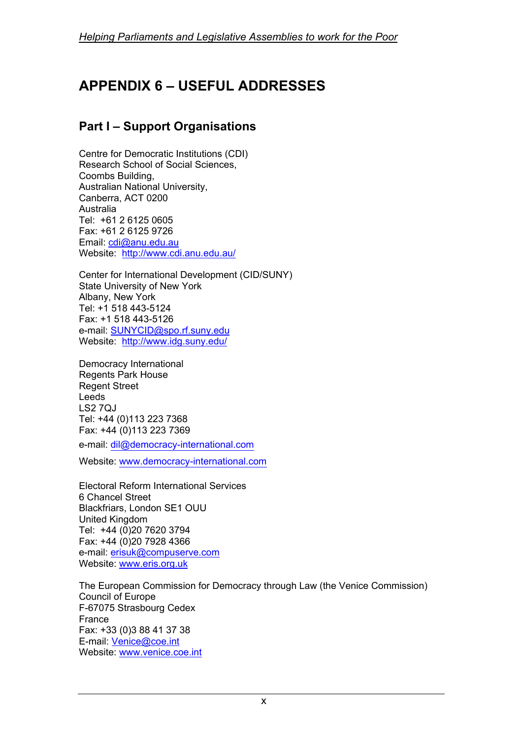# **APPENDIX 6 – USEFUL ADDRESSES**

### **Part I – Support Organisations**

Centre for Democratic Institutions (CDI) Research School of Social Sciences, Coombs Building, Australian National University, Canberra, ACT 0200 Australia Tel: +61 2 6125 0605 Fax: +61 2 6125 9726 Email: cdi@anu.edu.au Website: http://www.cdi.anu.edu.au/

Center for International Development (CID/SUNY) State University of New York Albany, New York Tel: +1 518 443-5124 Fax: +1 518 443-5126 e-mail: SUNYCID@spo.rf.suny.edu Website: http://www.idg.suny.edu/

Democracy International Regents Park House Regent Street Leeds LS2 7QJ Tel: +44 (0)113 223 7368 Fax: +44 (0)113 223 7369

e-mail: dil@democracy-international.com

Website: www.democracy-international.com

Electoral Reform International Services 6 Chancel Street Blackfriars, London SE1 OUU United Kingdom Tel: +44 (0)20 7620 3794 Fax: +44 (0)20 7928 4366 e-mail: erisuk@compuserve.com Website: www.eris.org.uk

The European Commission for Democracy through Law (the Venice Commission) Council of Europe F-67075 Strasbourg Cedex France Fax: +33 (0)3 88 41 37 38 E-mail: Venice@coe.int Website: www.venice.coe.int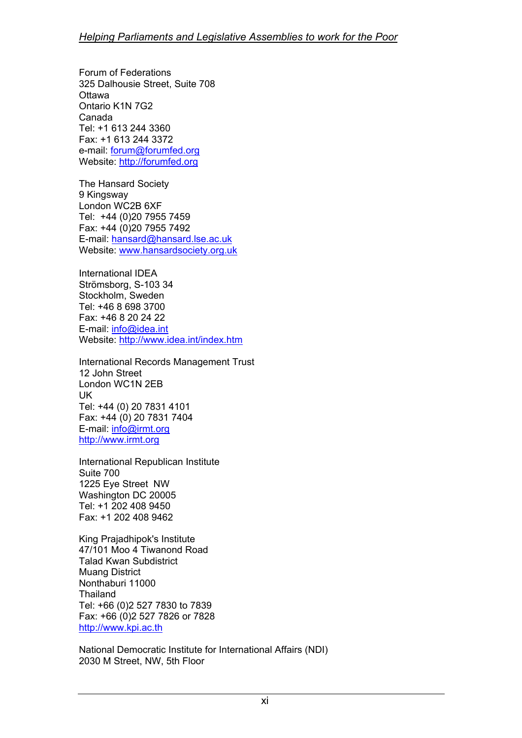Forum of Federations 325 Dalhousie Street, Suite 708 **Ottawa** Ontario K1N 7G2 Canada Tel: +1 613 244 3360 Fax: +1 613 244 3372 e-mail: forum@forumfed.org Website: http://forumfed.org

The Hansard Society 9 Kingsway London WC2B 6XF Tel: +44 (0)20 7955 7459 Fax: +44 (0)20 7955 7492 E-mail: hansard@hansard.lse.ac.uk Website: www.hansardsociety.org.uk

International IDEA Strömsborg, S-103 34 Stockholm, Sweden Tel: +46 8 698 3700 Fax: +46 8 20 24 22 E-mail: info@idea.int Website: http://www.idea.int/index.htm

International Records Management Trust 12 John Street London WC1N 2EB UK Tel: +44 (0) 20 7831 4101 Fax: +44 (0) 20 7831 7404 E-mail: info@irmt.org http://www.irmt.org

International Republican Institute Suite 700 1225 Eye Street NW Washington DC 20005 Tel: +1 202 408 9450 Fax: +1 202 408 9462

King Prajadhipok's Institute 47/101 Moo 4 Tiwanond Road Talad Kwan Subdistrict Muang District Nonthaburi 11000 Thailand Tel: +66 (0)2 527 7830 to 7839 Fax: +66 (0)2 527 7826 or 7828 http://www.kpi.ac.th

National Democratic Institute for International Affairs (NDI) 2030 M Street, NW, 5th Floor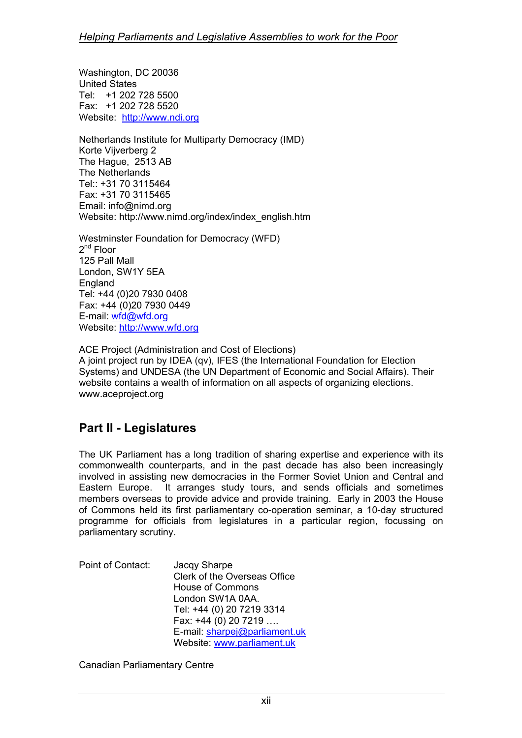Washington, DC 20036 United States Tel: +1 202 728 5500 Fax: +1 202 728 5520 Website: http://www.ndi.org

Netherlands Institute for Multiparty Democracy (IMD) Korte Vijverberg 2 The Hague, 2513 AB The Netherlands Tel:: +31 70 3115464 Fax: +31 70 3115465 Email: info@nimd.org Website: http://www.nimd.org/index/index\_english.htm

Westminster Foundation for Democracy (WFD)  $2^{nd}$  Floor 125 Pall Mall London, SW1Y 5EA England Tel: +44 (0)20 7930 0408 Fax: +44 (0)20 7930 0449 E-mail: wfd@wfd.org Website: http://www.wfd.org

ACE Project (Administration and Cost of Elections) A joint project run by IDEA (qv), IFES (the International Foundation for Election Systems) and UNDESA (the UN Department of Economic and Social Affairs). Their website contains a wealth of information on all aspects of organizing elections. www.aceproject.org

### **Part II - Legislatures**

The UK Parliament has a long tradition of sharing expertise and experience with its commonwealth counterparts, and in the past decade has also been increasingly involved in assisting new democracies in the Former Soviet Union and Central and Eastern Europe. It arranges study tours, and sends officials and sometimes members overseas to provide advice and provide training. Early in 2003 the House of Commons held its first parliamentary co-operation seminar, a 10-day structured programme for officials from legislatures in a particular region, focussing on parliamentary scrutiny.

Point of Contact: Jacqy Sharpe Clerk of the Overseas Office House of Commons London SW1A 0AA. Tel: +44 (0) 20 7219 3314 Fax: +44 (0) 20 7219 …. E-mail: sharpej@parliament.uk Website: www.parliament.uk

Canadian Parliamentary Centre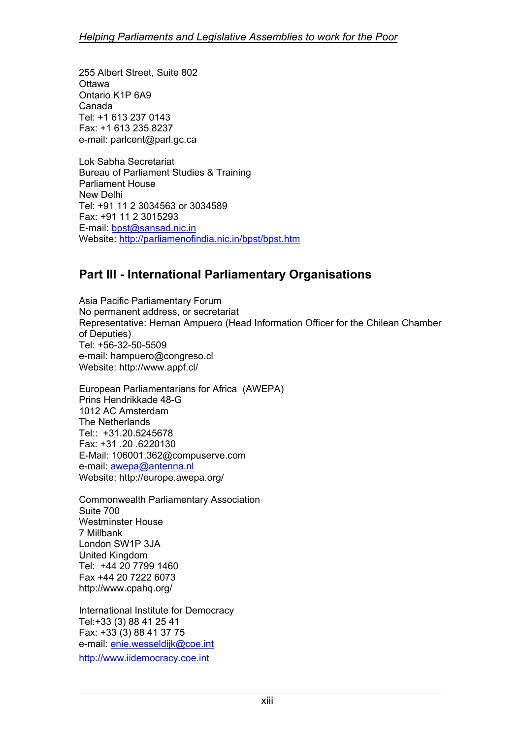255 Albert Street, Suite 802 **Ottawa** Ontario K1P 6A9 Canada Tel: +1 613 237 0143 Fax: +1 613 235 8237 e-mail: parlcent@parl.gc.ca

Lok Sabha Secretariat Bureau of Parliament Studies & Training Parliament House New Delhi Tel: +91 11 2 3034563 or 3034589 Fax: +91 11 2 3015293 E-mail: bpst@sansad.nic.in Website: http://parliamenofindia.nic.in/bpst/bpst.htm

### **Part III - International Parliamentary Organisations**

Asia Pacific Parliamentary Forum No permanent address, or secretariat Representative: Hernan Ampuero (Head Information Officer for the Chilean Chamber of Deputies) Tel: +56-32-50-5509 e-mail: hampuero@congreso.cl Website: http://www.appf.cl/

European Parliamentarians for Africa (AWEPA) Prins Hendrikkade 48-G 1012 AC Amsterdam The Netherlands Tel:: +31.20.5245678 Fax: +31 .20 .6220130 E-Mail: 106001.362@compuserve.com e-mail: awepa@antenna.nl Website: http://europe.awepa.org/

Commonwealth Parliamentary Association Suite 700 Westminster House 7 Millbank London SW1P 3JA United Kingdom Tel: +44 20 7799 1460 Fax +44 20 7222 6073 http://www.cpahq.org/

International Institute for Democracy Tel:+33 (3) 88 41 25 41 Fax: +33 (3) 88 41 37 75 e-mail: enie.wesseldijk@coe.int http://www.iidemocracy.coe.int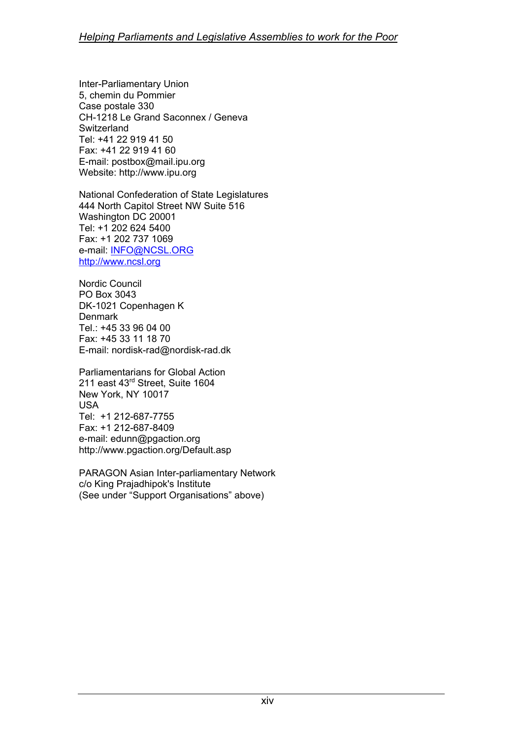Inter-Parliamentary Union 5, chemin du Pommier Case postale 330 CH-1218 Le Grand Saconnex / Geneva Switzerland Tel: +41 22 919 41 50 Fax: +41 22 919 41 60 E-mail: postbox@mail.ipu.org Website: http://www.ipu.org

National Confederation of State Legislatures 444 North Capitol Street NW Suite 516 Washington DC 20001 Tel: +1 202 624 5400 Fax: +1 202 737 1069 e-mail: INFO@NCSL.ORG http://www.ncsl.org

Nordic Council PO Box 3043 DK-1021 Copenhagen K **Denmark** Tel.: +45 33 96 04 00 Fax: +45 33 11 18 70 E-mail: nordisk-rad@nordisk-rad.dk

Parliamentarians for Global Action 211 east 43<sup>rd</sup> Street, Suite 1604 New York, NY 10017 USA Tel: +1 212-687-7755 Fax: +1 212-687-8409 e-mail: edunn@pgaction.org http://www.pgaction.org/Default.asp

PARAGON Asian Inter-parliamentary Network c/o King Prajadhipok's Institute (See under "Support Organisations" above)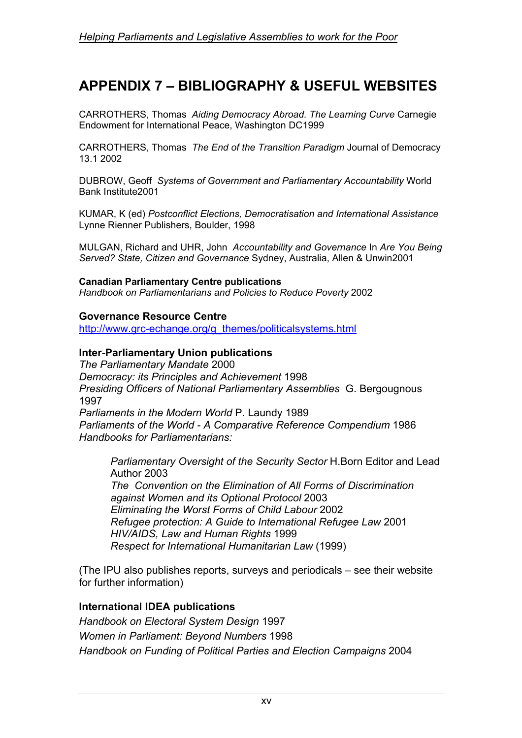## **APPENDIX 7 – BIBLIOGRAPHY & USEFUL WEBSITES**

CARROTHERS, Thomas *Aiding Democracy Abroad. The Learning Curve* Carnegie Endowment for International Peace, Washington DC1999

CARROTHERS, Thomas *The End of the Transition Paradigm* Journal of Democracy 13.1 2002

DUBROW, Geoff *Systems of Government and Parliamentary Accountability* World Bank Institute2001

KUMAR, K (ed) *Postconflict Elections, Democratisation and International Assistance*  Lynne Rienner Publishers, Boulder, 1998

MULGAN, Richard and UHR, John *Accountability and Governance* In *Are You Being Served? State, Citizen and Governance* Sydney, Australia, Allen & Unwin2001

#### **Canadian Parliamentary Centre publications**

*Handbook on Parliamentarians and Policies to Reduce Poverty* 2002

#### **Governance Resource Centre**

http://www.grc-echange.org/g\_themes/politicalsystems.html

#### **Inter-Parliamentary Union publications**

*The Parliamentary Mandate* 2000 *Democracy: its Principles and Achievement* 1998 *Presiding Officers of National Parliamentary Assemblies* G. Bergougnous 1997 *Parliaments in the Modern World* P. Laundy 1989 *Parliaments of the World - A Comparative Reference Compendium* 1986 *Handbooks for Parliamentarians:* 

*Parliamentary Oversight of the Security Sector* H.Born Editor and Lead Author 2003 *The Convention on the Elimination of All Forms of Discrimination against Women and its Optional Protocol* 2003 *Eliminating the Worst Forms of Child Labour* 2002 *Refugee protection: A Guide to International Refugee Law* 2001 *HIV/AIDS, Law and Human Rights* 1999 *Respect for International Humanitarian Law* (1999)

(The IPU also publishes reports, surveys and periodicals – see their website for further information)

#### **International IDEA publications**

*Handbook on Electoral System Design* 1997 *Women in Parliament: Beyond Numbers* 1998 *Handbook on Funding of Political Parties and Election Campaigns* 2004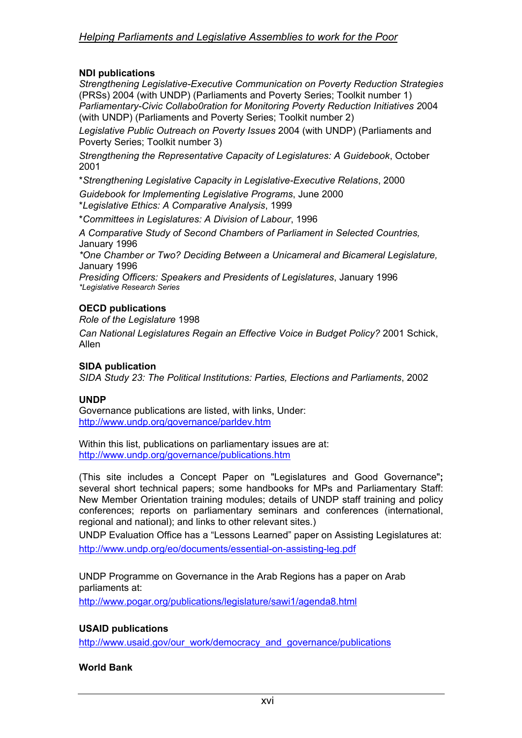#### **NDI publications**

*Strengthening Legislative-Executive Communication on Poverty Reduction Strategies* (PRSs) 2004 (with UNDP) (Parliaments and Poverty Series; Toolkit number 1) *Parliamentary-Civic Collabo0ration for Monitoring Poverty Reduction Initiatives 2*004 (with UNDP) (Parliaments and Poverty Series; Toolkit number 2)

*Legislative Public Outreach on Poverty Issues* 2004 (with UNDP) (Parliaments and Poverty Series; Toolkit number 3)

*Strengthening the Representative Capacity of Legislatures: A Guidebook*, October 2001

\**Strengthening Legislative Capacity in Legislative-Executive Relations*, 2000

*Guidebook for Implementing Legislative Programs*, June 2000

\**Legislative Ethics: A Comparative Analysis*, 1999

\**Committees in Legislatures: A Division of Labour*, 1996

*A Comparative Study of Second Chambers of Parliament in Selected Countries,* January 1996

*\*One Chamber or Two? Deciding Between a Unicameral and Bicameral Legislature,* January 1996

*Presiding Officers: Speakers and Presidents of Legislatures*, January 1996 *\*Legislative Research Series* 

#### **OECD publications**

*Role of the Legislature* 1998

*Can National Legislatures Regain an Effective Voice in Budget Policy?* 2001 Schick, Allen

#### **SIDA publication**

*SIDA Study 23: The Political Institutions: Parties, Elections and Parliaments*, 2002

#### **UNDP**

Governance publications are listed, with links, Under: http://www.undp.org/governance/parldev.htm

Within this list, publications on parliamentary issues are at: http://www.undp.org/governance/publications.htm

(This site includes a Concept Paper on "Legislatures and Good Governance"**;**  several short technical papers; some handbooks for MPs and Parliamentary Staff: New Member Orientation training modules; details of UNDP staff training and policy conferences; reports on parliamentary seminars and conferences (international, regional and national); and links to other relevant sites.)

UNDP Evaluation Office has a "Lessons Learned" paper on Assisting Legislatures at: http://www.undp.org/eo/documents/essential-on-assisting-leg.pdf

UNDP Programme on Governance in the Arab Regions has a paper on Arab parliaments at:

http://www.pogar.org/publications/legislature/sawi1/agenda8.html

#### **USAID publications**

http://www.usaid.gov/our\_work/democracy\_and\_governance/publications

#### **World Bank**